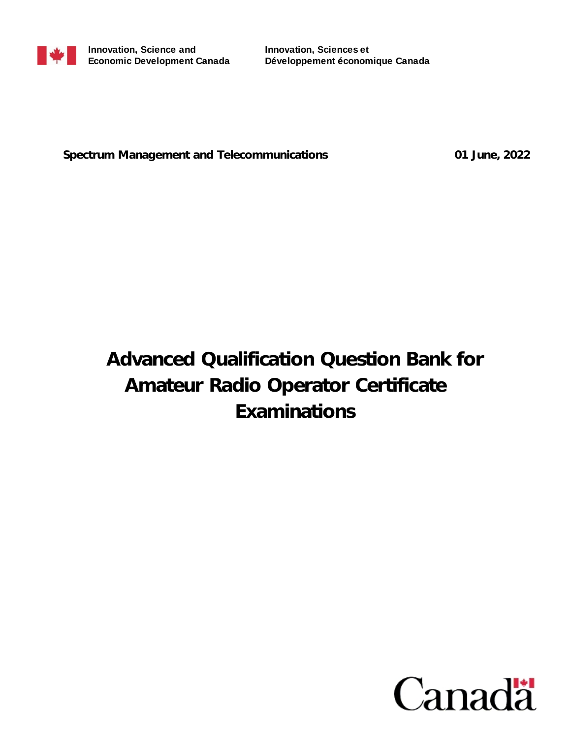

**Innovation, Sciences et Développement économique Canada**

**Spectrum Management and Telecommunications 01 June, 2022**

# **Advanced Qualification Question Bank for Amateur Radio Operator Certificate Examinations**

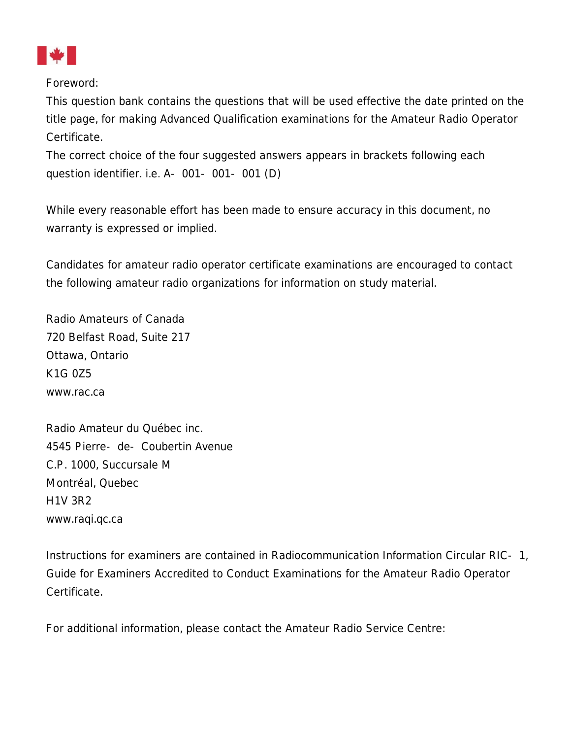

Foreword:

This question bank contains the questions that will be used effective the date printed on the title page, for making Advanced Qualification examinations for the Amateur Radio Operator Certificate.

The correct choice of the four suggested answers appears in brackets following each question identifier. i.e. A-001-001-001 (D)

While every reasonable effort has been made to ensure accuracy in this document, no warranty is expressed or implied.

Candidates for amateur radio operator certificate examinations are encouraged to contact the following amateur radio organizations for information on study material.

Radio Amateurs of Canada 720 Belfast Road, Suite 217 Ottawa, Ontario K1G 0Z5 www.rac.ca

Radio Amateur du Québec inc. 4545 Pierre-de-Coubertin Avenue C.P. 1000, Succursale M Montréal, Quebec H1V 3R2 www.raqi.qc.ca

Instructions for examiners are contained in Radiocommunication Information Circular RIC-1, Guide for Examiners Accredited to Conduct Examinations for the Amateur Radio Operator Certificate.

For additional information, please contact the Amateur Radio Service Centre: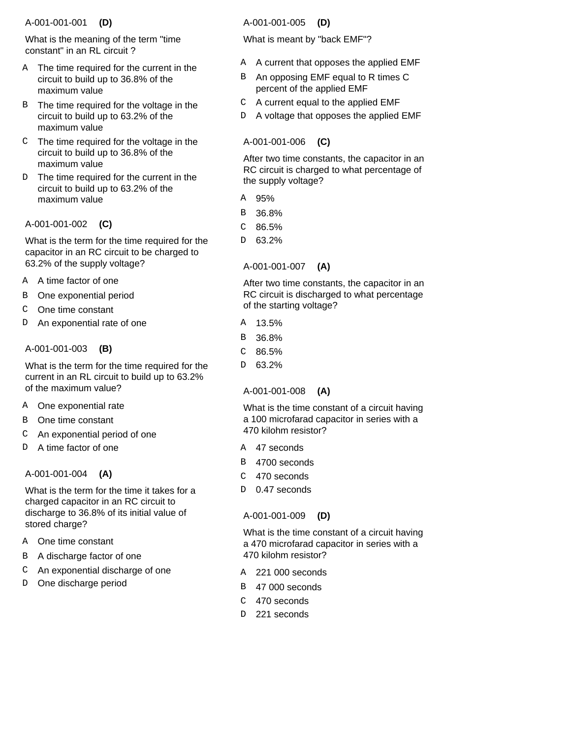# A-001-001-001  **(D)**

What is the meaning of the term "time constant" in an RL circuit ?

- A The time required for the current in the circuit to build up to 36.8% of the maximum value
- B The time required for the voltage in the circuit to build up to 63.2% of the maximum value
- $C$  The time required for the voltage in the circuit to build up to 36.8% of the maximum value
- The time required for the current in the circuit to build up to 63.2% of the maximum value  $D$

A-001-001-002  **(C)**

What is the term for the time required for the capacitor in an RC circuit to be charged to 63.2% of the supply voltage?

- A time factor of one A
- One exponential period B
- One time constant C
- An exponential rate of one D

# A-001-001-003  **(B)**

What is the term for the time required for the current in an RL circuit to build up to 63.2% of the maximum value?

- A One exponential rate
- B One time constant
- An exponential period of one  $\mathcal{C}$
- A time factor of one  $\overline{D}$

# A-001-001-004  **(A)**

What is the term for the time it takes for a charged capacitor in an RC circuit to discharge to 36.8% of its initial value of stored charge?

- A One time constant
- B A discharge factor of one
- An exponential discharge of one C
- D One discharge period

# A-001-001-005  **(D)**

What is meant by "back EMF"?

- A A current that opposes the applied EMF
- An opposing EMF equal to R times C percent of the applied EMF B
- A current equal to the applied EMF C
- A voltage that opposes the applied EMF D

# A-001-001-006  **(C)**

After two time constants, the capacitor in an RC circuit is charged to what percentage of the supply voltage?

- 95% A
- 36.8% B
- 86.5% C
- 63.2% <sub>D</sub>
- A-001-001-007  **(A)**

After two time constants, the capacitor in an RC circuit is discharged to what percentage of the starting voltage?

- 13.5% A
- 36.8% B
- 86.5%  $\cap$
- 63.2% D

# A-001-001-008  **(A)**

What is the time constant of a circuit having a 100 microfarad capacitor in series with a 470 kilohm resistor?

- A 47 seconds
- 4700 seconds B
- 470 seconds  $\mathcal{C}$
- 0.47 seconds  $D$

# A-001-001-009  **(D)**

What is the time constant of a circuit having a 470 microfarad capacitor in series with a 470 kilohm resistor?

- 221 000 seconds A
- B 47 000 seconds
- 470 seconds C
- D 221 seconds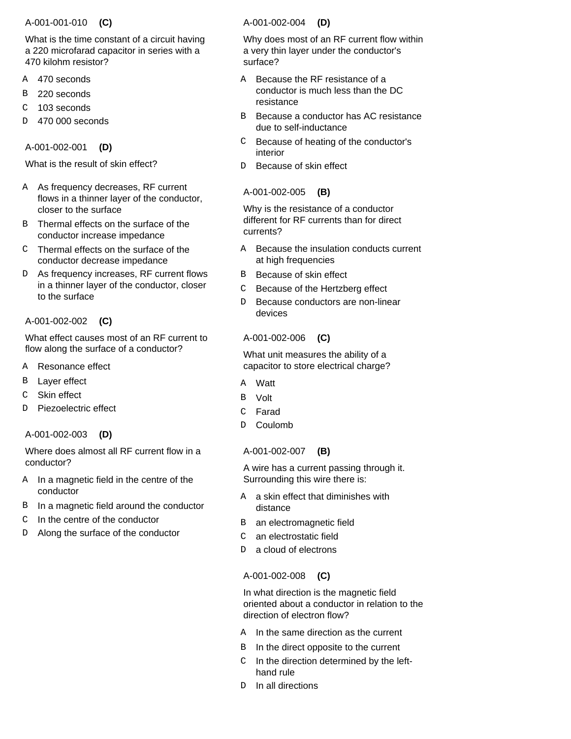### A-001-001-010  **(C)**

What is the time constant of a circuit having a 220 microfarad capacitor in series with a 470 kilohm resistor?

- 470 seconds A
- 220 seconds B
- 103 seconds C
- 470 000 seconds D

A-001-002-001  **(D)**

What is the result of skin effect?

- A As frequency decreases, RF current flows in a thinner layer of the conductor, closer to the surface
- B Thermal effects on the surface of the conductor increase impedance
- Thermal effects on the surface of the C conductor decrease impedance
- D As frequency increases, RF current flows in a thinner layer of the conductor, closer to the surface

# A-001-002-002  **(C)**

What effect causes most of an RF current to flow along the surface of a conductor?

- Resonance effect A
- Layer effect B
- Skin effect  $\overline{C}$
- Piezoelectric effect D

A-001-002-003  **(D)**

Where does almost all RF current flow in a conductor?

- In a magnetic field in the centre of the conductor A
- B In a magnetic field around the conductor
- In the centre of the conductor  $\mathcal{C}$
- Along the surface of the conductor D

### A-001-002-004  **(D)**

Why does most of an RF current flow within a very thin layer under the conductor's surface?

- Because the RF resistance of a conductor is much less than the DC resistance A
- Because a conductor has AC resistance due to self-inductance B
- Because of heating of the conductor's interior  $\mathsf{C}^-$
- Because of skin effect D

# A-001-002-005  **(B)**

Why is the resistance of a conductor different for RF currents than for direct currents?

- A Because the insulation conducts current at high frequencies
- Because of skin effect B
- Because of the Hertzberg effect  $\mathcal{C}$
- Because conductors are non-linear devices D.

# A-001-002-006  **(C)**

What unit measures the ability of a capacitor to store electrical charge?

- **Watt** A
- Volt B
- Farad  $\mathcal{C}$
- Coulomb  $\overline{D}$

A-001-002-007  **(B)**

A wire has a current passing through it. Surrounding this wire there is:

- A a skin effect that diminishes with distance
- an electromagnetic field B
- an electrostatic field  $\mathsf{C}$
- a cloud of electrons D

# A-001-002-008  **(C)**

In what direction is the magnetic field oriented about a conductor in relation to the direction of electron flow?

- A In the same direction as the current
- In the direct opposite to the current B
- $C$  In the direction determined by the lefthand rule
- In all directions  $D$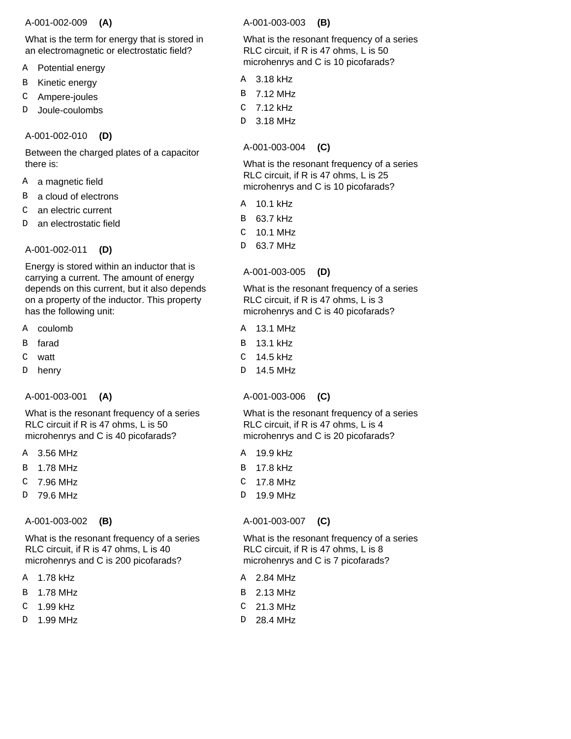#### A-001-002-009  **(A)**

What is the term for energy that is stored in an electromagnetic or electrostatic field?

- Potential energy A
- Kinetic energy B
- Ampere-joules C
- Joule-coulombs D

A-001-002-010  **(D)**

Between the charged plates of a capacitor there is:

- a magnetic field A
- a cloud of electrons B
- an electric current C
- an electrostatic field D

A-001-002-011  **(D)**

Energy is stored within an inductor that is carrying a current. The amount of energy depends on this current, but it also depends on a property of the inductor. This property has the following unit:

- A coulomb
- farad B
- watt  $\mathcal{C}$
- henry D

A-001-003-001  **(A)**

What is the resonant frequency of a series RLC circuit if R is 47 ohms, L is 50 microhenrys and C is 40 picofarads?

- 3.56 MHz A
- 1.78 MHz B
- 7.96 MHz C
- 79.6 MHz D

# A-001-003-002  **(B)**

What is the resonant frequency of a series RLC circuit, if R is 47 ohms, L is 40 microhenrys and C is 200 picofarads?

- 1.78 kHz A
- 1.78 MHz B
- 1.99 kHz  $\mathcal{C}$
- 1.99 MHz D

A-001-003-003  **(B)**

What is the resonant frequency of a series RLC circuit, if R is 47 ohms, L is 50 microhenrys and C is 10 picofarads?

- 3.18 kHz A
- 7.12 MHz B
- 7.12 kHz C
- 3.18 MHz D

A-001-003-004  **(C)**

What is the resonant frequency of a series RLC circuit, if R is 47 ohms, L is 25 microhenrys and C is 10 picofarads?

- 10.1 kHz A
- 63.7 kHz B
- 10.1 MHz C
- 63.7 MHz D

A-001-003-005  **(D)**

What is the resonant frequency of a series RLC circuit, if R is 47 ohms, L is 3 microhenrys and C is 40 picofarads?

- A 13.1 MHz
- 13.1 kHz B
- 14.5 kHz C
- 14.5 MHz D

A-001-003-006  **(C)**

What is the resonant frequency of a series RLC circuit, if R is 47 ohms, L is 4 microhenrys and C is 20 picofarads?

- a 19.9 kHz
- B 17.8 kHz
- 17.8 MHz  $\mathcal{C}$
- 19.9 MHz D

# A-001-003-007  **(C)**

What is the resonant frequency of a series RLC circuit, if R is 47 ohms, L is 8 microhenrys and C is 7 picofarads?

- 2.84 MHz A
- 2.13 MHz B
- 21.3 MHz C
- 28.4 MHz D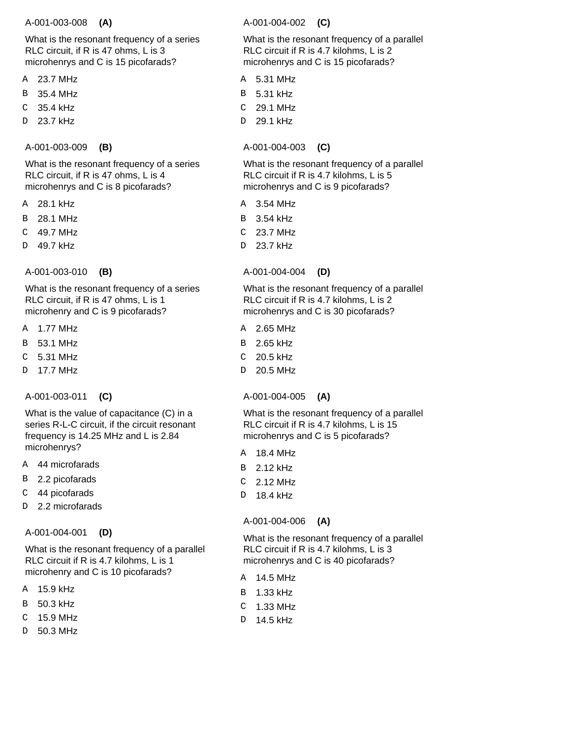#### A-001-003-008  **(A)**

What is the resonant frequency of a series RLC circuit, if R is 47 ohms, L is 3 microhenrys and C is 15 picofarads?

- 23.7 MHz A
- 35.4 MHz B
- 35.4 kHz C
- 23.7 kHz D
- A-001-003-009  **(B)**

What is the resonant frequency of a series RLC circuit, if R is 47 ohms, L is 4 microhenrys and C is 8 picofarads?

- 28.1 kHz A
- 28.1 MHz B
- 49.7 MHz C
- 49.7 kHz D
- A-001-003-010  **(B)**

What is the resonant frequency of a series RLC circuit, if R is 47 ohms, L is 1 microhenry and C is 9 picofarads?

- A 1.77 MHz
- 53.1 MHz B
- 5.31 MHz  $\cap$
- 17.7 MHz  $\overline{D}$

A-001-003-011  **(C)**

What is the value of capacitance (C) in a series R-L-C circuit, if the circuit resonant frequency is 14.25 MHz and L is 2.84 microhenrys?

- 44 microfarads A
- 2.2 picofarads B
- 44 picofarads C
- 2.2 microfarads  $\overline{D}$

A-001-004-001  **(D)**

What is the resonant frequency of a parallel RLC circuit if R is 4.7 kilohms, L is 1 microhenry and C is 10 picofarads?

- 15.9 kHz A
- 50.3 kHz B
- 15.9 MHz C
- 50.3 MHz D

A-001-004-002  **(C)**

What is the resonant frequency of a parallel RLC circuit if R is 4.7 kilohms, L is 2 microhenrys and C is 15 picofarads?

- 5.31 MHz A
- 5.31 kHz B
- 29.1 MHz  $\mathsf C$
- 29.1 kHz D

# A-001-004-003  **(C)**

What is the resonant frequency of a parallel RLC circuit if R is 4.7 kilohms, L is 5 microhenrys and C is 9 picofarads?

- 3.54 MHz A
- 3.54 kHz B
- 23.7 MHz  $\mathcal{C}$
- 23.7 kHz D

# A-001-004-004  **(D)**

What is the resonant frequency of a parallel RLC circuit if R is 4.7 kilohms, L is 2 microhenrys and C is 30 picofarads?

- 2.65 MHz A
- 2.65 kHz B
- 20.5 kHz  $\mathcal{C}$
- 20.5 MHz  $D$

A-001-004-005  **(A)**

What is the resonant frequency of a parallel RLC circuit if R is 4.7 kilohms, L is 15 microhenrys and C is 5 picofarads?

- 18.4 MHz A
- 2.12 kHz B
- 2.12 MHz  $\mathcal{C}$
- 18.4 kHz D

# A-001-004-006  **(A)**

What is the resonant frequency of a parallel RLC circuit if R is 4.7 kilohms, L is 3 microhenrys and C is 40 picofarads?

- 14.5 MHz A
- B 1.33 kHz
- C 1.33 MHz
- 14.5 kHz D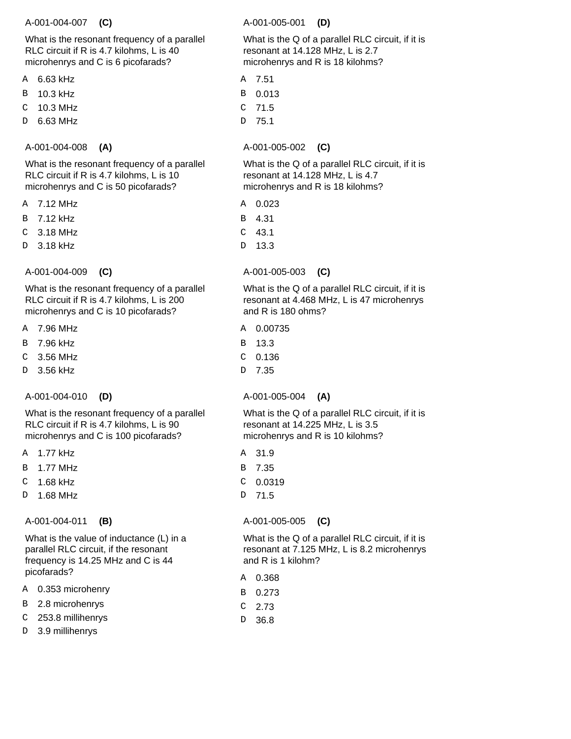#### A-001-004-007  **(C)**

What is the resonant frequency of a parallel RLC circuit if R is 4.7 kilohms, L is 40 microhenrys and C is 6 picofarads?

- 6.63 kHz A
- 10.3 kHz B
- 10.3 MHz C
- 6.63 MHz D

# A-001-004-008  **(A)**

What is the resonant frequency of a parallel RLC circuit if R is 4.7 kilohms, L is 10 microhenrys and C is 50 picofarads?

- 7.12 MHz A
- 7.12 kHz B
- 3.18 MHz C
- 3.18 kHz D
- A-001-004-009  **(C)**

What is the resonant frequency of a parallel RLC circuit if R is 4.7 kilohms, L is 200 microhenrys and C is 10 picofarads?

- 7.96 MHz A
- 7.96 kHz B
- 3.56 MHz  $\mathcal{C}$
- 3.56 kHz  $\overline{D}$
- A-001-004-010  **(D)**

What is the resonant frequency of a parallel RLC circuit if R is 4.7 kilohms, L is 90 microhenrys and C is 100 picofarads?

- 1.77 kHz A
- 1.77 MHz B
- 1.68 kHz C
- 1.68 MHz D

A-001-004-011  **(B)**

What is the value of inductance (L) in a parallel RLC circuit, if the resonant frequency is 14.25 MHz and C is 44 picofarads?

- 0.353 microhenry A
- 2.8 microhenrys B
- 253.8 millihenrys C
- 3.9 millihenrys D

A-001-005-001  **(D)**

What is the Q of a parallel RLC circuit, if it is resonant at 14.128 MHz, L is 2.7 microhenrys and R is 18 kilohms?

- 7.51 A
- 0.013 B
- 71.5  $\mathsf C$
- 75.1 D

A-001-005-002  **(C)**

What is the Q of a parallel RLC circuit, if it is resonant at 14.128 MHz, L is 4.7 microhenrys and R is 18 kilohms?

- 0.023 A
- 4.31 B
- 43.1 C
- 13.3 D

A-001-005-003  **(C)**

What is the Q of a parallel RLC circuit, if it is resonant at 4.468 MHz, L is 47 microhenrys and R is 180 ohms?

- 0.00735 A
- 13.3 B
- $C$  0.136
- 7.35 D

A-001-005-004  **(A)**

What is the Q of a parallel RLC circuit, if it is resonant at 14.225 MHz, L is 3.5 microhenrys and R is 10 kilohms?

- 31.9 A
- 7.35 B
- 0.0319  $\mathcal{C}$
- 71.5 D

# A-001-005-005  **(C)**

What is the Q of a parallel RLC circuit, if it is resonant at 7.125 MHz, L is 8.2 microhenrys and R is 1 kilohm?

- 0.368 A
- 0.273 B
- 2.73 C
- 36.8 D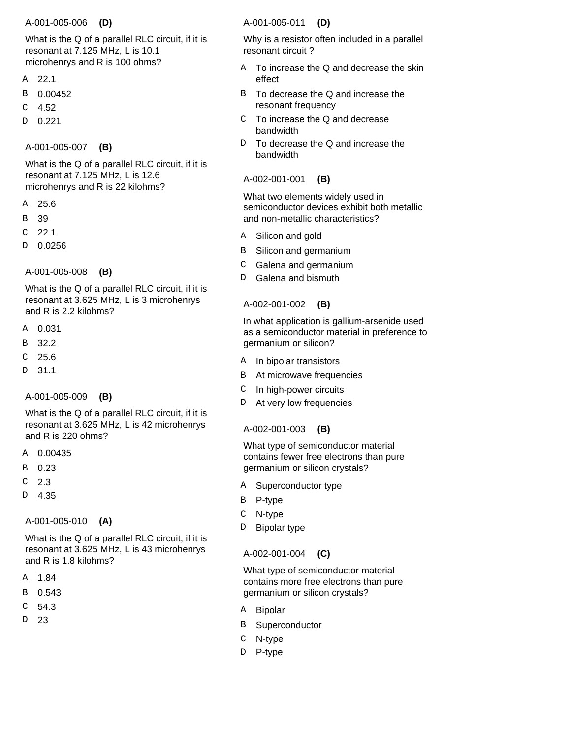### A-001-005-006  **(D)**

What is the Q of a parallel RLC circuit, if it is resonant at 7.125 MHz, L is 10.1 microhenrys and R is 100 ohms?

- 22.1 A
- 0.00452 B
- 4.52 C
- 0.221 D

### A-001-005-007  **(B)**

What is the Q of a parallel RLC circuit, if it is resonant at 7.125 MHz, L is 12.6 microhenrys and R is 22 kilohms?

- 25.6 A
- 39 B
- 22.1 C
- 0.0256 D
- A-001-005-008  **(B)**

What is the Q of a parallel RLC circuit, if it is resonant at 3.625 MHz, L is 3 microhenrys and R is  $2.2$  kilohms?

- 0.031 A
- 32.2 B
- 25.6  $\mathcal{C}$
- 31.1 D

# A-001-005-009  **(B)**

What is the Q of a parallel RLC circuit, if it is resonant at 3.625 MHz, L is 42 microhenrys and R is 220 ohms?

- 0.00435 A
- 0.23 B
- 2.3 C
- 4.35 D

# A-001-005-010  **(A)**

What is the Q of a parallel RLC circuit, if it is resonant at 3.625 MHz, L is 43 microhenrys and R is 1.8 kilohms?

- 1.84 A
- 0.543 B
- 54.3 C
- 23 D

# A-001-005-011  **(D)**

Why is a resistor often included in a parallel resonant circuit ?

- To increase the Q and decrease the skin effect A
- To decrease the Q and increase the resonant frequency B
- To increase the Q and decrease bandwidth C
- To decrease the Q and increase the bandwidth D.

### A-002-001-001  **(B)**

What two elements widely used in semiconductor devices exhibit both metallic and non-metallic characteristics?

- Silicon and gold A
- Silicon and germanium B
- Galena and germanium C
- Galena and bismuth <sub>D</sub>

# A-002-001-002  **(B)**

In what application is gallium-arsenide used as a semiconductor material in preference to germanium or silicon?

- A In bipolar transistors
- At microwave frequencies B
- In high-power circuits  $\mathcal{C}$
- D At very low frequencies

# A-002-001-003  **(B)**

What type of semiconductor material contains fewer free electrons than pure germanium or silicon crystals?

- Superconductor type A
- P-type B
- N-type C
- Bipolar type D

# A-002-001-004  **(C)**

What type of semiconductor material contains more free electrons than pure germanium or silicon crystals?

- Bipolar A
- Superconductor B
- C N-type
- D P-type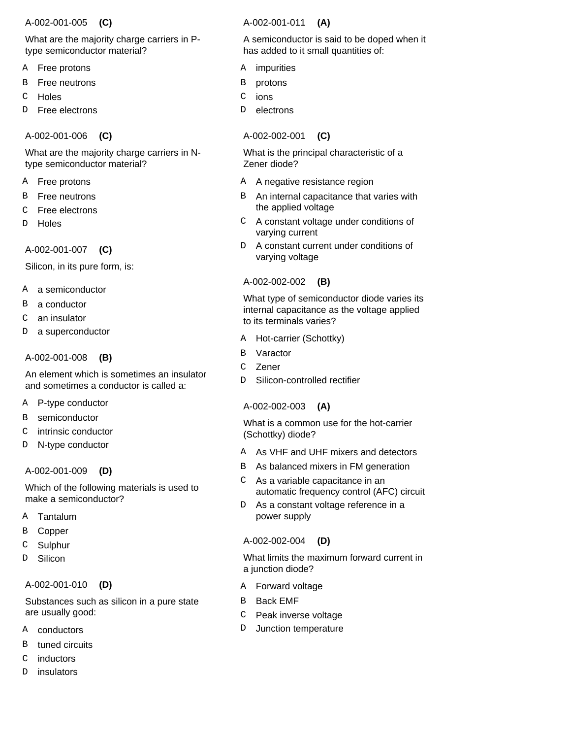### A-002-001-005  **(C)**

# What are the majority charge carriers in Ptype semiconductor material?

- Free protons A
- Free neutrons B
- **Holes** C
- Free electrons D

# A-002-001-006  **(C)**

What are the majority charge carriers in Ntype semiconductor material?

- A Free protons
- Free neutrons B
- Free electrons C
- **Holes**  $\mathcal{D}$

A-002-001-007  **(C)**

Silicon, in its pure form, is:

- A a semiconductor
- a conductor B
- an insulator  $\Gamma$
- a superconductor  $\mathsf{D}$

### A-002-001-008  **(B)**

An element which is sometimes an insulator and sometimes a conductor is called a:

- P-type conductor A
- semiconductor B
- intrinsic conductor C
- N-type conductor D

# A-002-001-009  **(D)**

Which of the following materials is used to make a semiconductor?

- Tantalum A
- Copper B
- Sulphur C
- Silicon D

# A-002-001-010  **(D)**

Substances such as silicon in a pure state are usually good:

- conductors A
- tuned circuits B
- inductors  $\overline{C}$
- insulators D

# A-002-001-011  **(A)**

A semiconductor is said to be doped when it has added to it small quantities of:

- impurities A
- protons B
- ions C
- electrons D

# A-002-002-001  **(C)**

What is the principal characteristic of a Zener diode?

- A negative resistance region A
- B An internal capacitance that varies with the applied voltage
- A constant voltage under conditions of varying current  $\mathsf{C}^-$
- A constant current under conditions of varying voltage  $D$

# A-002-002-002  **(B)**

What type of semiconductor diode varies its internal capacitance as the voltage applied to its terminals varies?

- Hot-carrier (Schottky) A
- Varactor B
- Zener  $\mathcal{C}$
- Silicon-controlled rectifier  $\overline{D}$

# A-002-002-003  **(A)**

What is a common use for the hot-carrier (Schottky) diode?

- A As VHF and UHF mixers and detectors
- B As balanced mixers in FM generation
- As a variable capacitance in an automatic frequency control (AFC) circuit  $\mathsf{C}^-$
- As a constant voltage reference in a power supply D

# A-002-002-004  **(D)**

What limits the maximum forward current in a junction diode?

- A Forward voltage
- Back EMF B
- Peak inverse voltage  $\mathcal{C}$
- Junction temperature D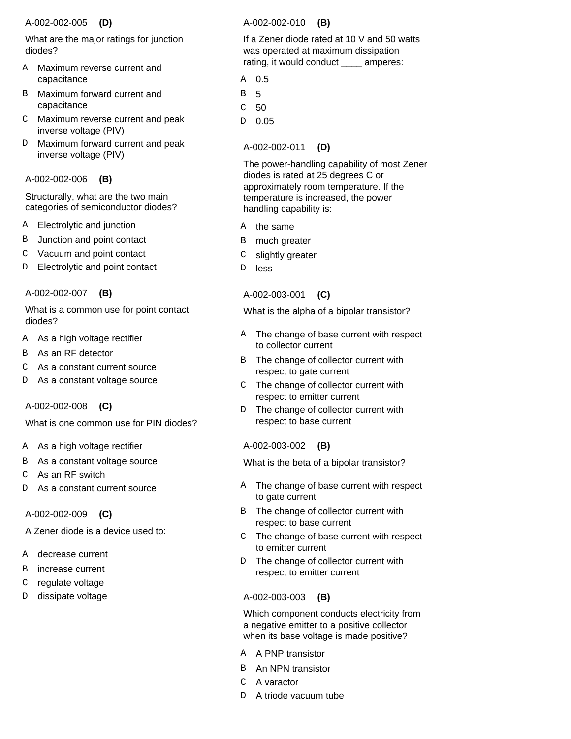#### A-002-002-005  **(D)**

What are the major ratings for junction diodes?

- Maximum reverse current and capacitance A
- Maximum forward current and capacitance B
- Maximum reverse current and peak C inverse voltage (PIV)
- Maximum forward current and peak inverse voltage (PIV) D.

### A-002-002-006  **(B)**

Structurally, what are the two main categories of semiconductor diodes?

- Electrolytic and junction A
- Junction and point contact B
- Vacuum and point contact C
- Electrolytic and point contact D

### A-002-002-007  **(B)**

What is a common use for point contact diodes?

- As a high voltage rectifier A
- As an RF detector B
- As a constant current source  $\mathcal{C}$
- As a constant voltage source D

# A-002-002-008  **(C)**

What is one common use for PIN diodes?

- A As a high voltage rectifier
- As a constant voltage source B
- As an RF switch C
- As a constant current source D

# A-002-002-009  **(C)**

A Zener diode is a device used to:

- decrease current A
- increase current B
- regulate voltage C
- dissipate voltage D

### A-002-002-010  **(B)**

If a Zener diode rated at 10 V and 50 watts was operated at maximum dissipation rating, it would conduct \_\_\_\_ amperes:

- 0.5 A
- 5 B
- 50 C
- 0.05 D

# A-002-002-011  **(D)**

The power-handling capability of most Zener diodes is rated at 25 degrees C or approximately room temperature. If the temperature is increased, the power handling capability is:

- the same A
- much greater B
- slightly greater C
- less  $\mathbb D$

# A-002-003-001  **(C)**

What is the alpha of a bipolar transistor?

- The change of base current with respect to collector current A
- The change of collector current with respect to gate current B
- The change of collector current with respect to emitter current  $\mathcal{C}$
- The change of collector current with respect to base current  $D$

# A-002-003-002  **(B)**

What is the beta of a bipolar transistor?

- A The change of base current with respect to gate current
- The change of collector current with respect to base current B
- The change of base current with respect to emitter current  $\mathsf{C}$
- The change of collector current with respect to emitter current  $D$

# A-002-003-003  **(B)**

Which component conducts electricity from a negative emitter to a positive collector when its base voltage is made positive?

- A A PNP transistor
- B An NPN transistor
- C A varactor
- D A triode vacuum tube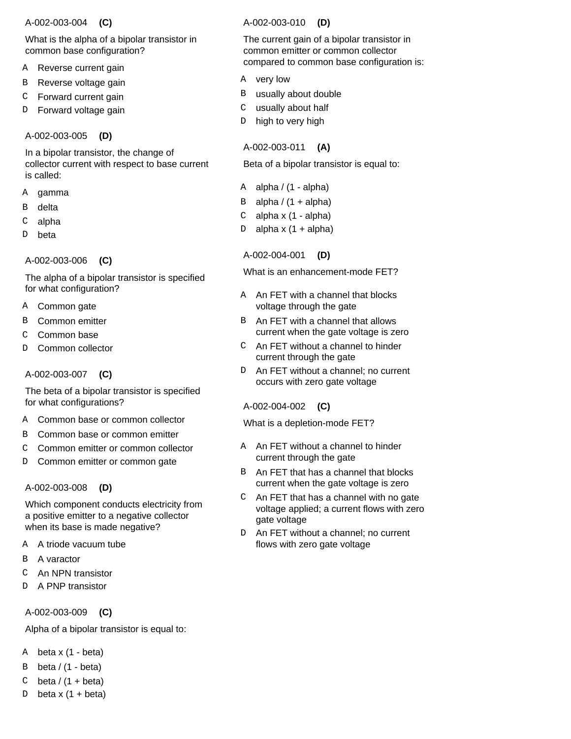### A-002-003-004  **(C)**

What is the alpha of a bipolar transistor in common base configuration?

- Reverse current gain A
- Reverse voltage gain B
- Forward current gain C
- Forward voltage gain D

A-002-003-005  **(D)**

In a bipolar transistor, the change of collector current with respect to base current is called:

- gamma A
- delta B
- alpha C
- beta D

A-002-003-006  **(C)**

The alpha of a bipolar transistor is specified for what configuration?

- Common gate **A**
- Common emitter B
- Common base C
- Common collector  $\overline{D}$

A-002-003-007  **(C)**

The beta of a bipolar transistor is specified for what configurations?

- Common base or common collector A
- Common base or common emitter B
- Common emitter or common collector C
- Common emitter or common gate  $\overline{D}$

# A-002-003-008  **(D)**

Which component conducts electricity from a positive emitter to a negative collector when its base is made negative?

- A triode vacuum tube A
- A varactor B
- An NPN transistor C
- A PNP transistor D

A-002-003-009  **(C)**

Alpha of a bipolar transistor is equal to:

- $A \text{ beta } x (1 \text{beta})$
- beta / (1 beta) B
- beta  $/$  (1 + beta) C
- beta  $x$  (1 + beta) D

# A-002-003-010  **(D)**

The current gain of a bipolar transistor in common emitter or common collector compared to common base configuration is:

- A very low
- usually about double B
- usually about half C
- high to very high D

# A-002-003-011  **(A)**

Beta of a bipolar transistor is equal to:

- alpha  $/$  (1 alpha) A
- alpha  $/$  (1 + alpha) B
- alpha x (1 alpha) C
- alpha  $x$  (1 + alpha) D

# A-002-004-001  **(D)**

What is an enhancement-mode FET?

- A An FET with a channel that blocks voltage through the gate
- B An FET with a channel that allows current when the gate voltage is zero
- An FET without a channel to hinder C current through the gate
- An FET without a channel; no current occurs with zero gate voltage  $D$

# A-002-004-002  **(C)**

What is a depletion-mode FET?

- A An FET without a channel to hinder current through the gate
- An FET that has a channel that blocks current when the gate voltage is zero B
- An FET that has a channel with no gate voltage applied; a current flows with zero gate voltage  $\mathsf{C}^-$
- An FET without a channel; no current flows with zero gate voltage D.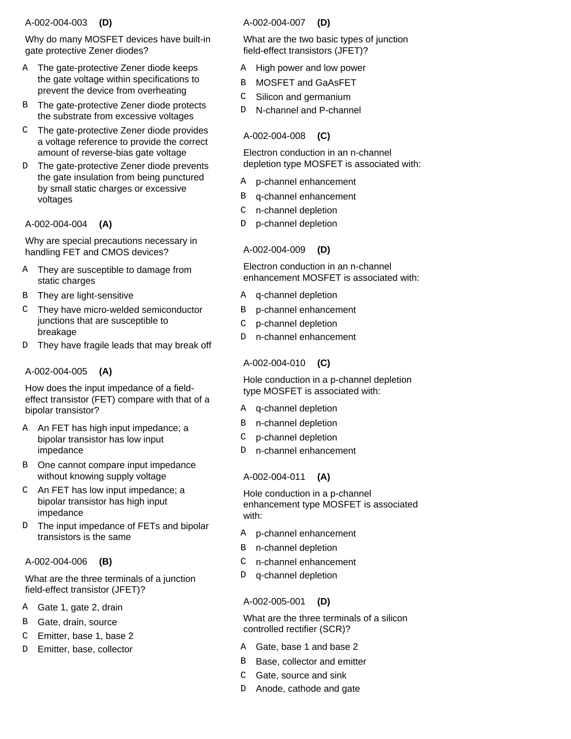### A-002-004-003  **(D)**

Why do many MOSFET devices have built-in gate protective Zener diodes?

- A The gate-protective Zener diode keeps the gate voltage within specifications to prevent the device from overheating
- The gate-protective Zener diode protects B the substrate from excessive voltages
- The gate-protective Zener diode provides C a voltage reference to provide the correct amount of reverse-bias gate voltage
- D The gate-protective Zener diode prevents the gate insulation from being punctured by small static charges or excessive voltages

# A-002-004-004  **(A)**

Why are special precautions necessary in handling FET and CMOS devices?

- A They are susceptible to damage from static charges
- B They are light-sensitive
- They have micro-welded semiconductor C junctions that are susceptible to breakage
- They have fragile leads that may break off D

# A-002-004-005  **(A)**

How does the input impedance of a fieldeffect transistor (FET) compare with that of a bipolar transistor?

- A An FET has high input impedance; a bipolar transistor has low input impedance
- B One cannot compare input impedance without knowing supply voltage
- An FET has low input impedance; a C bipolar transistor has high input impedance
- The input impedance of FETs and bipolar transistors is the same  $D$

# A-002-004-006  **(B)**

What are the three terminals of a junction field-effect transistor (JFET)?

- A Gate 1, gate 2, drain
- Gate, drain, source B
- Emitter, base 1, base 2 C
- Emitter, base, collector D

# A-002-004-007  **(D)**

What are the two basic types of junction field-effect transistors (JFET)?

- High power and low power A
- MOSFET and GaAsFET B
- Silicon and germanium  $\mathsf{C}$
- N-channel and P-channel D.

# A-002-004-008  **(C)**

Electron conduction in an n-channel depletion type MOSFET is associated with:

- p-channel enhancement A
- B q-channel enhancement
- n-channel depletion C
- p-channel depletion D

# A-002-004-009  **(D)**

Electron conduction in an n-channel enhancement MOSFET is associated with:

- A q-channel depletion
- p-channel enhancement B
- p-channel depletion  $\mathcal{C}$
- n-channel enhancement D.

# A-002-004-010  **(C)**

Hole conduction in a p-channel depletion type MOSFET is associated with:

- A q-channel depletion
- B n-channel depletion
- p-channel depletion C
- n-channel enhancement  $D$

# A-002-004-011  **(A)**

Hole conduction in a p-channel enhancement type MOSFET is associated with:

- p-channel enhancement A
- n-channel depletion B
- n-channel enhancement C
- q-channel depletion D

# A-002-005-001  **(D)**

What are the three terminals of a silicon controlled rectifier (SCR)?

- A Gate, base 1 and base 2
- Base, collector and emitter B
- Gate, source and sink  $\mathsf{C}$
- Anode, cathode and gate  $D$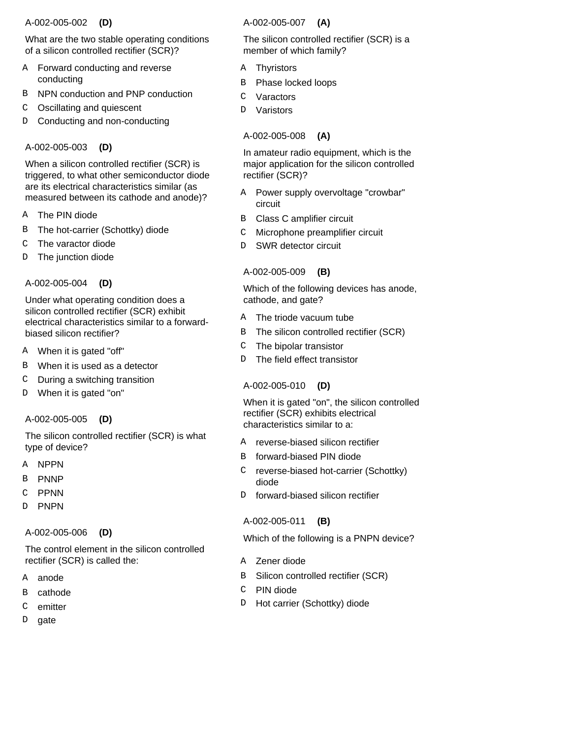### A-002-005-002  **(D)**

What are the two stable operating conditions of a silicon controlled rectifier (SCR)?

- Forward conducting and reverse conducting A
- NPN conduction and PNP conduction B
- Oscillating and quiescent C
- Conducting and non-conducting D

# A-002-005-003  **(D)**

When a silicon controlled rectifier (SCR) is triggered, to what other semiconductor diode are its electrical characteristics similar (as measured between its cathode and anode)?

- The PIN diode A
- The hot-carrier (Schottky) diode B
- The varactor diode C
- The junction diode D
- A-002-005-004  **(D)**

Under what operating condition does a silicon controlled rectifier (SCR) exhibit electrical characteristics similar to a forwardbiased silicon rectifier?

- When it is gated "off" A
- When it is used as a detector B
- During a switching transition C
- When it is gated "on" D

#### A-002-005-005  **(D)**

The silicon controlled rectifier (SCR) is what type of device?

- A NPPN
- PNNP B
- PPNN C
- PNPN  $\overline{D}$

#### A-002-005-006  **(D)**

The control element in the silicon controlled rectifier (SCR) is called the:

- anode A
- cathode B
- emitter C
- gate D

### A-002-005-007  **(A)**

The silicon controlled rectifier (SCR) is a member of which family?

- Thyristors A
- Phase locked loops B
- Varactors C
- Varistors D.

# A-002-005-008  **(A)**

In amateur radio equipment, which is the major application for the silicon controlled rectifier (SCR)?

- Power supply overvoltage "crowbar" circuit A
- Class C amplifier circuit B
- Microphone preamplifier circuit  $\mathsf C$
- SWR detector circuit D

# A-002-005-009  **(B)**

Which of the following devices has anode, cathode, and gate?

- A The triode vacuum tube
- The silicon controlled rectifier (SCR) B
- The bipolar transistor  $\mathcal{C}$
- The field effect transistor  $\overline{D}$

# A-002-005-010  **(D)**

When it is gated "on", the silicon controlled rectifier (SCR) exhibits electrical characteristics similar to a:

- reverse-biased silicon rectifier A
- forward-biased PIN diode B
- reverse-biased hot-carrier (Schottky) diode  $\mathcal{C}$
- forward-biased silicon rectifier D.

# A-002-005-011  **(B)**

Which of the following is a PNPN device?

- A Zener diode
- Silicon controlled rectifier (SCR) B
- PIN diode  $\mathsf{C}^-$
- Hot carrier (Schottky) diode D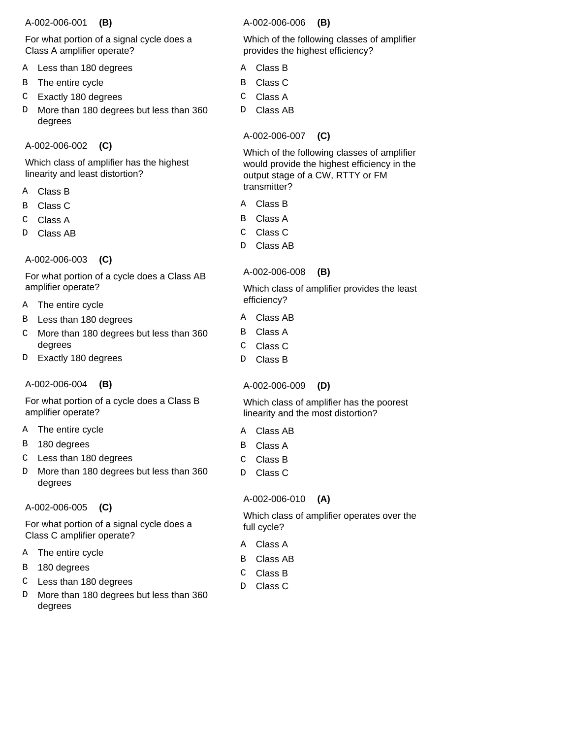### A-002-006-001  **(B)**

For what portion of a signal cycle does a Class A amplifier operate?

- Less than 180 degrees A
- The entire cycle B
- Exactly 180 degrees C
- More than 180 degrees but less than 360 degrees D
- A-002-006-002  **(C)**

Which class of amplifier has the highest linearity and least distortion?

- Class B A
- Class C B
- Class A C
- Class AB D

A-002-006-003  **(C)**

For what portion of a cycle does a Class AB amplifier operate?

- The entire cycle A
- Less than 180 degrees B
- More than 180 degrees but less than 360 degrees C
- Exactly 180 degrees  $\mathbb D$

A-002-006-004  **(B)**

For what portion of a cycle does a Class B amplifier operate?

- A The entire cycle
- 180 degrees B
- Less than 180 degrees C
- More than 180 degrees but less than 360 degrees  $\mathbb D$

A-002-006-005  **(C)**

For what portion of a signal cycle does a Class C amplifier operate?

- A The entire cycle
- 180 degrees B
- Less than 180 degrees C
- More than 180 degrees but less than 360 degrees D

A-002-006-006  **(B)**

Which of the following classes of amplifier provides the highest efficiency?

- Class B A
- Class C B
- Class A C
- Class AB D

# A-002-006-007  **(C)**

Which of the following classes of amplifier would provide the highest efficiency in the output stage of a CW, RTTY or FM transmitter?

- Class B A
- Class A B
- Class C C
- Class AB D

# A-002-006-008  **(B)**

Which class of amplifier provides the least efficiency?

- Class AB A
- Class A B
- Class C  $\overline{C}$
- Class B D

# A-002-006-009  **(D)**

Which class of amplifier has the poorest linearity and the most distortion?

- Class AB A
- Class A B
- Class B  $\mathcal{C}$
- Class C  $\mathbb D$

# A-002-006-010  **(A)**

Which class of amplifier operates over the full cycle?

- Class A A
- Class AB B
- Class B C
- Class C  $\mathbb D$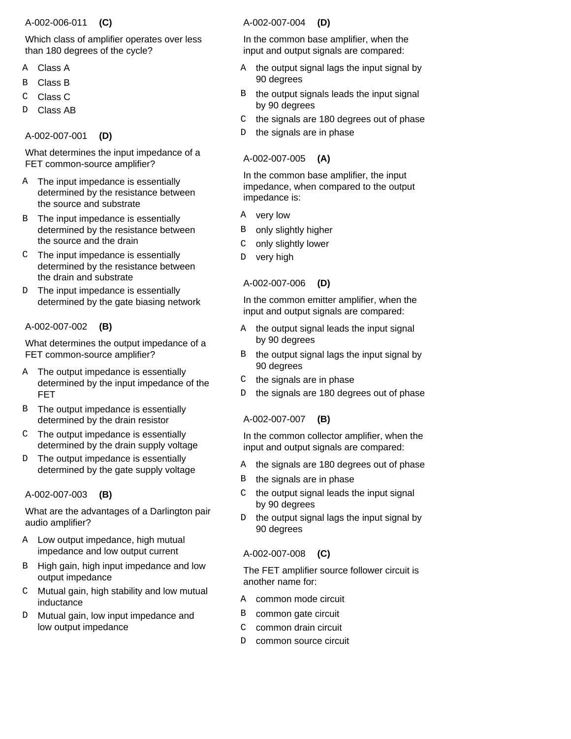#### A-002-006-011  **(C)**

Which class of amplifier operates over less than 180 degrees of the cycle?

- Class A A
- Class B B
- Class C C
- Class AB D

A-002-007-001  **(D)**

What determines the input impedance of a FET common-source amplifier?

- A The input impedance is essentially determined by the resistance between the source and substrate
- B The input impedance is essentially determined by the resistance between the source and the drain
- The input impedance is essentially C determined by the resistance between the drain and substrate
- The input impedance is essentially determined by the gate biasing network D.

# A-002-007-002  **(B)**

What determines the output impedance of a FET common-source amplifier?

- A The output impedance is essentially determined by the input impedance of the FET
- B The output impedance is essentially determined by the drain resistor
- The output impedance is essentially determined by the drain supply voltage  $\cap$
- The output impedance is essentially determined by the gate supply voltage  $D$

#### A-002-007-003  **(B)**

What are the advantages of a Darlington pair audio amplifier?

- A Low output impedance, high mutual impedance and low output current
- B High gain, high input impedance and low output impedance
- Mutual gain, high stability and low mutual inductance  $\mathsf{C}^-$
- Mutual gain, low input impedance and low output impedance D.

# A-002-007-004  **(D)**

In the common base amplifier, when the input and output signals are compared:

- A the output signal lags the input signal by 90 degrees
- the output signals leads the input signal by 90 degrees B
- the signals are 180 degrees out of phase  $\mathsf{C}^-$
- the signals are in phase D

# A-002-007-005  **(A)**

In the common base amplifier, the input impedance, when compared to the output impedance is:

- very low A
- only slightly higher B
- only slightly lower C
- very high D

# A-002-007-006  **(D)**

In the common emitter amplifier, when the input and output signals are compared:

- the output signal leads the input signal by 90 degrees A
- the output signal lags the input signal by 90 degrees B
- the signals are in phase  $\mathsf{C}$
- the signals are 180 degrees out of phase D

#### A-002-007-007  **(B)**

In the common collector amplifier, when the input and output signals are compared:

- A the signals are 180 degrees out of phase
- the signals are in phase B
- the output signal leads the input signal by 90 degrees  $\mathcal{C}$
- the output signal lags the input signal by 90 degrees D

# A-002-007-008  **(C)**

The FET amplifier source follower circuit is another name for:

- common mode circuit A
- common gate circuit B
- common drain circuit C
- common source circuit D.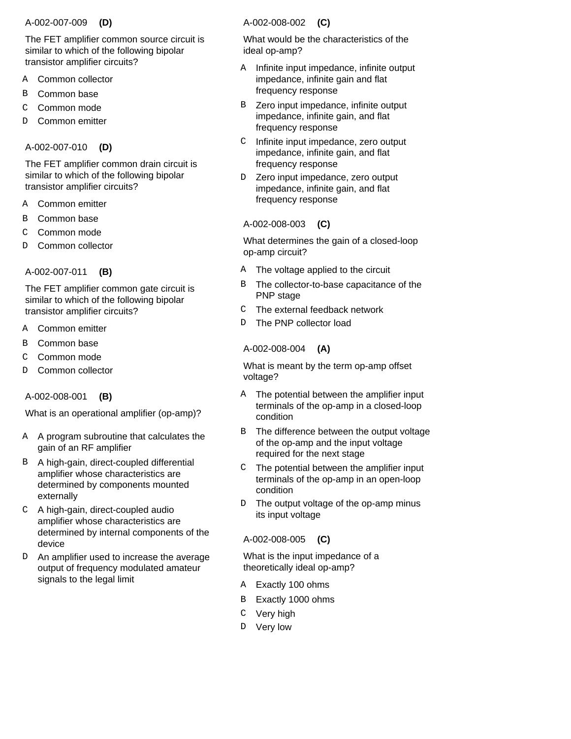#### A-002-007-009  **(D)**

The FET amplifier common source circuit is similar to which of the following bipolar transistor amplifier circuits?

- Common collector A
- Common base B
- Common mode C
- Common emitter D

# A-002-007-010  **(D)**

The FET amplifier common drain circuit is similar to which of the following bipolar transistor amplifier circuits?

- Common emitter A
- Common base B
- Common mode C
- Common collector D
- A-002-007-011  **(B)**

The FET amplifier common gate circuit is similar to which of the following bipolar transistor amplifier circuits?

- Common emitter A
- Common base B
- Common mode  $\mathcal{C}$
- Common collector D

# A-002-008-001  **(B)**

What is an operational amplifier (op-amp)?

- A A program subroutine that calculates the gain of an RF amplifier
- B A high-gain, direct-coupled differential amplifier whose characteristics are determined by components mounted externally
- A high-gain, direct-coupled audio C amplifier whose characteristics are determined by internal components of the device
- D An amplifier used to increase the average output of frequency modulated amateur signals to the legal limit

# A-002-008-002  **(C)**

What would be the characteristics of the ideal op-amp?

- Infinite input impedance, infinite output impedance, infinite gain and flat frequency response A
- Zero input impedance, infinite output impedance, infinite gain, and flat frequency response B
- Infinite input impedance, zero output impedance, infinite gain, and flat frequency response  $\mathcal{C}$
- Zero input impedance, zero output impedance, infinite gain, and flat frequency response D

# A-002-008-003  **(C)**

What determines the gain of a closed-loop op-amp circuit?

- A The voltage applied to the circuit
- The collector-to-base capacitance of the PNP stage B
- The external feedback network  $\mathsf{C}$
- The PNP collector load <sub>D</sub>

# A-002-008-004  **(A)**

What is meant by the term op-amp offset voltage?

- The potential between the amplifier input terminals of the op-amp in a closed-loop condition A
- The difference between the output voltage of the op-amp and the input voltage required for the next stage B
- The potential between the amplifier input terminals of the op-amp in an open-loop condition  $\mathcal{C}$
- The output voltage of the op-amp minus its input voltage D

# A-002-008-005  **(C)**

What is the input impedance of a theoretically ideal op-amp?

- A Exactly 100 ohms
- Exactly 1000 ohms B
- C Very high
- D Very low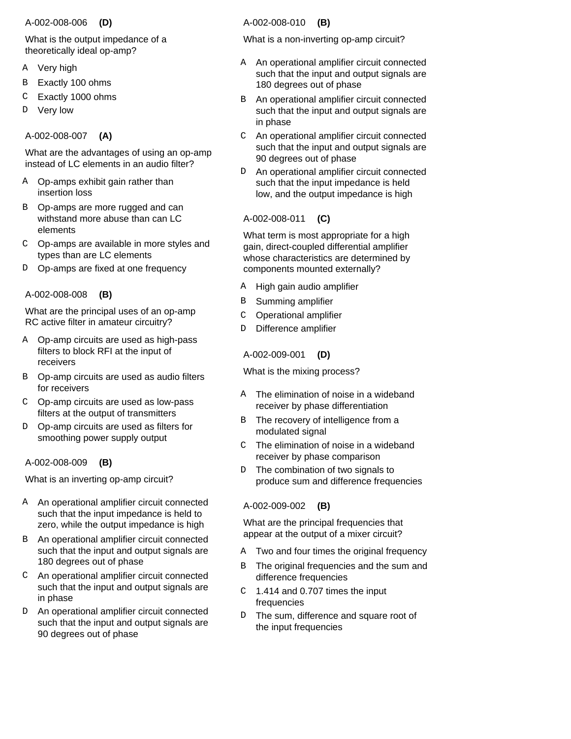#### A-002-008-006  **(D)**

What is the output impedance of a theoretically ideal op-amp?

- Very high A
- Exactly 100 ohms B
- Exactly 1000 ohms C
- Very low D

# A-002-008-007  **(A)**

What are the advantages of using an op-amp instead of LC elements in an audio filter?

- A Op-amps exhibit gain rather than insertion loss
- B Op-amps are more rugged and can withstand more abuse than can LC elements
- Op-amps are available in more styles and C types than are LC elements
- D Op-amps are fixed at one frequency

# A-002-008-008  **(B)**

What are the principal uses of an op-amp RC active filter in amateur circuitry?

- Op-amp circuits are used as high-pass A filters to block RFI at the input of receivers
- B Op-amp circuits are used as audio filters for receivers
- Op-amp circuits are used as low-pass C filters at the output of transmitters
- D Op-amp circuits are used as filters for smoothing power supply output

# A-002-008-009  **(B)**

What is an inverting op-amp circuit?

- A An operational amplifier circuit connected such that the input impedance is held to zero, while the output impedance is high
- An operational amplifier circuit connected B such that the input and output signals are 180 degrees out of phase
- An operational amplifier circuit connected C such that the input and output signals are in phase
- An operational amplifier circuit connected such that the input and output signals are 90 degrees out of phase D.

# A-002-008-010  **(B)**

What is a non-inverting op-amp circuit?

- A An operational amplifier circuit connected such that the input and output signals are 180 degrees out of phase
- An operational amplifier circuit connected such that the input and output signals are in phase B
- An operational amplifier circuit connected such that the input and output signals are 90 degrees out of phase  $\mathsf{C}$
- An operational amplifier circuit connected such that the input impedance is held low, and the output impedance is high D

# A-002-008-011  **(C)**

What term is most appropriate for a high gain, direct-coupled differential amplifier whose characteristics are determined by components mounted externally?

- High gain audio amplifier A
- Summing amplifier B
- Operational amplifier C
- Difference amplifier D

# A-002-009-001  **(D)**

What is the mixing process?

- The elimination of noise in a wideband receiver by phase differentiation A
- The recovery of intelligence from a modulated signal B
- The elimination of noise in a wideband receiver by phase comparison  $\mathcal{C}$
- The combination of two signals to produce sum and difference frequencies  $D$

# A-002-009-002  **(B)**

What are the principal frequencies that appear at the output of a mixer circuit?

- A Two and four times the original frequency
- The original frequencies and the sum and difference frequencies B
- 1.414 and 0.707 times the input frequencies  $\mathcal{C}$
- The sum, difference and square root of the input frequencies D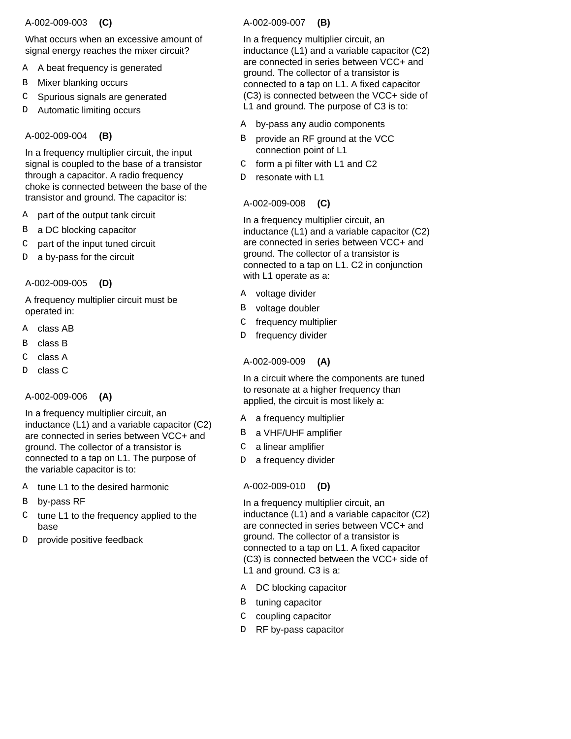### A-002-009-003  **(C)**

What occurs when an excessive amount of signal energy reaches the mixer circuit?

- A beat frequency is generated A
- Mixer blanking occurs B
- Spurious signals are generated C
- Automatic limiting occurs D

# A-002-009-004  **(B)**

In a frequency multiplier circuit, the input signal is coupled to the base of a transistor through a capacitor. A radio frequency choke is connected between the base of the transistor and ground. The capacitor is:

- part of the output tank circuit A
- a DC blocking capacitor B
- part of the input tuned circuit C
- a by-pass for the circuit D

# A-002-009-005  **(D)**

A frequency multiplier circuit must be operated in:

- A class AB
- class B B
- class A  $\mathcal{C}$
- class C D

# A-002-009-006  **(A)**

In a frequency multiplier circuit, an inductance (L1) and a variable capacitor (C2) are connected in series between VCC+ and ground. The collector of a transistor is connected to a tap on L1. The purpose of the variable capacitor is to:

- A tune L1 to the desired harmonic
- by-pass RF B
- $C$  tune L1 to the frequency applied to the base
- provide positive feedback  $\mathbb D$

# A-002-009-007  **(B)**

In a frequency multiplier circuit, an inductance (L1) and a variable capacitor (C2) are connected in series between VCC+ and ground. The collector of a transistor is connected to a tap on L1. A fixed capacitor (C3) is connected between the VCC+ side of L1 and ground. The purpose of C3 is to:

- A by-pass any audio components
- provide an RF ground at the VCC connection point of L1 B
- form a pi filter with L1 and C2  $\mathsf{C}$
- resonate with L1 D

# A-002-009-008  **(C)**

In a frequency multiplier circuit, an inductance (L1) and a variable capacitor (C2) are connected in series between VCC+ and ground. The collector of a transistor is connected to a tap on L1. C2 in conjunction with L1 operate as a:

- A voltage divider
- voltage doubler B
- frequency multiplier  $\mathsf{C}$
- frequency divider D

# A-002-009-009  **(A)**

In a circuit where the components are tuned to resonate at a higher frequency than applied, the circuit is most likely a:

- A a frequency multiplier
- B a VHF/UHF amplifier
- a linear amplifier  $\mathcal{C}$
- a frequency divider D.

# A-002-009-010  **(D)**

In a frequency multiplier circuit, an inductance (L1) and a variable capacitor (C2) are connected in series between VCC+ and ground. The collector of a transistor is connected to a tap on L1. A fixed capacitor (C3) is connected between the VCC+ side of L1 and ground. C3 is a:

- A DC blocking capacitor
- B tuning capacitor
- C coupling capacitor
- D RF by-pass capacitor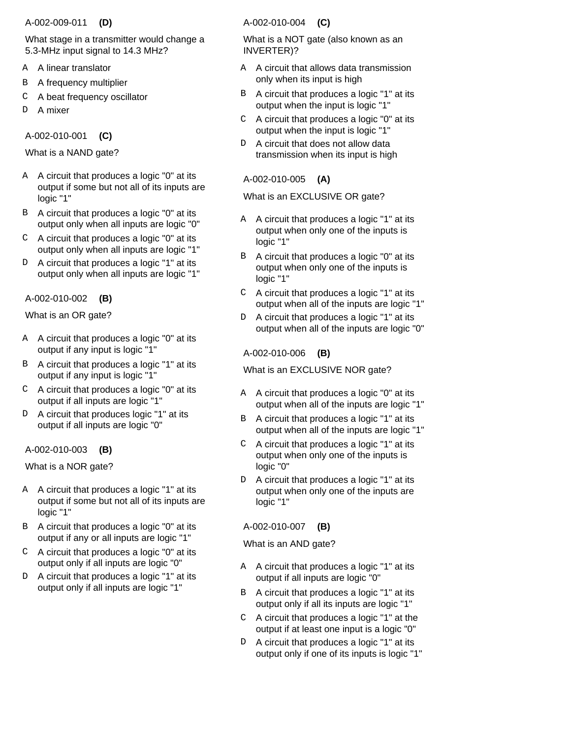#### A-002-009-011  **(D)**

What stage in a transmitter would change a 5.3-MHz input signal to 14.3 MHz?

- A linear translator A
- A frequency multiplier B
- A beat frequency oscillator C
- A mixer D

A-002-010-001  **(C)**

What is a NAND gate?

- A circuit that produces a logic "0" at its A output if some but not all of its inputs are logic "1"
- B A circuit that produces a logic "0" at its output only when all inputs are logic "0"
- A circuit that produces a logic "0" at its C output only when all inputs are logic "1"
- A circuit that produces a logic "1" at its output only when all inputs are logic "1" D

# A-002-010-002  **(B)**

What is an OR gate?

- A circuit that produces a logic "0" at its A output if any input is logic "1"
- B A circuit that produces a logic "1" at its output if any input is logic "1"
- $C$  A circuit that produces a logic "0" at its output if all inputs are logic "1"
- A circuit that produces logic "1" at its output if all inputs are logic "0" D.

# A-002-010-003  **(B)**

What is a NOR gate?

- A circuit that produces a logic "1" at its A output if some but not all of its inputs are logic "1"
- B A circuit that produces a logic "0" at its output if any or all inputs are logic "1"
- A circuit that produces a logic "0" at its output only if all inputs are logic "0"  $\mathcal{C}$
- D A circuit that produces a logic "1" at its output only if all inputs are logic "1"

# A-002-010-004  **(C)**

What is a NOT gate (also known as an INVERTER)?

- A circuit that allows data transmission A only when its input is high
- A circuit that produces a logic "1" at its output when the input is logic "1" B
- A circuit that produces a logic "0" at its output when the input is logic "1"  $\mathcal{C}$
- A circuit that does not allow data transmission when its input is high  $D$

# A-002-010-005  **(A)**

What is an EXCLUSIVE OR gate?

- A circuit that produces a logic "1" at its output when only one of the inputs is logic "1" A
- A circuit that produces a logic "0" at its output when only one of the inputs is logic "1" B
- A circuit that produces a logic "1" at its output when all of the inputs are logic "1"  $\mathsf{C}$
- A circuit that produces a logic "1" at its output when all of the inputs are logic "0" D

A-002-010-006  **(B)**

What is an EXCLUSIVE NOR gate?

- A circuit that produces a logic "0" at its output when all of the inputs are logic "1" A
- A circuit that produces a logic "1" at its output when all of the inputs are logic "1" B
- A circuit that produces a logic "1" at its output when only one of the inputs is logic "0"  $\mathcal{C}$
- A circuit that produces a logic "1" at its output when only one of the inputs are logic "1" D.

A-002-010-007  **(B)**

What is an AND gate?

- A circuit that produces a logic "1" at its A output if all inputs are logic "0"
- A circuit that produces a logic "1" at its output only if all its inputs are logic "1" B
- $C$  A circuit that produces a logic "1" at the output if at least one input is a logic "0"
- A circuit that produces a logic "1" at its output only if one of its inputs is logic "1"  $D$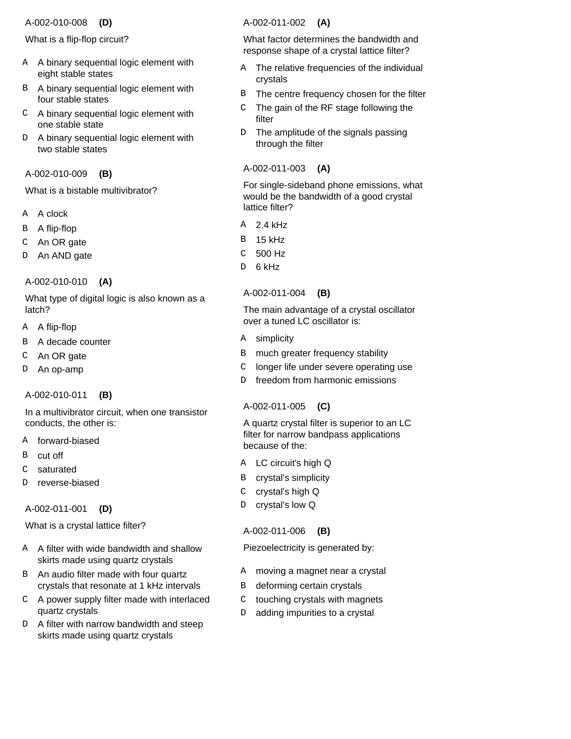#### A-002-010-008  **(D)**

What is a flip-flop circuit?

- A binary sequential logic element with A eight stable states
- B A binary sequential logic element with four stable states
- A binary sequential logic element with C one stable state
- A binary sequential logic element with two stable states D

# A-002-010-009  **(B)**

What is a bistable multivibrator?

- A clock A
- A flip-flop B
- An OR gate C
- An AND gate D
- A-002-010-010  **(A)**

What type of digital logic is also known as a latch?

- A flip-flop A
- A decade counter B
- An OR gate C
- An op-amp D

#### A-002-010-011  **(B)**

In a multivibrator circuit, when one transistor conducts, the other is:

- forward-biased A
- cut off B
- saturated C
- reverse-biased D

A-002-011-001  **(D)**

What is a crystal lattice filter?

- A filter with wide bandwidth and shallow A skirts made using quartz crystals
- B An audio filter made with four quartz crystals that resonate at 1 kHz intervals
- A power supply filter made with interlaced C quartz crystals
- D A filter with narrow bandwidth and steep skirts made using quartz crystals

#### A-002-011-002  **(A)**

What factor determines the bandwidth and response shape of a crystal lattice filter?

- The relative frequencies of the individual crystals A
- The centre frequency chosen for the filter B
- The gain of the RF stage following the filter C
- The amplitude of the signals passing through the filter  $D$

# A-002-011-003  **(A)**

For single-sideband phone emissions, what would be the bandwidth of a good crystal lattice filter?

- 2.4 kHz A
- 15 kHz B
- 500 Hz C
- 6 kHz <sub>D</sub>

#### A-002-011-004  **(B)**

The main advantage of a crystal oscillator over a tuned LC oscillator is:

- A simplicity
- much greater frequency stability B
- longer life under severe operating use  $\mathcal{C}$
- freedom from harmonic emissions D

#### A-002-011-005  **(C)**

A quartz crystal filter is superior to an LC filter for narrow bandpass applications because of the:

- A LC circuit's high Q
- crystal's simplicity B
- crystal's high Q C
- crystal's low Q D

#### A-002-011-006  **(B)**

Piezoelectricity is generated by:

- moving a magnet near a crystal A
- deforming certain crystals B
- touching crystals with magnets  $\rm C$
- adding impurities to a crystal D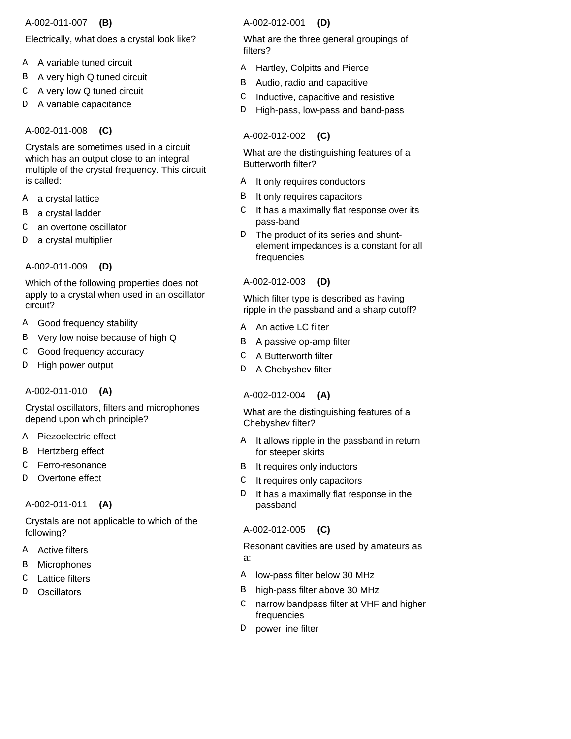### A-002-011-007  **(B)**

# Electrically, what does a crystal look like?

- A variable tuned circuit A
- A very high Q tuned circuit B
- A very low Q tuned circuit C
- A variable capacitance D

A-002-011-008  **(C)**

Crystals are sometimes used in a circuit which has an output close to an integral multiple of the crystal frequency. This circuit is called:

- a crystal lattice A
- a crystal ladder B
- an overtone oscillator C
- a crystal multiplier D

A-002-011-009  **(D)**

Which of the following properties does not apply to a crystal when used in an oscillator circuit?

- Good frequency stability A
- Very low noise because of high Q B
- Good frequency accuracy C
- High power output D

A-002-011-010  **(A)**

Crystal oscillators, filters and microphones depend upon which principle?

- A Piezoelectric effect
- Hertzberg effect B
- Ferro-resonance C
- Overtone effect D

# A-002-011-011  **(A)**

Crystals are not applicable to which of the following?

- Active filters A
- Microphones B
- Lattice filters  $\mathcal{C}$
- **Oscillators** D

### A-002-012-001  **(D)**

What are the three general groupings of filters?

- A Hartley, Colpitts and Pierce
- Audio, radio and capacitive B
- Inductive, capacitive and resistive  $\mathsf{C}$
- High-pass, low-pass and band-pass D

# A-002-012-002  **(C)**

What are the distinguishing features of a Butterworth filter?

- A It only requires conductors
- It only requires capacitors B
- It has a maximally flat response over its pass-band  $\mathsf{C}$
- The product of its series and shuntelement impedances is a constant for all frequencies  $D$

# A-002-012-003  **(D)**

Which filter type is described as having ripple in the passband and a sharp cutoff?

- A An active LC filter
- A passive op-amp filter B
- A Butterworth filter  $\mathcal{C}$
- D A Chebyshev filter

# A-002-012-004  **(A)**

What are the distinguishing features of a Chebyshev filter?

- It allows ripple in the passband in return for steeper skirts A
- It requires only inductors B
- It requires only capacitors  $\mathsf{C}$
- It has a maximally flat response in the passband D.

# A-002-012-005  **(C)**

Resonant cavities are used by amateurs as a:

- A low-pass filter below 30 MHz
- B high-pass filter above 30 MHz
- narrow bandpass filter at VHF and higher frequencies  $\mathsf{C}$
- power line filter D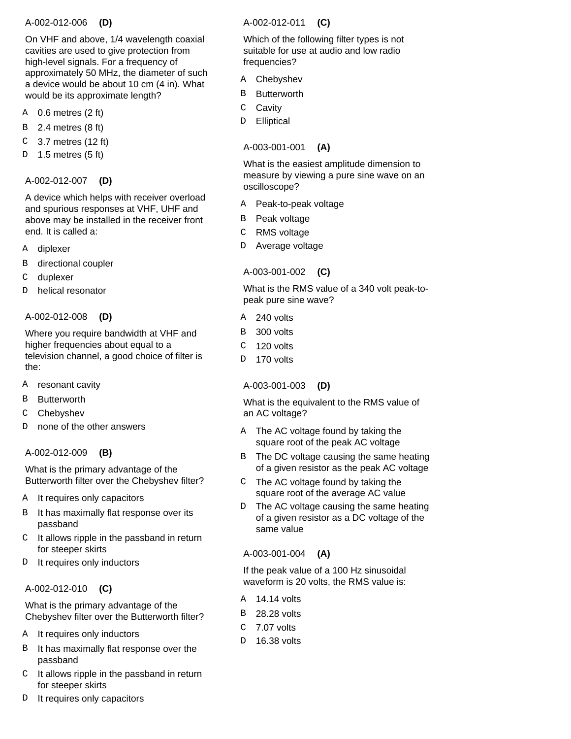### A-002-012-006  **(D)**

On VHF and above, 1/4 wavelength coaxial cavities are used to give protection from high-level signals. For a frequency of approximately 50 MHz, the diameter of such a device would be about 10 cm (4 in). What would be its approximate length?

- 0.6 metres (2 ft) A
- 2.4 metres (8 ft) B
- 3.7 metres (12 ft) C
- 1.5 metres (5 ft) D

### A-002-012-007  **(D)**

A device which helps with receiver overload and spurious responses at VHF, UHF and above may be installed in the receiver front end. It is called a:

- diplexer A
- directional coupler B
- duplexer C
- helical resonator  $\overline{D}$

### A-002-012-008  **(D)**

Where you require bandwidth at VHF and higher frequencies about equal to a television channel, a good choice of filter is the:

- resonant cavity A
- **Butterworth** B
- **Chebyshev** C
- none of the other answers  $\overline{D}$

# A-002-012-009  **(B)**

What is the primary advantage of the Butterworth filter over the Chebyshev filter?

- It requires only capacitors A
- It has maximally flat response over its passband B
- $C$  It allows ripple in the passband in return for steeper skirts
- It requires only inductors D

#### A-002-012-010  **(C)**

What is the primary advantage of the Chebyshev filter over the Butterworth filter?

- It requires only inductors A
- It has maximally flat response over the passband B
- $C$  It allows ripple in the passband in return for steeper skirts
- It requires only capacitors D

# A-002-012-011  **(C)**

Which of the following filter types is not suitable for use at audio and low radio frequencies?

- **Chebyshev** A
- **Butterworth** B
- **Cavity**  $\mathsf C$
- **Elliptical** D

### A-003-001-001  **(A)**

What is the easiest amplitude dimension to measure by viewing a pure sine wave on an oscilloscope?

- Peak-to-peak voltage A
- Peak voltage B
- RMS voltage  $\mathcal{C}$
- Average voltage D

# A-003-001-002  **(C)**

What is the RMS value of a 340 volt peak-topeak pure sine wave?

- 240 volts A
- 300 volts B
- 120 volts  $\Gamma$
- 170 volts D.

# A-003-001-003  **(D)**

What is the equivalent to the RMS value of an AC voltage?

- The AC voltage found by taking the square root of the peak AC voltage A
- The DC voltage causing the same heating of a given resistor as the peak AC voltage B
- The AC voltage found by taking the square root of the average AC value C
- The AC voltage causing the same heating of a given resistor as a DC voltage of the same value D.

#### A-003-001-004  **(A)**

If the peak value of a 100 Hz sinusoidal waveform is 20 volts, the RMS value is:

- 14.14 volts A
- 28.28 volts B
- 7.07 volts  $\mathcal{C}$
- 16.38 volts D.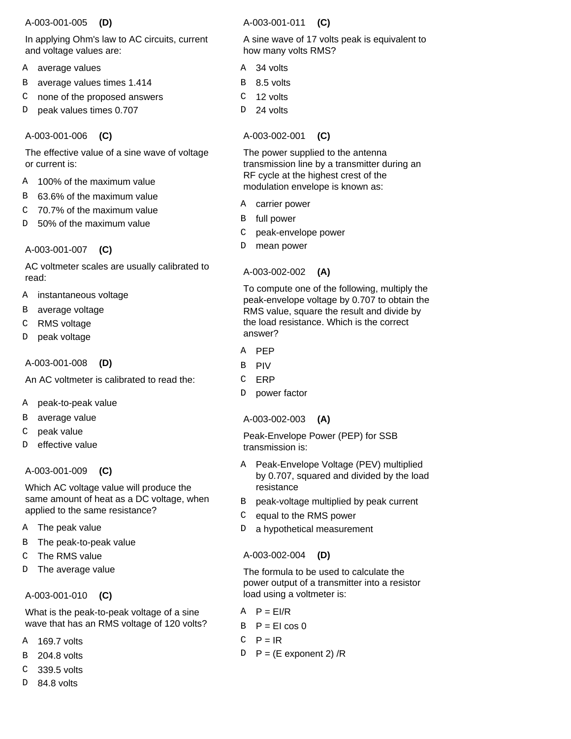### A-003-001-005  **(D)**

In applying Ohm's law to AC circuits, current and voltage values are:

- A average values
- average values times 1.414 B
- none of the proposed answers C
- peak values times 0.707 D

# A-003-001-006  **(C)**

The effective value of a sine wave of voltage or current is:

- 100% of the maximum value A
- 63.6% of the maximum value B
- 70.7% of the maximum value  $\overline{C}$
- 50% of the maximum value D

# A-003-001-007  **(C)**

AC voltmeter scales are usually calibrated to read:

- instantaneous voltage A
- average voltage B
- RMS voltage C
- peak voltage  $\overline{D}$

# A-003-001-008  **(D)**

An AC voltmeter is calibrated to read the:

- peak-to-peak value A
- average value B
- peak value C
- effective value D

# A-003-001-009  **(C)**

Which AC voltage value will produce the same amount of heat as a DC voltage, when applied to the same resistance?

- A The peak value
- The peak-to-peak value B
- The RMS value C
- The average value D

# A-003-001-010  **(C)**

What is the peak-to-peak voltage of a sine wave that has an RMS voltage of 120 volts?

- 169.7 volts A
- 204.8 volts B
- 339.5 volts C
- 84.8 volts D

# A-003-001-011  **(C)**

A sine wave of 17 volts peak is equivalent to how many volts RMS?

- 34 volts A
- B 8.5 volts
- 12 volts C
- 24 volts D

# A-003-002-001  **(C)**

The power supplied to the antenna transmission line by a transmitter during an RF cycle at the highest crest of the modulation envelope is known as:

- carrier power A
- B full power
- peak-envelope power C
- mean power D

# A-003-002-002  **(A)**

To compute one of the following, multiply the peak-envelope voltage by 0.707 to obtain the RMS value, square the result and divide by the load resistance. Which is the correct answer?

- A PEP
- PIV B
- ERP  $\mathcal{C}$
- power factor D<sub>1</sub>

#### A-003-002-003  **(A)**

Peak-Envelope Power (PEP) for SSB transmission is:

- Peak-Envelope Voltage (PEV) multiplied by 0.707, squared and divided by the load resistance A
- B peak-voltage multiplied by peak current
- equal to the RMS power  $\mathcal{C}$
- a hypothetical measurement D.

# A-003-002-004  **(D)**

The formula to be used to calculate the power output of a transmitter into a resistor load using a voltmeter is:

- $A$   $P = EI/R$
- $B$   $P = EI \cos \theta$
- $P = IR$ C
- P = (E exponent 2) /R D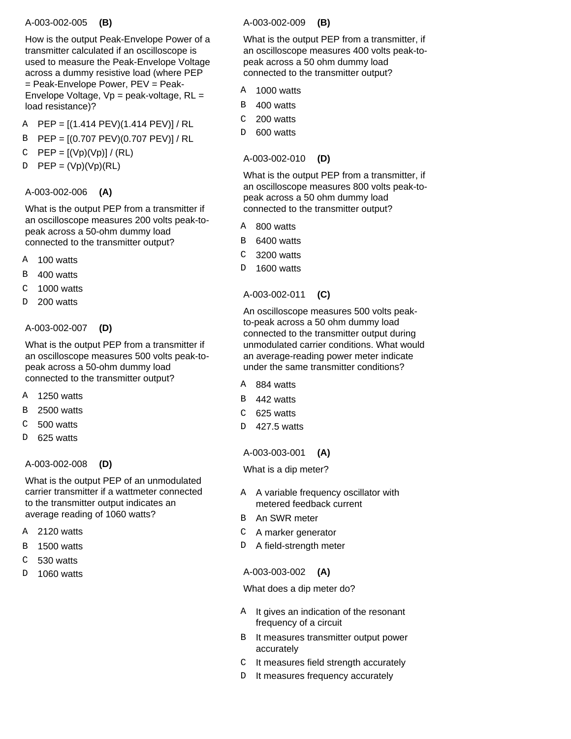#### A-003-002-005  **(B)**

How is the output Peak-Envelope Power of a transmitter calculated if an oscilloscope is used to measure the Peak-Envelope Voltage across a dummy resistive load (where PEP = Peak-Envelope Power, PEV = Peak-Envelope Voltage,  $Vp = peak$ -voltage,  $RL =$ load resistance)?

- PEP = [(1.414 PEV)(1.414 PEV)] / RL A
- PEP = [(0.707 PEV)(0.707 PEV)] / RL B
- $PEP = [(Vp)(Vp)] / (RL)$ C
- $PEP = (Vp)(Vp)(RL)$ D

# A-003-002-006  **(A)**

What is the output PEP from a transmitter if an oscilloscope measures 200 volts peak-topeak across a 50-ohm dummy load connected to the transmitter output?

- 100 watts A
- 400 watts B
- 1000 watts  $\mathcal{C}$
- 200 watts  $\mathbf{D}$

### A-003-002-007  **(D)**

What is the output PEP from a transmitter if an oscilloscope measures 500 volts peak-topeak across a 50-ohm dummy load connected to the transmitter output?

- 1250 watts **A**
- 2500 watts B
- 500 watts  $\overline{C}$
- 625 watts D<sub>1</sub>

#### A-003-002-008  **(D)**

What is the output PEP of an unmodulated carrier transmitter if a wattmeter connected to the transmitter output indicates an average reading of 1060 watts?

- 2120 watts A
- 1500 watts B
- 530 watts  $\cap$
- 1060 watts  $\overline{D}$

#### A-003-002-009  **(B)**

What is the output PEP from a transmitter, if an oscilloscope measures 400 volts peak-topeak across a 50 ohm dummy load connected to the transmitter output?

- 1000 watts A
- 400 watts B
- 200 watts C
- 600 watts D.

# A-003-002-010  **(D)**

What is the output PEP from a transmitter, if an oscilloscope measures 800 volts peak-topeak across a 50 ohm dummy load connected to the transmitter output?

- 800 watts A
- 6400 watts B
- 3200 watts C
- 1600 watts D

# A-003-002-011  **(C)**

An oscilloscope measures 500 volts peakto-peak across a 50 ohm dummy load connected to the transmitter output during unmodulated carrier conditions. What would an average-reading power meter indicate under the same transmitter conditions?

- 884 watts A
- 442 watts B
- 625 watts  $\mathcal{C}$
- 427.5 watts D.

#### A-003-003-001  **(A)**

What is a dip meter?

- A variable frequency oscillator with A metered feedback current
- An SWR meter  $\mathbf{R}$
- A marker generator C
- D A field-strength meter

# A-003-003-002  **(A)**

What does a dip meter do?

- A It gives an indication of the resonant frequency of a circuit
- B It measures transmitter output power accurately
- It measures field strength accurately  $\mathsf{C}$
- It measures frequency accurately  $D$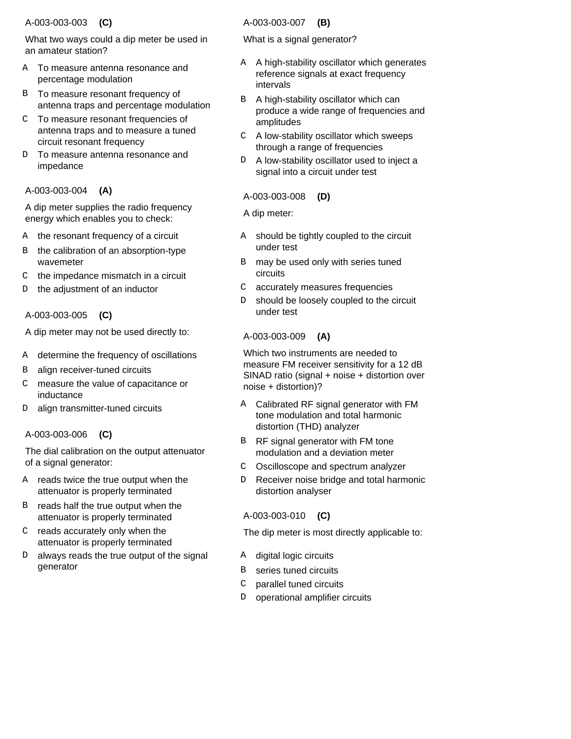### A-003-003-003  **(C)**

What two ways could a dip meter be used in an amateur station?

- To measure antenna resonance and percentage modulation A
- B To measure resonant frequency of antenna traps and percentage modulation
- To measure resonant frequencies of C antenna traps and to measure a tuned circuit resonant frequency
- To measure antenna resonance and impedance D

# A-003-003-004  **(A)**

A dip meter supplies the radio frequency energy which enables you to check:

- the resonant frequency of a circuit A
- the calibration of an absorption-type wavemeter B
- the impedance mismatch in a circuit C
- the adjustment of an inductor D

# A-003-003-005  **(C)**

A dip meter may not be used directly to:

- determine the frequency of oscillations A
- align receiver-tuned circuits B
- measure the value of capacitance or inductance C
- align transmitter-tuned circuits D

# A-003-003-006  **(C)**

The dial calibration on the output attenuator of a signal generator:

- reads twice the true output when the attenuator is properly terminated A
- B reads half the true output when the attenuator is properly terminated
- $C$  reads accurately only when the attenuator is properly terminated
- D always reads the true output of the signal generator

#### A-003-003-007  **(B)**

What is a signal generator?

- A high-stability oscillator which generates reference signals at exact frequency intervals A
- A high-stability oscillator which can produce a wide range of frequencies and amplitudes B
- A low-stability oscillator which sweeps through a range of frequencies  $\mathsf{C}^-$
- A low-stability oscillator used to inject a signal into a circuit under test  $D$

# A-003-003-008  **(D)**

A dip meter:

- should be tightly coupled to the circuit under test A
- may be used only with series tuned circuits B
- accurately measures frequencies  $\mathsf{C}$
- should be loosely coupled to the circuit under test D.

# A-003-003-009  **(A)**

Which two instruments are needed to measure FM receiver sensitivity for a 12 dB SINAD ratio (signal + noise + distortion over noise + distortion)?

- Calibrated RF signal generator with FM tone modulation and total harmonic distortion (THD) analyzer A
- RF signal generator with FM tone modulation and a deviation meter B
- Oscilloscope and spectrum analyzer  $\mathcal{C}$
- Receiver noise bridge and total harmonic distortion analyser D.

# A-003-003-010  **(C)**

The dip meter is most directly applicable to:

- A digital logic circuits
- series tuned circuits B
- parallel tuned circuits  $\mathcal{C}$
- operational amplifier circuits D.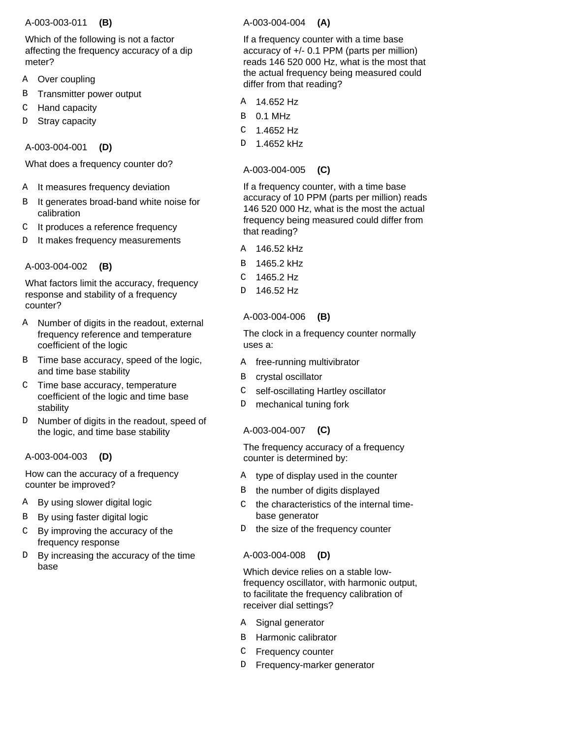#### A-003-003-011  **(B)**

Which of the following is not a factor affecting the frequency accuracy of a dip meter?

- Over coupling A
- Transmitter power output B
- Hand capacity C
- Stray capacity  $\overline{D}$

A-003-004-001  **(D)**

What does a frequency counter do?

- It measures frequency deviation A
- It generates broad-band white noise for calibration B
- It produces a reference frequency C
- It makes frequency measurements D

# A-003-004-002  **(B)**

What factors limit the accuracy, frequency response and stability of a frequency counter?

- Number of digits in the readout, external frequency reference and temperature coefficient of the logic A
- B Time base accuracy, speed of the logic, and time base stability
- Time base accuracy, temperature C coefficient of the logic and time base stability
- D Number of digits in the readout, speed of the logic, and time base stability

# A-003-004-003  **(D)**

How can the accuracy of a frequency counter be improved?

- By using slower digital logic A
- By using faster digital logic B
- By improving the accuracy of the frequency response C
- By increasing the accuracy of the time base  $D$

### A-003-004-004  **(A)**

If a frequency counter with a time base accuracy of +/- 0.1 PPM (parts per million) reads 146 520 000 Hz, what is the most that the actual frequency being measured could differ from that reading?

- 14.652 Hz A
- 0.1 MHz B
- 1.4652 Hz C
- 1.4652 kHz  $\overline{D}$

A-003-004-005  **(C)**

If a frequency counter, with a time base accuracy of 10 PPM (parts per million) reads 146 520 000 Hz, what is the most the actual frequency being measured could differ from that reading?

- 146.52 kHz A
- 1465.2 kHz B
- 1465.2 Hz  $\mathcal{C}$
- 146.52 Hz D

# A-003-004-006  **(B)**

The clock in a frequency counter normally uses a:

- free-running multivibrator A
- crystal oscillator B
- self-oscillating Hartley oscillator C
- mechanical tuning fork D

# A-003-004-007  **(C)**

The frequency accuracy of a frequency counter is determined by:

- type of display used in the counter A
- the number of digits displayed B
- the characteristics of the internal timebase generator  $\Gamma$
- the size of the frequency counter  $\mathbb D$

# A-003-004-008  **(D)**

Which device relies on a stable lowfrequency oscillator, with harmonic output, to facilitate the frequency calibration of receiver dial settings?

- Signal generator A
- Harmonic calibrator B
- Frequency counter C
- Frequency-marker generator D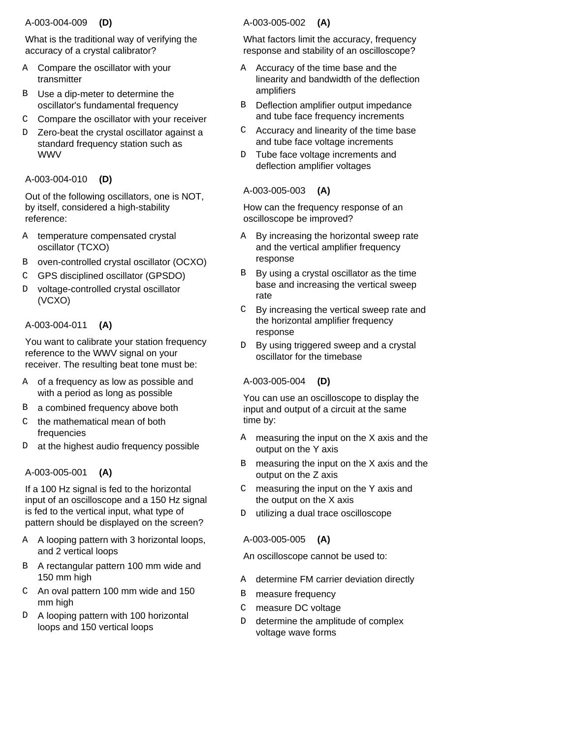### A-003-004-009  **(D)**

What is the traditional way of verifying the accuracy of a crystal calibrator?

- A Compare the oscillator with your transmitter
- B Use a dip-meter to determine the oscillator's fundamental frequency
- Compare the oscillator with your receiver C
- D Zero-beat the crystal oscillator against a standard frequency station such as WWV

# A-003-004-010  **(D)**

Out of the following oscillators, one is NOT, by itself, considered a high-stability reference:

- temperature compensated crystal oscillator (TCXO) A
- oven-controlled crystal oscillator (OCXO) B
- GPS disciplined oscillator (GPSDO) C
- D voltage-controlled crystal oscillator (VCXO)

# A-003-004-011  **(A)**

You want to calibrate your station frequency reference to the WWV signal on your receiver. The resulting beat tone must be:

- A of a frequency as low as possible and with a period as long as possible
- B a combined frequency above both
- the mathematical mean of both frequencies C
- at the highest audio frequency possible D

# A-003-005-001  **(A)**

If a 100 Hz signal is fed to the horizontal input of an oscilloscope and a 150 Hz signal is fed to the vertical input, what type of pattern should be displayed on the screen?

- A looping pattern with 3 horizontal loops, A and 2 vertical loops
- B A rectangular pattern 100 mm wide and 150 mm high
- An oval pattern 100 mm wide and 150 C mm high
- D A looping pattern with 100 horizontal loops and 150 vertical loops

# A-003-005-002  **(A)**

What factors limit the accuracy, frequency response and stability of an oscilloscope?

- A Accuracy of the time base and the linearity and bandwidth of the deflection amplifiers
- Deflection amplifier output impedance and tube face frequency increments B
- Accuracy and linearity of the time base and tube face voltage increments C
- Tube face voltage increments and deflection amplifier voltages D.

# A-003-005-003  **(A)**

How can the frequency response of an oscilloscope be improved?

- By increasing the horizontal sweep rate and the vertical amplifier frequency response A
- By using a crystal oscillator as the time base and increasing the vertical sweep rate B
- By increasing the vertical sweep rate and the horizontal amplifier frequency response  $\mathsf{C}$
- By using triggered sweep and a crystal oscillator for the timebase D.

# A-003-005-004  **(D)**

You can use an oscilloscope to display the input and output of a circuit at the same time by:

- measuring the input on the X axis and the output on the Y axis A
- measuring the input on the X axis and the output on the Z axis B
- measuring the input on the Y axis and the output on the X axis  $\mathcal{C}$
- utilizing a dual trace oscilloscope D.

# A-003-005-005  **(A)**

An oscilloscope cannot be used to:

- determine FM carrier deviation directly A
- measure frequency B
- measure DC voltage  $\mathcal{C}$
- determine the amplitude of complex voltage wave forms D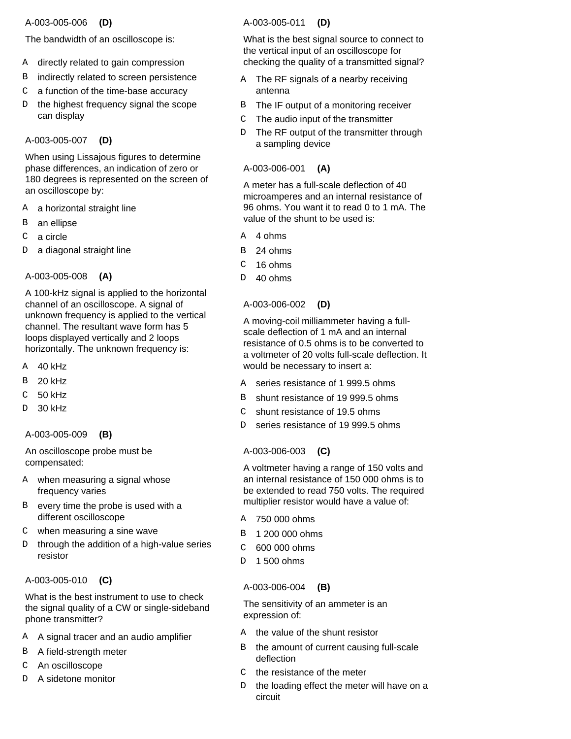### A-003-005-006  **(D)**

The bandwidth of an oscilloscope is:

- A directly related to gain compression
- indirectly related to screen persistence B
- a function of the time-base accuracy  $\mathcal{C}$
- the highest frequency signal the scope can display D

# A-003-005-007  **(D)**

When using Lissajous figures to determine phase differences, an indication of zero or 180 degrees is represented on the screen of an oscilloscope by:

- A a horizontal straight line
- an ellipse B
- a circle C
- a diagonal straight line D

# A-003-005-008  **(A)**

A 100-kHz signal is applied to the horizontal channel of an oscilloscope. A signal of unknown frequency is applied to the vertical channel. The resultant wave form has 5 loops displayed vertically and 2 loops horizontally. The unknown frequency is:

- 40 kHz A
- 20 kHz B
- 50 kHz  $\overline{C}$
- 30 kHz D

A-003-005-009  **(B)**

An oscilloscope probe must be compensated:

- when measuring a signal whose A frequency varies
- B every time the probe is used with a different oscilloscope
- when measuring a sine wave C
- D through the addition of a high-value series resistor

# A-003-005-010  **(C)**

What is the best instrument to use to check the signal quality of a CW or single-sideband phone transmitter?

- A signal tracer and an audio amplifier A
- B A field-strength meter
- An oscilloscope C
- A sidetone monitor D

# A-003-005-011  **(D)**

What is the best signal source to connect to the vertical input of an oscilloscope for checking the quality of a transmitted signal?

- The RF signals of a nearby receiving antenna A
- B The IF output of a monitoring receiver
- The audio input of the transmitter  $\mathcal{C}$
- D The RF output of the transmitter through a sampling device

# A-003-006-001  **(A)**

A meter has a full-scale deflection of 40 microamperes and an internal resistance of 96 ohms. You want it to read 0 to 1 mA. The value of the shunt to be used is:

- A 4 ohms
- 24 ohms B
- 16 ohms  $\overline{C}$
- 40 ohms D

### A-003-006-002  **(D)**

A moving-coil milliammeter having a fullscale deflection of 1 mA and an internal resistance of 0.5 ohms is to be converted to a voltmeter of 20 volts full-scale deflection. It would be necessary to insert a:

- A series resistance of 1 999.5 ohms
- B shunt resistance of 19 999.5 ohms
- shunt resistance of 19.5 ohms  $\mathcal{C}$
- series resistance of 19 999.5 ohms  $D$

# A-003-006-003  **(C)**

A voltmeter having a range of 150 volts and an internal resistance of 150 000 ohms is to be extended to read 750 volts. The required multiplier resistor would have a value of:

- 750 000 ohms A
- B 1 200 000 ohms
- 600 000 ohms  $\cap$
- 1 500 ohms D

# A-003-006-004  **(B)**

The sensitivity of an ammeter is an expression of:

- A the value of the shunt resistor
- the amount of current causing full-scale deflection B
- the resistance of the meter  $\mathcal{C}$
- the loading effect the meter will have on a circuit D.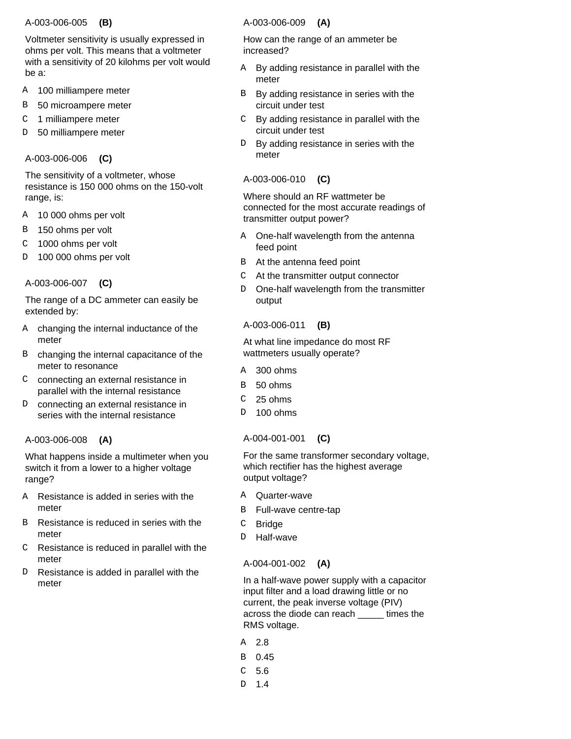#### A-003-006-005  **(B)**

Voltmeter sensitivity is usually expressed in ohms per volt. This means that a voltmeter with a sensitivity of 20 kilohms per volt would be a:

- 100 milliampere meter A
- 50 microampere meter B
- 1 milliampere meter C
- 50 milliampere meter D

# A-003-006-006  **(C)**

The sensitivity of a voltmeter, whose resistance is 150 000 ohms on the 150-volt range, is:

- 10 000 ohms per volt A
- 150 ohms per volt B
- 1000 ohms per volt C
- 100 000 ohms per volt D

# A-003-006-007  **(C)**

The range of a DC ammeter can easily be extended by:

- A changing the internal inductance of the meter
- B changing the internal capacitance of the meter to resonance
- C connecting an external resistance in parallel with the internal resistance
- connecting an external resistance in series with the internal resistance D

# A-003-006-008  **(A)**

What happens inside a multimeter when you switch it from a lower to a higher voltage range?

- Resistance is added in series with the meter A
- Resistance is reduced in series with the meter B
- $C$  Resistance is reduced in parallel with the meter
- Resistance is added in parallel with the meter  $\overline{D}$

# A-003-006-009  **(A)**

How can the range of an ammeter be increased?

- By adding resistance in parallel with the meter A
- By adding resistance in series with the circuit under test B
- By adding resistance in parallel with the circuit under test  $\mathcal{C}$
- By adding resistance in series with the meter  $D$

# A-003-006-010  **(C)**

Where should an RF wattmeter be connected for the most accurate readings of transmitter output power?

- One-half wavelength from the antenna feed point A
- At the antenna feed point B
- At the transmitter output connector C
- One-half wavelength from the transmitter output D.

### A-003-006-011  **(B)**

At what line impedance do most RF wattmeters usually operate?

- 300 ohms A
- 50 ohms <sub>R</sub>
- 25 ohms  $\mathcal{C}$
- 100 ohms D.

# A-004-001-001  **(C)**

For the same transformer secondary voltage, which rectifier has the highest average output voltage?

- Quarter-wave A
- Full-wave centre-tap B
- **Bridge** C
- Half-wave D

# A-004-001-002  **(A)**

In a half-wave power supply with a capacitor input filter and a load drawing little or no current, the peak inverse voltage (PIV) across the diode can reach \_\_\_\_\_ times the RMS voltage.

- 2.8 A
- 0.45 B
- 5.6 C
- 1.4 D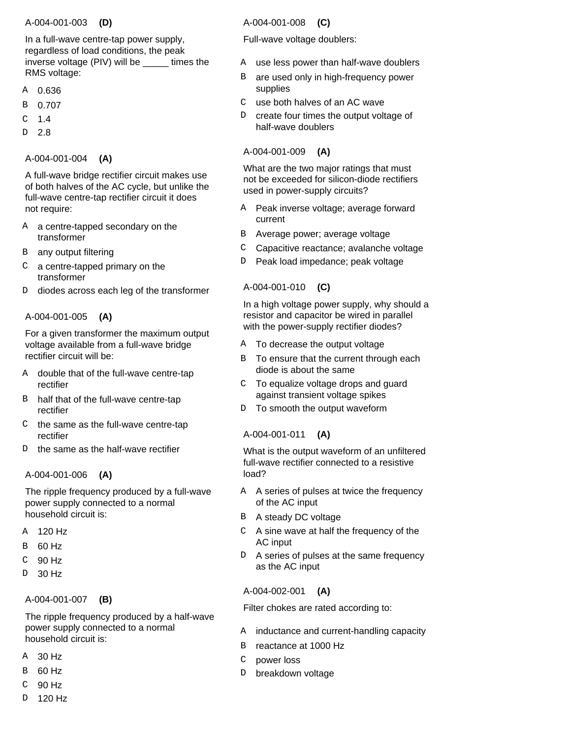# A-004-001-003  **(D)**

In a full-wave centre-tap power supply, regardless of load conditions, the peak inverse voltage (PIV) will be \_\_\_\_\_ times the RMS voltage:

- 0.636 A
- 0.707 B
- 1.4  $\mathcal{C}$
- 2.8 D

# A-004-001-004  **(A)**

A full-wave bridge rectifier circuit makes use of both halves of the AC cycle, but unlike the full-wave centre-tap rectifier circuit it does not require:

- A a centre-tapped secondary on the transformer
- any output filtering B
- a centre-tapped primary on the transformer C
- diodes across each leg of the transformer D.

# A-004-001-005  **(A)**

For a given transformer the maximum output voltage available from a full-wave bridge rectifier circuit will be:

- double that of the full-wave centre-tap rectifier A
- B half that of the full-wave centre-tap rectifier
- the same as the full-wave centre-tap rectifier  $\cap$
- the same as the half-wave rectifier D

# A-004-001-006  **(A)**

The ripple frequency produced by a full-wave power supply connected to a normal household circuit is:

- 120 Hz A
- 60 Hz B
- 90 Hz  $\overline{C}$
- 30 Hz  $\overline{D}$

# A-004-001-007  **(B)**

The ripple frequency produced by a half-wave power supply connected to a normal household circuit is:

- 30 Hz A
- 60 Hz B
- 90 Hz C
- 120 Hz D

# A-004-001-008  **(C)**

# Full-wave voltage doublers:

- use less power than half-wave doublers A
- are used only in high-frequency power supplies B
- use both halves of an AC wave  $\mathsf{C}$
- create four times the output voltage of half-wave doublers D

# A-004-001-009  **(A)**

What are the two major ratings that must not be exceeded for silicon-diode rectifiers used in power-supply circuits?

- A Peak inverse voltage; average forward current
- Average power; average voltage B
- Capacitive reactance; avalanche voltage C
- Peak load impedance; peak voltage D

# A-004-001-010  **(C)**

In a high voltage power supply, why should a resistor and capacitor be wired in parallel with the power-supply rectifier diodes?

- A To decrease the output voltage
- B To ensure that the current through each diode is about the same
- To equalize voltage drops and guard against transient voltage spikes  $\mathcal{C}$
- To smooth the output waveform D

# A-004-001-011  **(A)**

What is the output waveform of an unfiltered full-wave rectifier connected to a resistive load?

- A A series of pulses at twice the frequency of the AC input
- B A steady DC voltage
- $C$  A sine wave at half the frequency of the AC input
- A series of pulses at the same frequency D as the AC input

# A-004-002-001  **(A)**

Filter chokes are rated according to:

- A inductance and current-handling capacity
- reactance at 1000 Hz B
- power loss C
- breakdown voltage D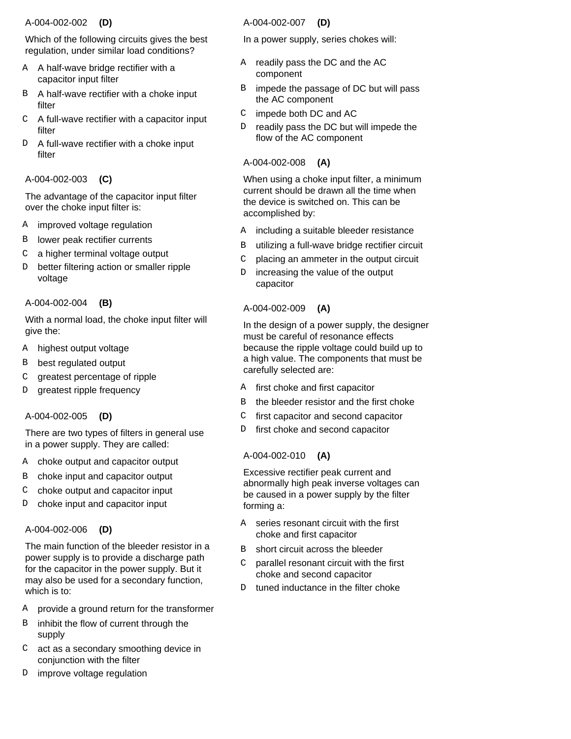### A-004-002-002  **(D)**

Which of the following circuits gives the best regulation, under similar load conditions?

- A half-wave bridge rectifier with a A capacitor input filter
- B A half-wave rectifier with a choke input filter
- $C$  A full-wave rectifier with a capacitor input filter
- A full-wave rectifier with a choke input filter D

# A-004-002-003  **(C)**

The advantage of the capacitor input filter over the choke input filter is:

- improved voltage regulation A
- lower peak rectifier currents B
- a higher terminal voltage output C
- better filtering action or smaller ripple voltage D.

### A-004-002-004  **(B)**

With a normal load, the choke input filter will give the:

- A highest output voltage
- best regulated output B
- greatest percentage of ripple  $\mathcal{C}$
- greatest ripple frequency  $\overline{D}$

# A-004-002-005  **(D)**

There are two types of filters in general use in a power supply. They are called:

- A choke output and capacitor output
- choke input and capacitor output B
- choke output and capacitor input  $\mathcal{C}$
- choke input and capacitor input  $\overline{D}$

# A-004-002-006  **(D)**

The main function of the bleeder resistor in a power supply is to provide a discharge path for the capacitor in the power supply. But it may also be used for a secondary function, which is to:

- provide a ground return for the transformer A
- inhibit the flow of current through the supply B
- act as a secondary smoothing device in C conjunction with the filter
- improve voltage regulation  $D$

### A-004-002-007  **(D)**

In a power supply, series chokes will:

- A readily pass the DC and the AC component
- impede the passage of DC but will pass the AC component B
- impede both DC and AC  $\mathsf{C}$
- readily pass the DC but will impede the flow of the AC component D

### A-004-002-008  **(A)**

When using a choke input filter, a minimum current should be drawn all the time when the device is switched on. This can be accomplished by:

- including a suitable bleeder resistance A
- utilizing a full-wave bridge rectifier circuit B
- placing an ammeter in the output circuit C
- increasing the value of the output capacitor  $D$

# A-004-002-009  **(A)**

In the design of a power supply, the designer must be careful of resonance effects because the ripple voltage could build up to a high value. The components that must be carefully selected are:

- first choke and first capacitor A
- the bleeder resistor and the first choke B
- first capacitor and second capacitor C
- first choke and second capacitor D

# A-004-002-010  **(A)**

Excessive rectifier peak current and abnormally high peak inverse voltages can be caused in a power supply by the filter forming a:

- series resonant circuit with the first choke and first capacitor A
- short circuit across the bleeder B
- parallel resonant circuit with the first choke and second capacitor  $\cap$
- tuned inductance in the filter choke  $D$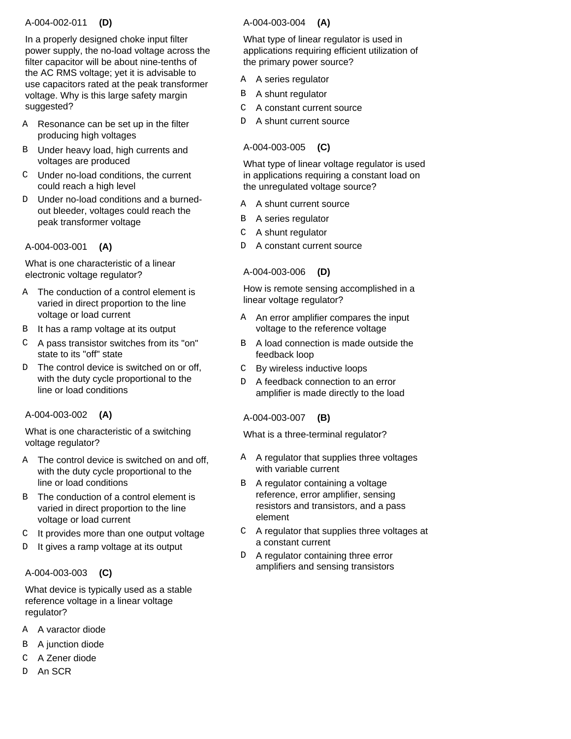### A-004-002-011  **(D)**

In a properly designed choke input filter power supply, the no-load voltage across the filter capacitor will be about nine-tenths of the AC RMS voltage; yet it is advisable to use capacitors rated at the peak transformer voltage. Why is this large safety margin suggested?

- A Resonance can be set up in the filter producing high voltages
- B Under heavy load, high currents and voltages are produced
- Under no-load conditions, the current C could reach a high level
- D Under no-load conditions and a burnedout bleeder, voltages could reach the peak transformer voltage

# A-004-003-001  **(A)**

What is one characteristic of a linear electronic voltage regulator?

- A The conduction of a control element is varied in direct proportion to the line voltage or load current
- B It has a ramp voltage at its output
- A pass transistor switches from its "on" C state to its "off" state
- D The control device is switched on or off, with the duty cycle proportional to the line or load conditions

# A-004-003-002  **(A)**

What is one characteristic of a switching voltage regulator?

- A The control device is switched on and off, with the duty cycle proportional to the line or load conditions
- B The conduction of a control element is varied in direct proportion to the line voltage or load current
- It provides more than one output voltage C
- It gives a ramp voltage at its output D

#### A-004-003-003  **(C)**

What device is typically used as a stable reference voltage in a linear voltage regulator?

- A varactor diode A
- B A junction diode
- A Zener diode C
- An SCR D.

# A-004-003-004  **(A)**

What type of linear regulator is used in applications requiring efficient utilization of the primary power source?

- A series regulator A
- A shunt regulator B
- A constant current source  $\mathsf C$
- A shunt current source D

# A-004-003-005  **(C)**

What type of linear voltage regulator is used in applications requiring a constant load on the unregulated voltage source?

- A shunt current source A
- B A series regulator
- A shunt regulator  $\mathsf{C}$
- A constant current source  $D$

# A-004-003-006  **(D)**

How is remote sensing accomplished in a linear voltage regulator?

- A An error amplifier compares the input voltage to the reference voltage
- A load connection is made outside the feedback loop R<sub>b</sub>
- By wireless inductive loops  $\mathcal{C}$
- A feedback connection to an error amplifier is made directly to the load D.

#### A-004-003-007  **(B)**

What is a three-terminal regulator?

- A A regulator that supplies three voltages with variable current
- A regulator containing a voltage reference, error amplifier, sensing resistors and transistors, and a pass element B
- A regulator that supplies three voltages at C a constant current
- A regulator containing three error amplifiers and sensing transistors  $D$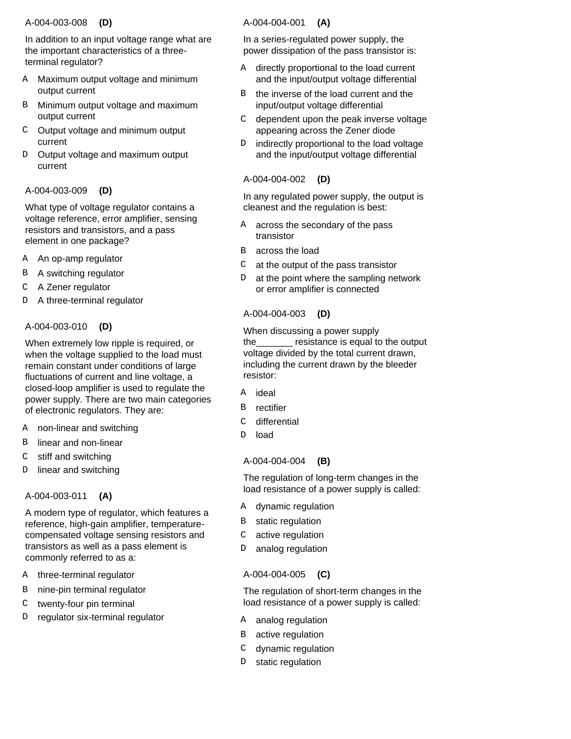### A-004-003-008  **(D)**

In addition to an input voltage range what are the important characteristics of a threeterminal regulator?

- Maximum output voltage and minimum output current A
- Minimum output voltage and maximum output current B
- Output voltage and minimum output current C
- Output voltage and maximum output current D

# A-004-003-009  **(D)**

What type of voltage regulator contains a voltage reference, error amplifier, sensing resistors and transistors, and a pass element in one package?

- An op-amp regulator A
- A switching regulator B
- A Zener regulator C
- A three-terminal regulator D

# A-004-003-010  **(D)**

When extremely low ripple is required, or when the voltage supplied to the load must remain constant under conditions of large fluctuations of current and line voltage, a closed-loop amplifier is used to regulate the power supply. There are two main categories of electronic regulators. They are:

- non-linear and switching A
- linear and non-linear B
- stiff and switching C
- linear and switching  $\mathsf{D}$

#### A-004-003-011  **(A)**

A modern type of regulator, which features a reference, high-gain amplifier, temperaturecompensated voltage sensing resistors and transistors as well as a pass element is commonly referred to as a:

- three-terminal regulator A
- nine-pin terminal regulator B
- twenty-four pin terminal  $\mathcal{C}$
- regulator six-terminal regulator  $\overline{D}$

### A-004-004-001  **(A)**

In a series-regulated power supply, the power dissipation of the pass transistor is:

- A directly proportional to the load current and the input/output voltage differential
- the inverse of the load current and the input/output voltage differential B
- dependent upon the peak inverse voltage appearing across the Zener diode C
- indirectly proportional to the load voltage and the input/output voltage differential  $D$

# A-004-004-002  **(D)**

In any regulated power supply, the output is cleanest and the regulation is best:

- across the secondary of the pass transistor A
- B across the load
- at the output of the pass transistor  $\mathsf{C}$
- at the point where the sampling network or error amplifier is connected D

# A-004-004-003  **(D)**

When discussing a power supply the\_\_\_\_\_\_\_ resistance is equal to the output voltage divided by the total current drawn, including the current drawn by the bleeder resistor:

- ideal A
- rectifier B
- differential  $\mathcal{C}$
- load D

# A-004-004-004  **(B)**

The regulation of long-term changes in the load resistance of a power supply is called:

- A dynamic regulation
- static regulation B
- active regulation  $\mathsf{C}^-$
- analog regulation D

# A-004-004-005  **(C)**

The regulation of short-term changes in the load resistance of a power supply is called:

- A analog regulation
- B active regulation
- dynamic regulation  $\mathsf{C}$
- static regulation D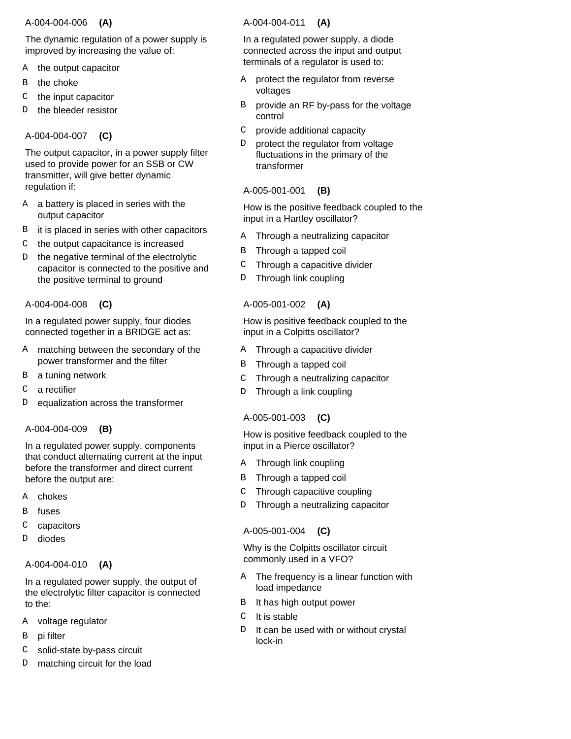### A-004-004-006  **(A)**

The dynamic regulation of a power supply is improved by increasing the value of:

- the output capacitor A
- the choke B
- the input capacitor C
- the bleeder resistor D

# A-004-004-007  **(C)**

The output capacitor, in a power supply filter used to provide power for an SSB or CW transmitter, will give better dynamic regulation if:

- a battery is placed in series with the output capacitor A
- it is placed in series with other capacitors B
- the output capacitance is increased C
- the negative terminal of the electrolytic capacitor is connected to the positive and the positive terminal to ground D

### A-004-004-008  **(C)**

In a regulated power supply, four diodes connected together in a BRIDGE act as:

- A matching between the secondary of the power transformer and the filter
- a tuning network B
- a rectifier C
- equalization across the transformer  $\overline{D}$

# A-004-004-009  **(B)**

In a regulated power supply, components that conduct alternating current at the input before the transformer and direct current before the output are:

- chokes A
- fuses B
- capacitors C
- diodes  $\overline{D}$

# A-004-004-010  **(A)**

In a regulated power supply, the output of the electrolytic filter capacitor is connected to the:

- voltage regulator A
- pi filter B
- solid-state by-pass circuit C
- matching circuit for the load D

# A-004-004-011  **(A)**

In a regulated power supply, a diode connected across the input and output terminals of a regulator is used to:

- protect the regulator from reverse voltages A
- provide an RF by-pass for the voltage control B
- provide additional capacity C
- protect the regulator from voltage fluctuations in the primary of the transformer <sub>D</sub>

# A-005-001-001  **(B)**

How is the positive feedback coupled to the input in a Hartley oscillator?

- Through a neutralizing capacitor A
- Through a tapped coil B
- Through a capacitive divider  $\mathsf C$
- Through link coupling  $\mathbb D$

# A-005-001-002  **(A)**

How is positive feedback coupled to the input in a Colpitts oscillator?

- A Through a capacitive divider
- Through a tapped coil B
- Through a neutralizing capacitor  $\mathcal{C}$
- Through a link coupling  $\mathbb D$

# A-005-001-003  **(C)**

How is positive feedback coupled to the input in a Pierce oscillator?

- A Through link coupling
- Through a tapped coil B
- Through capacitive coupling  $\mathsf C$
- Through a neutralizing capacitor  $\mathbb D$

# A-005-001-004  **(C)**

Why is the Colpitts oscillator circuit commonly used in a VFO?

- The frequency is a linear function with load impedance A
- It has high output power B
- It is stable  $\mathcal{C}$
- It can be used with or without crystal lock-in  $D$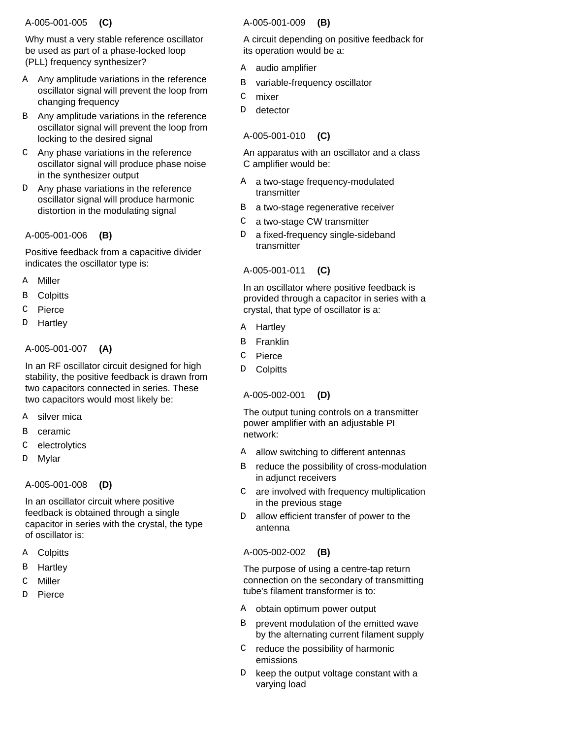### A-005-001-005  **(C)**

Why must a very stable reference oscillator be used as part of a phase-locked loop (PLL) frequency synthesizer?

- A Any amplitude variations in the reference oscillator signal will prevent the loop from changing frequency
- B Any amplitude variations in the reference oscillator signal will prevent the loop from locking to the desired signal
- Any phase variations in the reference C oscillator signal will produce phase noise in the synthesizer output
- Any phase variations in the reference oscillator signal will produce harmonic distortion in the modulating signal D

### A-005-001-006  **(B)**

Positive feedback from a capacitive divider indicates the oscillator type is:

- Miller A
- **Colpitts** B
- Pierce C
- **Hartley** D

# A-005-001-007  **(A)**

In an RF oscillator circuit designed for high stability, the positive feedback is drawn from two capacitors connected in series. These two capacitors would most likely be:

- silver mica **A**
- ceramic B
- electrolytics C
- Mylar D

# A-005-001-008  **(D)**

In an oscillator circuit where positive feedback is obtained through a single capacitor in series with the crystal, the type of oscillator is:

- **Colpitts** A
- **Hartley** B
- Miller C
- Pierce D

# A-005-001-009  **(B)**

A circuit depending on positive feedback for its operation would be a:

- audio amplifier A
- variable-frequency oscillator B
- mixer C
- detector D.

# A-005-001-010  **(C)**

An apparatus with an oscillator and a class C amplifier would be:

- A a two-stage frequency-modulated transmitter
- a two-stage regenerative receiver B
- a two-stage CW transmitter  $\mathsf C$
- a fixed-frequency single-sideband transmitter D

# A-005-001-011  **(C)**

In an oscillator where positive feedback is provided through a capacitor in series with a crystal, that type of oscillator is a:

- **Hartley** A
- Franklin B
- Pierce  $\mathcal{C}$
- **Colpitts** D.

# A-005-002-001  **(D)**

The output tuning controls on a transmitter power amplifier with an adjustable PI network:

- allow switching to different antennas A
- reduce the possibility of cross-modulation in adjunct receivers B
- are involved with frequency multiplication in the previous stage  $\mathsf C$
- allow efficient transfer of power to the antenna D.

# A-005-002-002  **(B)**

The purpose of using a centre-tap return connection on the secondary of transmitting tube's filament transformer is to:

- A obtain optimum power output
- prevent modulation of the emitted wave by the alternating current filament supply B
- $C$  reduce the possibility of harmonic emissions
- keep the output voltage constant with a varying load D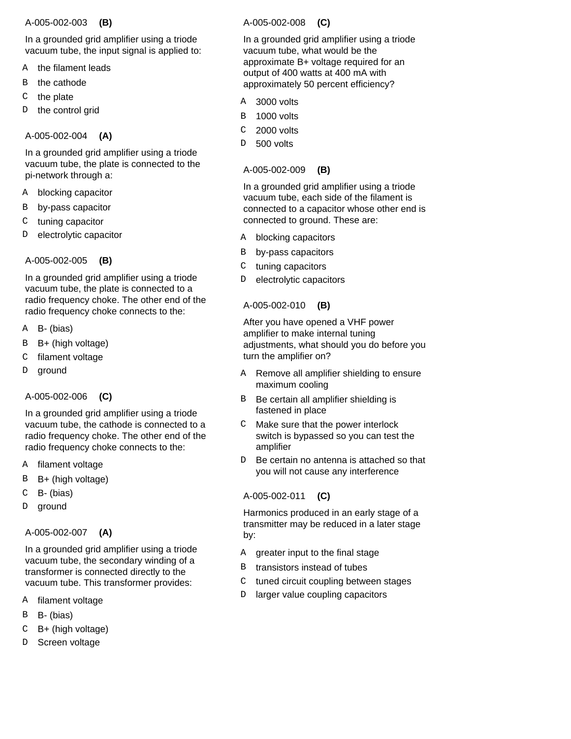#### A-005-002-003  **(B)**

In a grounded grid amplifier using a triode vacuum tube, the input signal is applied to:

- the filament leads A
- the cathode B
- the plate C
- the control grid D

# A-005-002-004  **(A)**

In a grounded grid amplifier using a triode vacuum tube, the plate is connected to the pi-network through a:

- blocking capacitor A
- by-pass capacitor B
- tuning capacitor C
- electrolytic capacitor  $\mathcal{D}$

# A-005-002-005  **(B)**

In a grounded grid amplifier using a triode vacuum tube, the plate is connected to a radio frequency choke. The other end of the radio frequency choke connects to the:

- B- (bias) A
- B+ (high voltage) B
- filament voltage  $\overline{C}$
- ground D

# A-005-002-006  **(C)**

In a grounded grid amplifier using a triode vacuum tube, the cathode is connected to a radio frequency choke. The other end of the radio frequency choke connects to the:

- filament voltage A
- B+ (high voltage) B
- B- (bias) C
- ground D

# A-005-002-007  **(A)**

In a grounded grid amplifier using a triode vacuum tube, the secondary winding of a transformer is connected directly to the vacuum tube. This transformer provides:

- filament voltage A
- B- (bias) B
- B+ (high voltage) C
- Screen voltage D

# A-005-002-008  **(C)**

In a grounded grid amplifier using a triode vacuum tube, what would be the approximate B+ voltage required for an output of 400 watts at 400 mA with approximately 50 percent efficiency?

- 3000 volts A
- 1000 volts B
- 2000 volts C
- 500 volts <sub>D</sub>

### A-005-002-009  **(B)**

In a grounded grid amplifier using a triode vacuum tube, each side of the filament is connected to a capacitor whose other end is connected to ground. These are:

- blocking capacitors A
- by-pass capacitors B
- tuning capacitors C
- electrolytic capacitors D

# A-005-002-010  **(B)**

After you have opened a VHF power amplifier to make internal tuning adjustments, what should you do before you turn the amplifier on?

- Remove all amplifier shielding to ensure maximum cooling A
- Be certain all amplifier shielding is fastened in place B
- Make sure that the power interlock switch is bypassed so you can test the amplifier  $\mathcal{C}$
- Be certain no antenna is attached so that you will not cause any interference D.

# A-005-002-011  **(C)**

Harmonics produced in an early stage of a transmitter may be reduced in a later stage by:

- greater input to the final stage A
- transistors instead of tubes B
- tuned circuit coupling between stages C
- larger value coupling capacitors D.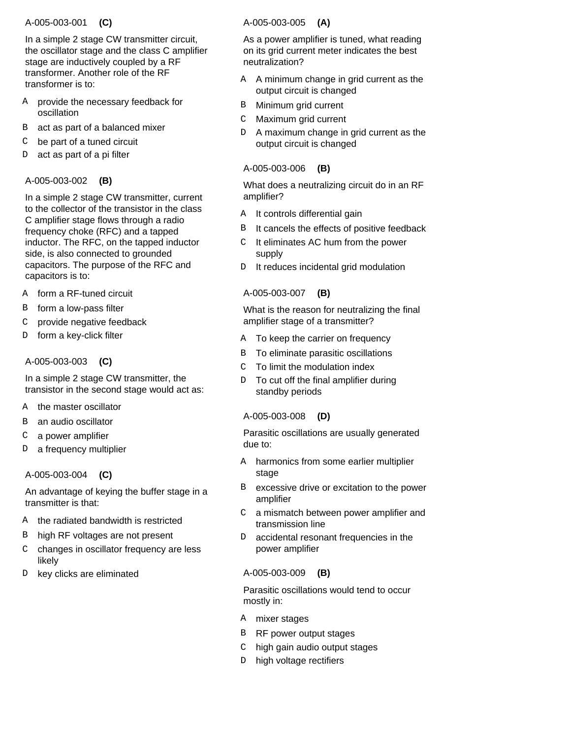# A-005-003-001  **(C)**

In a simple 2 stage CW transmitter circuit, the oscillator stage and the class C amplifier stage are inductively coupled by a RF transformer. Another role of the RF transformer is to:

- A provide the necessary feedback for oscillation
- act as part of a balanced mixer B
- be part of a tuned circuit C
- act as part of a pi filter D

# A-005-003-002  **(B)**

In a simple 2 stage CW transmitter, current to the collector of the transistor in the class C amplifier stage flows through a radio frequency choke (RFC) and a tapped inductor. The RFC, on the tapped inductor side, is also connected to grounded capacitors. The purpose of the RFC and capacitors is to:

- form a RF-tuned circuit A
- form a low-pass filter B
- provide negative feedback C
- form a key-click filter D

# A-005-003-003  **(C)**

In a simple 2 stage CW transmitter, the transistor in the second stage would act as:

- the master oscillator A
- an audio oscillator B
- a power amplifier C
- a frequency multiplier D

# A-005-003-004  **(C)**

An advantage of keying the buffer stage in a transmitter is that:

- the radiated bandwidth is restricted A
- high RF voltages are not present B
- changes in oscillator frequency are less likely C
- key clicks are eliminated D.

### A-005-003-005  **(A)**

As a power amplifier is tuned, what reading on its grid current meter indicates the best neutralization?

- A A minimum change in grid current as the output circuit is changed
- Minimum grid current B
- Maximum grid current  $\mathcal{C}$
- A maximum change in grid current as the output circuit is changed D.

### A-005-003-006  **(B)**

What does a neutralizing circuit do in an RF amplifier?

- A It controls differential gain
- It cancels the effects of positive feedback B
- It eliminates AC hum from the power supply  $\mathsf{C}$
- It reduces incidental grid modulation D

### A-005-003-007  **(B)**

What is the reason for neutralizing the final amplifier stage of a transmitter?

- A To keep the carrier on frequency
- To eliminate parasitic oscillations B
- To limit the modulation index  $\mathcal{C}$
- To cut off the final amplifier during standby periods  $D$

#### A-005-003-008  **(D)**

Parasitic oscillations are usually generated due to:

- harmonics from some earlier multiplier stage A
- excessive drive or excitation to the power amplifier B
- a mismatch between power amplifier and transmission line  $\mathcal{C}$
- accidental resonant frequencies in the power amplifier  $D$

# A-005-003-009  **(B)**

Parasitic oscillations would tend to occur mostly in:

- A mixer stages
- B RF power output stages
- high gain audio output stages C
- D high voltage rectifiers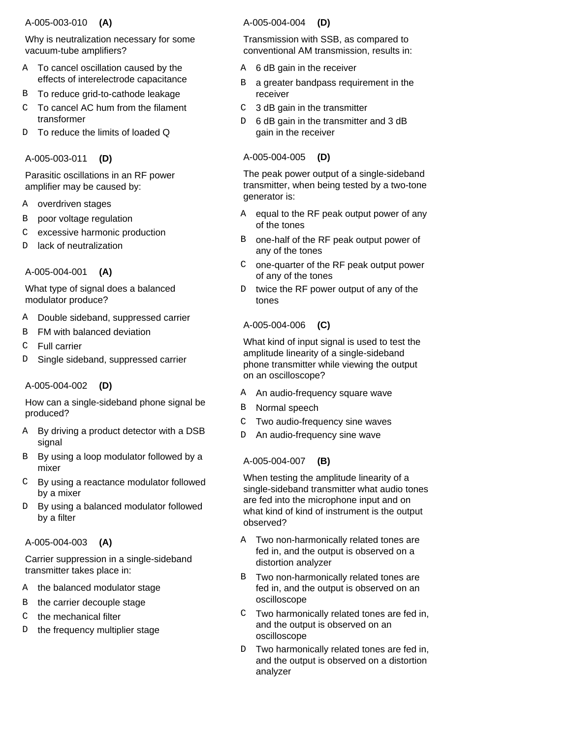### A-005-003-010  **(A)**

Why is neutralization necessary for some vacuum-tube amplifiers?

- A To cancel oscillation caused by the effects of interelectrode capacitance
- B To reduce grid-to-cathode leakage
- To cancel AC hum from the filament transformer C
- D To reduce the limits of loaded Q

# A-005-003-011  **(D)**

Parasitic oscillations in an RF power amplifier may be caused by:

- overdriven stages A
- poor voltage regulation B
- excessive harmonic production C
- lack of neutralization D

# A-005-004-001  **(A)**

What type of signal does a balanced modulator produce?

- Double sideband, suppressed carrier A
- FM with balanced deviation B
- Full carrier  $\mathcal{C}$
- Single sideband, suppressed carrier D

# A-005-004-002  **(D)**

How can a single-sideband phone signal be produced?

- By driving a product detector with a DSB signal A
- B By using a loop modulator followed by a mixer
- By using a reactance modulator followed by a mixer  $\cap$
- By using a balanced modulator followed by a filter D

# A-005-004-003  **(A)**

Carrier suppression in a single-sideband transmitter takes place in:

- the balanced modulator stage A
- the carrier decouple stage B
- the mechanical filter  $\mathcal{C}$
- the frequency multiplier stage D

# A-005-004-004  **(D)**

Transmission with SSB, as compared to conventional AM transmission, results in:

- 6 dB gain in the receiver A
- a greater bandpass requirement in the receiver B
- 3 dB gain in the transmitter  $\mathsf{C}$
- 6 dB gain in the transmitter and 3 dB gain in the receiver D

# A-005-004-005  **(D)**

The peak power output of a single-sideband transmitter, when being tested by a two-tone generator is:

- equal to the RF peak output power of any of the tones A
- one-half of the RF peak output power of any of the tones B
- one-quarter of the RF peak output power of any of the tones  $\mathsf{C}$
- twice the RF power output of any of the tones D.

# A-005-004-006  **(C)**

What kind of input signal is used to test the amplitude linearity of a single-sideband phone transmitter while viewing the output on an oscilloscope?

- An audio-frequency square wave A
- Normal speech B
- Two audio-frequency sine waves C
- An audio-frequency sine wave D

# A-005-004-007  **(B)**

When testing the amplitude linearity of a single-sideband transmitter what audio tones are fed into the microphone input and on what kind of kind of instrument is the output observed?

- A Two non-harmonically related tones are fed in, and the output is observed on a distortion analyzer
- Two non-harmonically related tones are B fed in, and the output is observed on an oscilloscope
- Two harmonically related tones are fed in, and the output is observed on an oscilloscope  $\mathcal{C}$
- Two harmonically related tones are fed in, and the output is observed on a distortion analyzer  $D$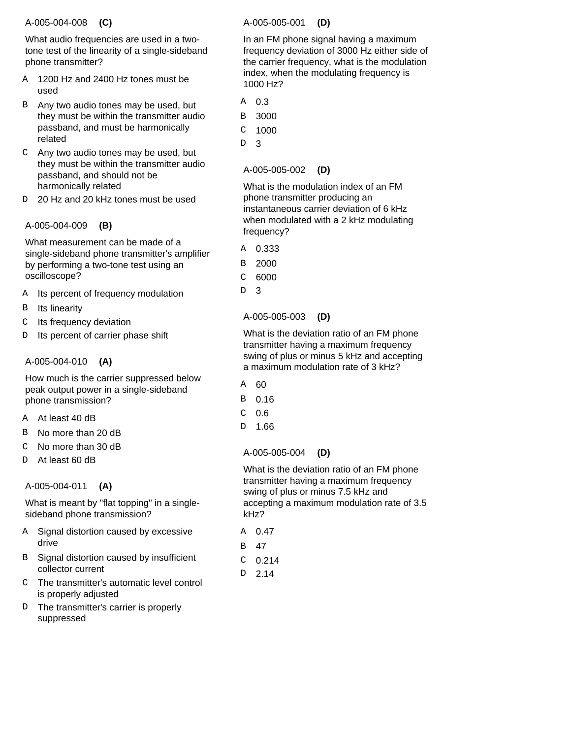#### A-005-004-008  **(C)**

What audio frequencies are used in a twotone test of the linearity of a single-sideband phone transmitter?

- A 1200 Hz and 2400 Hz tones must be used
- B Any two audio tones may be used, but they must be within the transmitter audio passband, and must be harmonically related
- Any two audio tones may be used, but C they must be within the transmitter audio passband, and should not be harmonically related
- 20 Hz and 20 kHz tones must be used D

# A-005-004-009  **(B)**

What measurement can be made of a single-sideband phone transmitter's amplifier by performing a two-tone test using an oscilloscope?

- Its percent of frequency modulation A
- Its linearity B
- Its frequency deviation C
- Its percent of carrier phase shift D

# A-005-004-010  **(A)**

How much is the carrier suppressed below peak output power in a single-sideband phone transmission?

- A At least 40 dB
- No more than 20 dB B
- No more than 30 dB  $\overline{C}$
- At least 60 dB D.

# A-005-004-011  **(A)**

What is meant by "flat topping" in a singlesideband phone transmission?

- Signal distortion caused by excessive drive A
- B Signal distortion caused by insufficient collector current
- The transmitter's automatic level control C is properly adjusted
- D The transmitter's carrier is properly suppressed

# A-005-005-001  **(D)**

In an FM phone signal having a maximum frequency deviation of 3000 Hz either side of the carrier frequency, what is the modulation index, when the modulating frequency is 1000 Hz?

- 0.3 A
- 3000 B

1000 C

3 <sub>D</sub>

> A-005-005-002  **(D)**

What is the modulation index of an FM phone transmitter producing an instantaneous carrier deviation of 6 kHz when modulated with a 2 kHz modulating frequency?

- 0.333 A
- 2000 B
- 6000 C
- 3 D

A-005-005-003  **(D)**

What is the deviation ratio of an FM phone transmitter having a maximum frequency swing of plus or minus 5 kHz and accepting a maximum modulation rate of 3 kHz?

- 60 A
- 0.16 B
- 0.6  $\mathcal{C}$
- 1.66 D

# A-005-005-004  **(D)**

What is the deviation ratio of an FM phone transmitter having a maximum frequency swing of plus or minus 7.5 kHz and accepting a maximum modulation rate of 3.5 kHz?

| A | 0.47  |
|---|-------|
| в | 47    |
| C | 0.214 |
| D | 2.14  |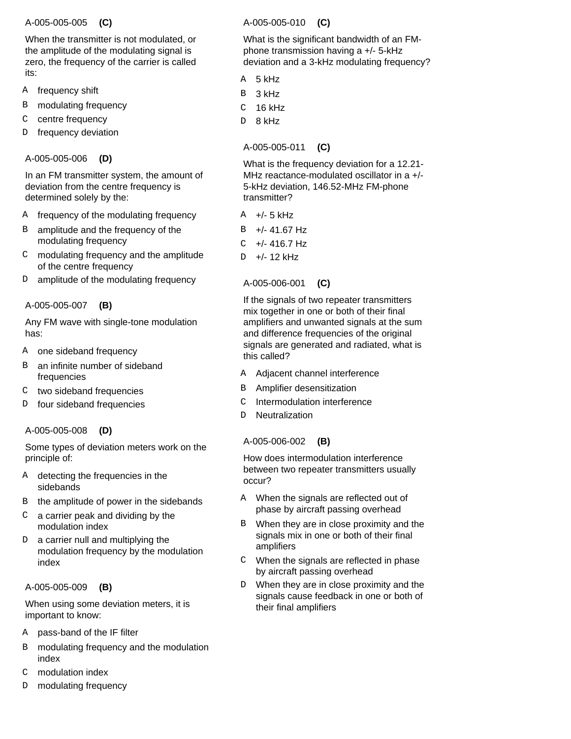#### A-005-005-005  **(C)**

When the transmitter is not modulated, or the amplitude of the modulating signal is zero, the frequency of the carrier is called its:

- frequency shift A
- modulating frequency B
- centre frequency C
- frequency deviation D

# A-005-005-006  **(D)**

In an FM transmitter system, the amount of deviation from the centre frequency is determined solely by the:

- frequency of the modulating frequency A
- amplitude and the frequency of the modulating frequency B
- modulating frequency and the amplitude of the centre frequency C
- amplitude of the modulating frequency D

# A-005-005-007  **(B)**

Any FM wave with single-tone modulation has:

- one sideband frequency A
- an infinite number of sideband frequencies B
- two sideband frequencies  $\mathcal{C}$
- four sideband frequencies  $\overline{D}$

# A-005-005-008  **(D)**

Some types of deviation meters work on the principle of:

- detecting the frequencies in the sidebands A
- the amplitude of power in the sidebands B
- a carrier peak and dividing by the modulation index  $\mathcal{C}$
- a carrier null and multiplying the modulation frequency by the modulation index D

# A-005-005-009  **(B)**

When using some deviation meters, it is important to know:

- pass-band of the IF filter A
- modulating frequency and the modulation index B
- modulation index  $\mathcal{C}$
- modulating frequency D

# A-005-005-010  **(C)**

What is the significant bandwidth of an FMphone transmission having a +/- 5-kHz deviation and a 3-kHz modulating frequency?

- 5 kHz A
- 3 kHz B
- 16 kHz C
- 8 kHz D

# A-005-005-011  **(C)**

What is the frequency deviation for a 12.21- MHz reactance-modulated oscillator in a +/- 5-kHz deviation, 146.52-MHz FM-phone transmitter?

- +/- 5 kHz A
- +/- 41.67 Hz B
- +/- 416.7 Hz C
- +/- 12 kHz  $\overline{D}$

A-005-006-001  **(C)**

If the signals of two repeater transmitters mix together in one or both of their final amplifiers and unwanted signals at the sum and difference frequencies of the original signals are generated and radiated, what is this called?

- Adjacent channel interference A
- Amplifier desensitization B
- Intermodulation interference  $\Gamma$
- Neutralization  $\overline{D}$

# A-005-006-002  **(B)**

How does intermodulation interference between two repeater transmitters usually occur?

- When the signals are reflected out of A phase by aircraft passing overhead
- When they are in close proximity and the signals mix in one or both of their final amplifiers B
- When the signals are reflected in phase by aircraft passing overhead  $\mathcal{C}$
- When they are in close proximity and the signals cause feedback in one or both of their final amplifiers D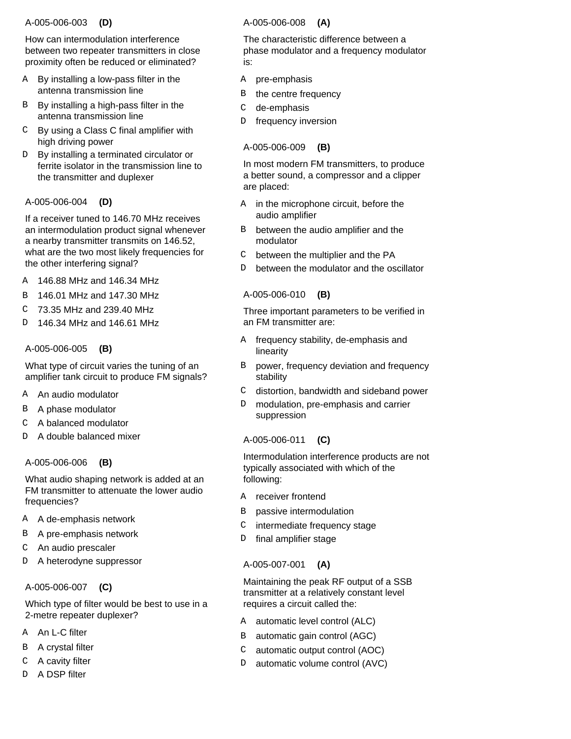### A-005-006-003  **(D)**

How can intermodulation interference between two repeater transmitters in close proximity often be reduced or eliminated?

- By installing a low-pass filter in the antenna transmission line A
- By installing a high-pass filter in the antenna transmission line B
- By using a Class C final amplifier with C high driving power
- By installing a terminated circulator or ferrite isolator in the transmission line to the transmitter and duplexer  $D$

### A-005-006-004  **(D)**

If a receiver tuned to 146.70 MHz receives an intermodulation product signal whenever a nearby transmitter transmits on 146.52, what are the two most likely frequencies for the other interfering signal?

- 146.88 MHz and 146.34 MHz A
- 146.01 MHz and 147.30 MHz B
- 73.35 MHz and 239.40 MHz C
- 146.34 MHz and 146.61 MHz  $\overline{D}$

### A-005-006-005  **(B)**

What type of circuit varies the tuning of an amplifier tank circuit to produce FM signals?

- An audio modulator A
- A phase modulator B
- A balanced modulator C
- A double balanced mixer  $\overline{D}$

#### A-005-006-006  **(B)**

What audio shaping network is added at an FM transmitter to attenuate the lower audio frequencies?

- A de-emphasis network A
- A pre-emphasis network B
- An audio prescaler  $\Gamma$
- A heterodyne suppressor D

# A-005-006-007  **(C)**

Which type of filter would be best to use in a 2-metre repeater duplexer?

- A An L-C filter
- A crystal filter B
- A cavity filter C
- D A DSP filter

# A-005-006-008  **(A)**

The characteristic difference between a phase modulator and a frequency modulator is:

- A pre-emphasis
- the centre frequency B
- de-emphasis  $\mathsf C$
- frequency inversion D

# A-005-006-009  **(B)**

In most modern FM transmitters, to produce a better sound, a compressor and a clipper are placed:

- in the microphone circuit, before the audio amplifier A
- between the audio amplifier and the modulator B
- between the multiplier and the PA  $\mathsf{C}$
- between the modulator and the oscillator D

### A-005-006-010  **(B)**

Three important parameters to be verified in an FM transmitter are:

- frequency stability, de-emphasis and linearity A
- power, frequency deviation and frequency stability B
- distortion, bandwidth and sideband power  $\mathsf{C}$
- modulation, pre-emphasis and carrier suppression D

# A-005-006-011  **(C)**

Intermodulation interference products are not typically associated with which of the following:

- A receiver frontend
- passive intermodulation B
- intermediate frequency stage C
- final amplifier stage  $\overline{D}$

# A-005-007-001  **(A)**

Maintaining the peak RF output of a SSB transmitter at a relatively constant level requires a circuit called the:

- A automatic level control (ALC)
- automatic gain control (AGC) B
- automatic output control (AOC)  $\mathsf{C}$
- automatic volume control (AVC) D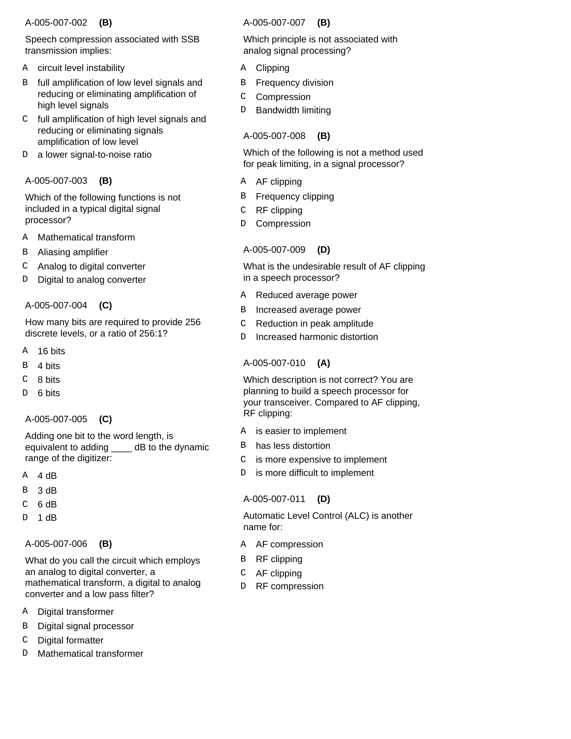# A-005-007-002  **(B)**

Speech compression associated with SSB transmission implies:

- circuit level instability A
- full amplification of low level signals and reducing or eliminating amplification of high level signals B
- full amplification of high level signals and reducing or eliminating signals amplification of low level  $\mathcal{C}$
- a lower signal-to-noise ratio  $\mathbb D$

### A-005-007-003  **(B)**

Which of the following functions is not included in a typical digital signal processor?

- Mathematical transform A
- Aliasing amplifier B
- Analog to digital converter C
- Digital to analog converter D

### A-005-007-004  **(C)**

How many bits are required to provide 256 discrete levels, or a ratio of 256:1?

- 16 bits A
- 4 bits B
- 8 bits C
- 6 bits  $\overline{D}$

# A-005-007-005  **(C)**

Adding one bit to the word length, is equivalent to adding \_\_\_\_ dB to the dynamic range of the digitizer:

- 4 dB A
- 3 dB B
- 6 dB C
- 1 dB  $\overline{D}$

# A-005-007-006  **(B)**

What do you call the circuit which employs an analog to digital converter, a mathematical transform, a digital to analog converter and a low pass filter?

- Digital transformer A
- Digital signal processor B
- Digital formatter C
- Mathematical transformer D

# A-005-007-007  **(B)**

Which principle is not associated with analog signal processing?

- **Clipping** A
- Frequency division B
- Compression C
- Bandwidth limiting D

# A-005-007-008  **(B)**

Which of the following is not a method used for peak limiting, in a signal processor?

- A AF clipping
- Frequency clipping B
- RF clipping C
- Compression D

# A-005-007-009  **(D)**

What is the undesirable result of AF clipping in a speech processor?

- Reduced average power A
- Increased average power B
- Reduction in peak amplitude C
- Increased harmonic distortion D.

# A-005-007-010  **(A)**

Which description is not correct? You are planning to build a speech processor for your transceiver. Compared to AF clipping, RF clipping:

- is easier to implement A
- has less distortion B
- is more expensive to implement  $\mathcal{C}$
- is more difficult to implement  $\mathbb D$

# A-005-007-011  **(D)**

Automatic Level Control (ALC) is another name for:

- A AF compression
- RF clipping B
- AF clipping C
- RF compression  $\mathbb D$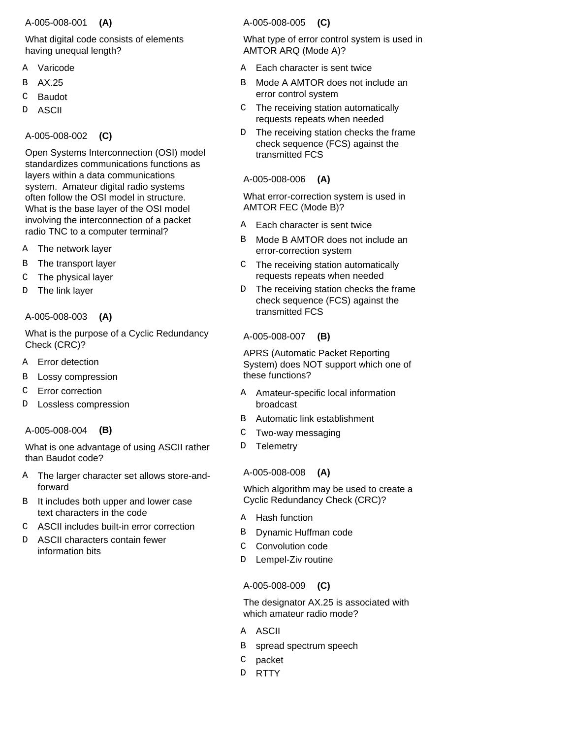### A-005-008-001  **(A)**

# What digital code consists of elements having unequal length?

- Varicode A
- AX.25 B
- Baudot C
- ASCII D

# A-005-008-002  **(C)**

Open Systems Interconnection (OSI) model standardizes communications functions as layers within a data communications system. Amateur digital radio systems often follow the OSI model in structure. What is the base layer of the OSI model involving the interconnection of a packet radio TNC to a computer terminal?

- The network layer A
- The transport layer B
- The physical layer C
- The link layer D

# A-005-008-003  **(A)**

What is the purpose of a Cyclic Redundancy Check (CRC)?

- Error detection A
- Lossy compression B
- Error correction C
- Lossless compression  $\overline{D}$

# A-005-008-004  **(B)**

What is one advantage of using ASCII rather than Baudot code?

- The larger character set allows store-andforward A
- It includes both upper and lower case text characters in the code  $\mathbf{R}$
- ASCII includes built-in error correction C
- ASCII characters contain fewer information bits D.

# A-005-008-005  **(C)**

What type of error control system is used in AMTOR ARQ (Mode A)?

- A Each character is sent twice
- Mode A AMTOR does not include an error control system R<sub>b</sub>
- The receiving station automatically requests repeats when needed  $\mathsf{C}$
- The receiving station checks the frame check sequence (FCS) against the transmitted FCS D.

### A-005-008-006  **(A)**

What error-correction system is used in AMTOR FEC (Mode B)?

- Each character is sent twice A
- Mode B AMTOR does not include an error-correction system B
- The receiving station automatically requests repeats when needed  $\mathsf{C}$
- The receiving station checks the frame check sequence (FCS) against the transmitted FCS  $D$

# A-005-008-007  **(B)**

APRS (Automatic Packet Reporting System) does NOT support which one of these functions?

- A Amateur-specific local information broadcast
- Automatic link establishment B
- Two-way messaging C
- **Telemetry** D.

# A-005-008-008  **(A)**

Which algorithm may be used to create a Cyclic Redundancy Check (CRC)?

- A Hash function
- Dynamic Huffman code B
- Convolution code  $\Gamma$
- Lempel-Ziv routine D.

# A-005-008-009  **(C)**

The designator AX.25 is associated with which amateur radio mode?

- A ASCII
- spread spectrum speech B
- packet C
- **RTTY**  $D$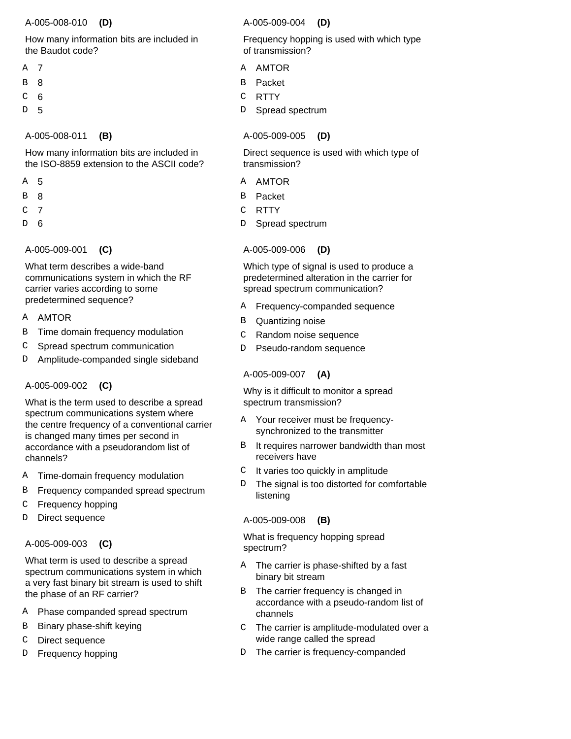#### A-005-008-010  **(D)**

# How many information bits are included in the Baudot code?

- 7 A
- 8 B
- 6 C
- 5 D

# A-005-008-011  **(B)**

How many information bits are included in the ISO-8859 extension to the ASCII code?

- 5 A
- 8 B
- 7 C
- 6 D

A-005-009-001  **(C)**

What term describes a wide-band communications system in which the RF carrier varies according to some predetermined sequence?

- A AMTOR
- Time domain frequency modulation B
- Spread spectrum communication C
- Amplitude-companded single sideband D

# A-005-009-002  **(C)**

What is the term used to describe a spread spectrum communications system where the centre frequency of a conventional carrier is changed many times per second in accordance with a pseudorandom list of channels?

- Time-domain frequency modulation A
- Frequency companded spread spectrum B
- Frequency hopping C
- Direct sequence  $\overline{D}$

# A-005-009-003  **(C)**

What term is used to describe a spread spectrum communications system in which a very fast binary bit stream is used to shift the phase of an RF carrier?

- Phase companded spread spectrum A
- Binary phase-shift keying B
- Direct sequence C
- Frequency hopping D

# A-005-009-004  **(D)**

Frequency hopping is used with which type of transmission?

- AMTOR  $\Delta$
- Packet B
- **RTTY** C
- Spread spectrum D.

# A-005-009-005  **(D)**

Direct sequence is used with which type of transmission?

- A AMTOR
- Packet B
- **RTTY** C
- Spread spectrum D

# A-005-009-006  **(D)**

Which type of signal is used to produce a predetermined alteration in the carrier for spread spectrum communication?

- Frequency-companded sequence A
- Quantizing noise B
- Random noise sequence C
- Pseudo-random sequence D

# A-005-009-007  **(A)**

Why is it difficult to monitor a spread spectrum transmission?

- Your receiver must be frequency-A synchronized to the transmitter
- It requires narrower bandwidth than most receivers have B
- It varies too quickly in amplitude  $\cap$
- The signal is too distorted for comfortable listening D

# A-005-009-008  **(B)**

What is frequency hopping spread spectrum?

- A The carrier is phase-shifted by a fast binary bit stream
- The carrier frequency is changed in accordance with a pseudo-random list of channels B
- The carrier is amplitude-modulated over a wide range called the spread  $\mathsf{C}$
- The carrier is frequency-companded D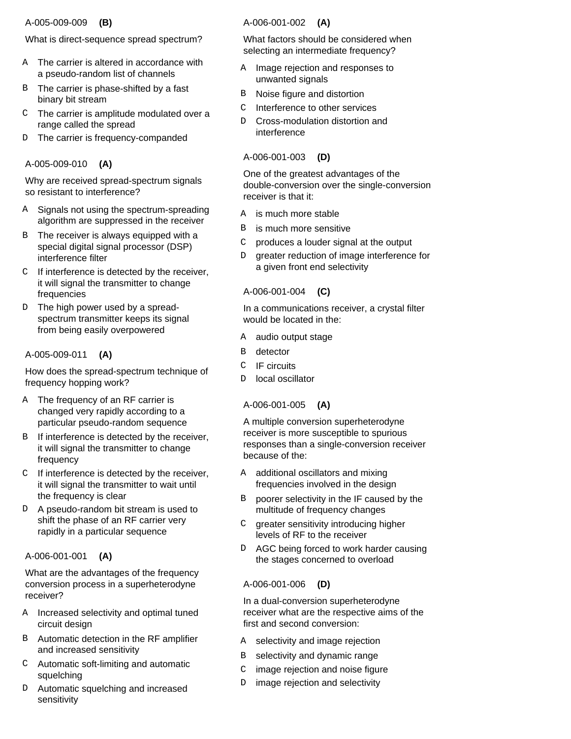### A-005-009-009  **(B)**

# What is direct-sequence spread spectrum?

- A The carrier is altered in accordance with a pseudo-random list of channels
- The carrier is phase-shifted by a fast binary bit stream B
- The carrier is amplitude modulated over a C range called the spread
- The carrier is frequency-companded D

# A-005-009-010  **(A)**

Why are received spread-spectrum signals so resistant to interference?

- A Signals not using the spectrum-spreading algorithm are suppressed in the receiver
- The receiver is always equipped with a special digital signal processor (DSP) interference filter B
- $C$  If interference is detected by the receiver, it will signal the transmitter to change frequencies
- The high power used by a spreadspectrum transmitter keeps its signal from being easily overpowered D.

# A-005-009-011  **(A)**

How does the spread-spectrum technique of frequency hopping work?

- A The frequency of an RF carrier is changed very rapidly according to a particular pseudo-random sequence
- B If interference is detected by the receiver, it will signal the transmitter to change frequency
- $C$  If interference is detected by the receiver, it will signal the transmitter to wait until the frequency is clear
- A pseudo-random bit stream is used to shift the phase of an RF carrier very rapidly in a particular sequence  $D$

# A-006-001-001  **(A)**

What are the advantages of the frequency conversion process in a superheterodyne receiver?

- Increased selectivity and optimal tuned circuit design A
- Automatic detection in the RF amplifier B and increased sensitivity
- Automatic soft-limiting and automatic C squelching
- Automatic squelching and increased sensitivity  $D$

# A-006-001-002  **(A)**

What factors should be considered when selecting an intermediate frequency?

- Image rejection and responses to unwanted signals A
- Noise figure and distortion B
- Interference to other services  $\mathsf C$
- Cross-modulation distortion and interference D

# A-006-001-003  **(D)**

One of the greatest advantages of the double-conversion over the single-conversion receiver is that it:

- is much more stable A
- is much more sensitive B
- produces a louder signal at the output  $\mathsf{C}$
- greater reduction of image interference for a given front end selectivity D

# A-006-001-004  **(C)**

In a communications receiver, a crystal filter would be located in the:

- audio output stage A
- detector B
- IF circuits  $\Gamma$
- local oscillator D.

# A-006-001-005  **(A)**

A multiple conversion superheterodyne receiver is more susceptible to spurious responses than a single-conversion receiver because of the:

- additional oscillators and mixing frequencies involved in the design A
- poorer selectivity in the IF caused by the multitude of frequency changes B
- greater sensitivity introducing higher levels of RF to the receiver  $\mathcal{C}$
- AGC being forced to work harder causing the stages concerned to overload  $\mathsf{D}$

# A-006-001-006  **(D)**

In a dual-conversion superheterodyne receiver what are the respective aims of the first and second conversion:

- selectivity and image rejection A
- selectivity and dynamic range B
- image rejection and noise figure C
- image rejection and selectivity D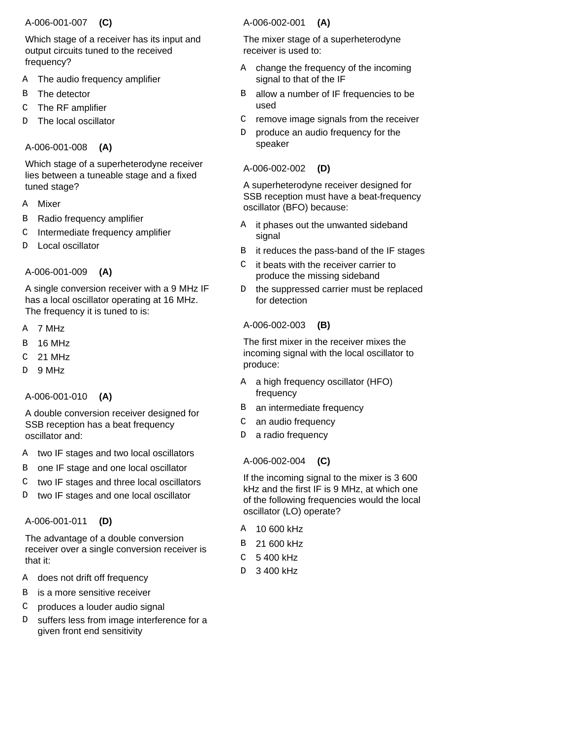# A-006-001-007  **(C)**

Which stage of a receiver has its input and output circuits tuned to the received frequency?

- The audio frequency amplifier A
- The detector B
- The RF amplifier C
- The local oscillator D

# A-006-001-008  **(A)**

Which stage of a superheterodyne receiver lies between a tuneable stage and a fixed tuned stage?

- Mixer A
- Radio frequency amplifier B
- Intermediate frequency amplifier C
- Local oscillator D

# A-006-001-009  **(A)**

A single conversion receiver with a 9 MHz IF has a local oscillator operating at 16 MHz. The frequency it is tuned to is:

- 7 MHz A
- 16 MHz B
- 21 MHz  $\mathcal{C}$
- 9 MHz  $\overline{D}$

# A-006-001-010  **(A)**

A double conversion receiver designed for SSB reception has a beat frequency oscillator and:

- two IF stages and two local oscillators A
- one IF stage and one local oscillator B
- two IF stages and three local oscillators C
- two IF stages and one local oscillator D

# A-006-001-011  **(D)**

The advantage of a double conversion receiver over a single conversion receiver is that it:

- does not drift off frequency A
- is a more sensitive receiver  $\mathbf{B}$
- produces a louder audio signal C
- suffers less from image interference for a given front end sensitivity D

### A-006-002-001  **(A)**

The mixer stage of a superheterodyne receiver is used to:

- A change the frequency of the incoming signal to that of the IF
- allow a number of IF frequencies to be used B
- remove image signals from the receiver  $\mathsf C$
- produce an audio frequency for the speaker D

### A-006-002-002  **(D)**

A superheterodyne receiver designed for SSB reception must have a beat-frequency oscillator (BFO) because:

- it phases out the unwanted sideband signal A
- it reduces the pass-band of the IF stages B
- it beats with the receiver carrier to produce the missing sideband  $\mathcal{C}$
- the suppressed carrier must be replaced for detection D.

# A-006-002-003  **(B)**

The first mixer in the receiver mixes the incoming signal with the local oscillator to produce:

- a high frequency oscillator (HFO) frequency A
- B an intermediate frequency
- an audio frequency C
- a radio frequency D

# A-006-002-004  **(C)**

If the incoming signal to the mixer is 3 600 kHz and the first IF is 9 MHz, at which one of the following frequencies would the local oscillator (LO) operate?

- 10 600 kHz A
- 21 600 kHz B
- 5 400 kHz  $\cap$
- 3 400 kHz D.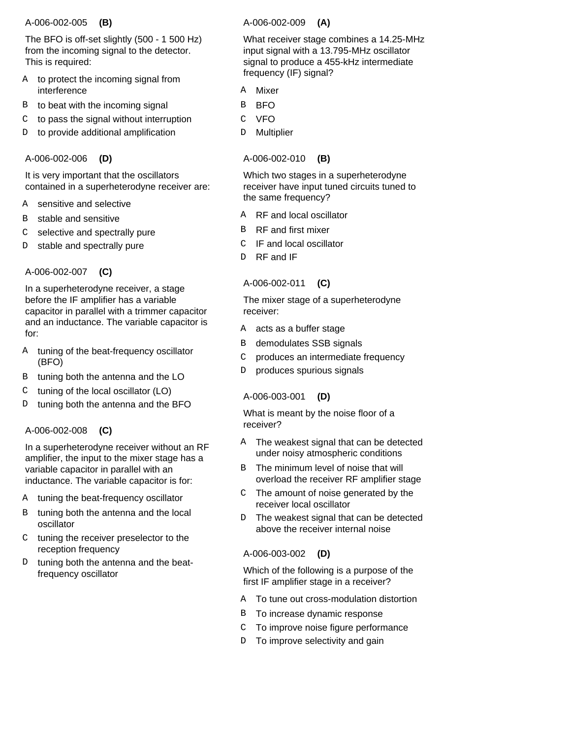#### A-006-002-005  **(B)**

The BFO is off-set slightly (500 - 1 500 Hz) from the incoming signal to the detector. This is required:

- to protect the incoming signal from interference A
- to beat with the incoming signal B
- to pass the signal without interruption C
- to provide additional amplification D

# A-006-002-006  **(D)**

It is very important that the oscillators contained in a superheterodyne receiver are:

- sensitive and selective A
- stable and sensitive B
- selective and spectrally pure C
- stable and spectrally pure D

# A-006-002-007  **(C)**

In a superheterodyne receiver, a stage before the IF amplifier has a variable capacitor in parallel with a trimmer capacitor and an inductance. The variable capacitor is for:

- A tuning of the beat-frequency oscillator (BFO)
- tuning both the antenna and the LO B
- tuning of the local oscillator (LO) C
- tuning both the antenna and the BFO  $\overline{D}$

# A-006-002-008  **(C)**

In a superheterodyne receiver without an RF amplifier, the input to the mixer stage has a variable capacitor in parallel with an inductance. The variable capacitor is for:

- tuning the beat-frequency oscillator A
- tuning both the antenna and the local oscillator B
- C tuning the receiver preselector to the reception frequency
- tuning both the antenna and the beatfrequency oscillator D

### A-006-002-009  **(A)**

What receiver stage combines a 14.25-MHz input signal with a 13.795-MHz oscillator signal to produce a 455-kHz intermediate frequency (IF) signal?

- Mixer A
- BFO B
- VFO C
- **Multiplier** D

A-006-002-010  **(B)**

Which two stages in a superheterodyne receiver have input tuned circuits tuned to the same frequency?

- RF and local oscillator A
- RF and first mixer B
- IF and local oscillator C
- RF and IF <sub>D</sub>

# A-006-002-011  **(C)**

The mixer stage of a superheterodyne receiver:

- A acts as a buffer stage
- demodulates SSB signals B
- produces an intermediate frequency  $\mathcal{C}$
- produces spurious signals D

# A-006-003-001  **(D)**

What is meant by the noise floor of a receiver?

- The weakest signal that can be detected under noisy atmospheric conditions A
- The minimum level of noise that will overload the receiver RF amplifier stage B
- The amount of noise generated by the receiver local oscillator  $\mathcal{C}$
- The weakest signal that can be detected above the receiver internal noise D

# A-006-003-002  **(D)**

Which of the following is a purpose of the first IF amplifier stage in a receiver?

- A To tune out cross-modulation distortion
- B To increase dynamic response
- To improve noise figure performance C
- D To improve selectivity and gain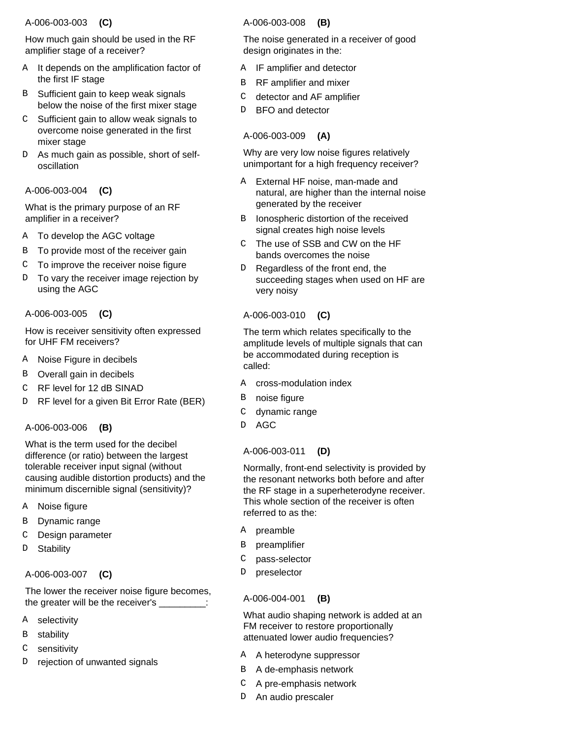### A-006-003-003  **(C)**

How much gain should be used in the RF amplifier stage of a receiver?

- A It depends on the amplification factor of the first IF stage
- B Sufficient gain to keep weak signals below the noise of the first mixer stage
- $C$  Sufficient gain to allow weak signals to overcome noise generated in the first mixer stage
- D As much gain as possible, short of selfoscillation

# A-006-003-004  **(C)**

What is the primary purpose of an RF amplifier in a receiver?

- A To develop the AGC voltage
- To provide most of the receiver gain B
- To improve the receiver noise figure C
- To vary the receiver image rejection by using the AGC D

# A-006-003-005  **(C)**

How is receiver sensitivity often expressed for UHF FM receivers?

- Noise Figure in decibels A
- Overall gain in decibels B
- RF level for 12 dB SINAD C
- RF level for a given Bit Error Rate (BER) D

# A-006-003-006  **(B)**

What is the term used for the decibel difference (or ratio) between the largest tolerable receiver input signal (without causing audible distortion products) and the minimum discernible signal (sensitivity)?

- Noise figure A
- Dynamic range B
- Design parameter C
- **Stability**  $\overline{D}$

# A-006-003-007  **(C)**

The lower the receiver noise figure becomes, the greater will be the receiver's \_\_\_\_\_\_\_\_\_:

- selectivity A
- stability B
- sensitivity C
- rejection of unwanted signals D

# A-006-003-008  **(B)**

The noise generated in a receiver of good design originates in the:

- IF amplifier and detector A
- RF amplifier and mixer B
- detector and AF amplifier C
- BFO and detector D.

# A-006-003-009  **(A)**

Why are very low noise figures relatively unimportant for a high frequency receiver?

- External HF noise, man-made and natural, are higher than the internal noise generated by the receiver A
- Ionospheric distortion of the received signal creates high noise levels B
- The use of SSB and CW on the HF bands overcomes the noise  $\mathsf{C}^-$
- Regardless of the front end, the succeeding stages when used on HF are very noisy D.

# A-006-003-010  **(C)**

The term which relates specifically to the amplitude levels of multiple signals that can be accommodated during reception is called:

- A cross-modulation index
- noise figure B
- dynamic range C
- AGC  $\overline{D}$

# A-006-003-011  **(D)**

Normally, front-end selectivity is provided by the resonant networks both before and after the RF stage in a superheterodyne receiver. This whole section of the receiver is often referred to as the:

- preamble A
- preamplifier B
- pass-selector  $\Gamma$
- preselector  $\overline{D}$

# A-006-004-001  **(B)**

What audio shaping network is added at an FM receiver to restore proportionally attenuated lower audio frequencies?

- A heterodyne suppressor A
- B A de-emphasis network
- A pre-emphasis network C
- D An audio prescaler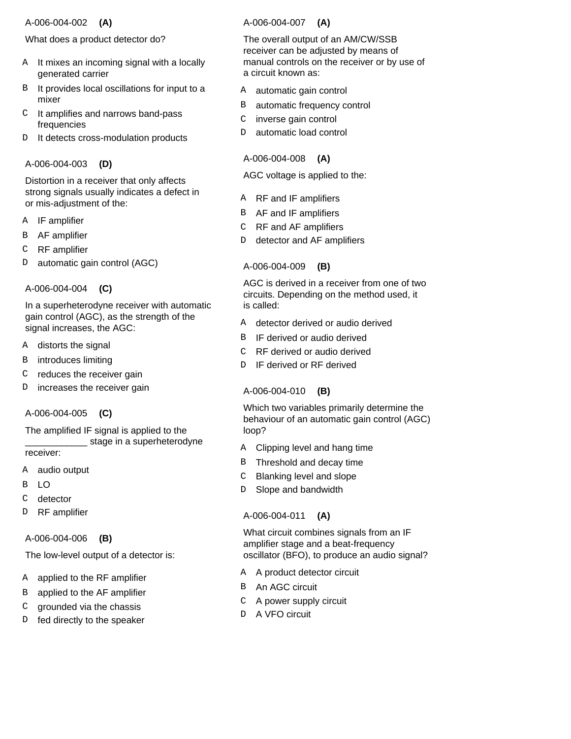#### A-006-004-002  **(A)**

# What does a product detector do?

- A It mixes an incoming signal with a locally generated carrier
- It provides local oscillations for input to a mixer B
- It amplifies and narrows band-pass frequencies  $\mathsf C$
- It detects cross-modulation products D

### A-006-004-003  **(D)**

Distortion in a receiver that only affects strong signals usually indicates a defect in or mis-adjustment of the:

- IF amplifier A
- AF amplifier B
- RF amplifier C
- automatic gain control (AGC) D

### A-006-004-004  **(C)**

In a superheterodyne receiver with automatic gain control (AGC), as the strength of the signal increases, the AGC:

- distorts the signal A
- introduces limiting B

reduces the receiver gain C

increases the receiver gain D

# A-006-004-005  **(C)**

The amplified IF signal is applied to the \_\_\_\_\_\_\_\_\_\_\_\_ stage in a superheterodyne

receiver:

- audio output A
- $\overline{1}$ B
- detector  $\Gamma$
- RF amplifier D

#### A-006-004-006  **(B)**

The low-level output of a detector is:

- applied to the RF amplifier A
- applied to the AF amplifier B
- grounded via the chassis C
- fed directly to the speaker D

### A-006-004-007  **(A)**

The overall output of an AM/CW/SSB receiver can be adjusted by means of manual controls on the receiver or by use of a circuit known as:

- automatic gain control A
- automatic frequency control B
- inverse gain control  $\mathsf C$
- automatic load control D

# A-006-004-008  **(A)**

AGC voltage is applied to the:

- RF and IF amplifiers A
- AF and IF amplifiers B
- RF and AF amplifiers  $\mathsf C$
- detector and AF amplifiers D

# A-006-004-009  **(B)**

AGC is derived in a receiver from one of two circuits. Depending on the method used, it is called:

- detector derived or audio derived A
- IF derived or audio derived B
- RF derived or audio derived  $\cap$
- IF derived or RF derived D

# A-006-004-010  **(B)**

Which two variables primarily determine the behaviour of an automatic gain control (AGC) loop?

- Clipping level and hang time A
- Threshold and decay time B
- Blanking level and slope  $\mathcal{C}$
- Slope and bandwidth D

# A-006-004-011  **(A)**

What circuit combines signals from an IF amplifier stage and a beat-frequency oscillator (BFO), to produce an audio signal?

- A A product detector circuit
- B An AGC circuit
- C A power supply circuit
- D A VFO circuit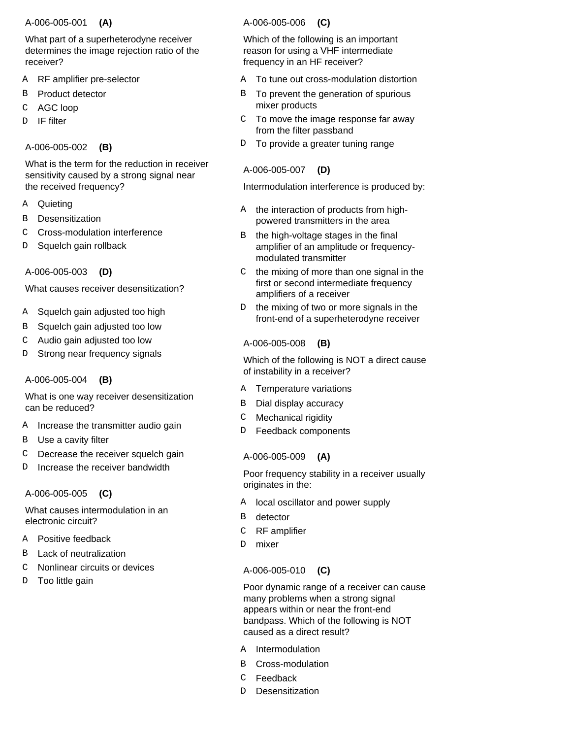#### A-006-005-001  **(A)**

What part of a superheterodyne receiver determines the image rejection ratio of the receiver?

- RF amplifier pre-selector A
- Product detector B
- AGC loop C
- IF filter D

# A-006-005-002  **(B)**

What is the term for the reduction in receiver sensitivity caused by a strong signal near the received frequency?

- **Quieting** A
- **Desensitization** B
- Cross-modulation interference C
- Squelch gain rollback D

A-006-005-003  **(D)**

What causes receiver desensitization?

- Squelch gain adjusted too high A
- Squelch gain adjusted too low B
- Audio gain adjusted too low C
- Strong near frequency signals D

# A-006-005-004  **(B)**

What is one way receiver desensitization can be reduced?

- Increase the transmitter audio gain A
- Use a cavity filter B
- Decrease the receiver squelch gain C
- Increase the receiver bandwidth D

# A-006-005-005  **(C)**

What causes intermodulation in an electronic circuit?

- Positive feedback A
- Lack of neutralization B
- Nonlinear circuits or devices C
- Too little gain D

# A-006-005-006  **(C)**

Which of the following is an important reason for using a VHF intermediate frequency in an HF receiver?

- To tune out cross-modulation distortion A
- To prevent the generation of spurious mixer products B
- To move the image response far away from the filter passband C
- To provide a greater tuning range D

# A-006-005-007  **(D)**

Intermodulation interference is produced by:

- the interaction of products from highpowered transmitters in the area A
- the high-voltage stages in the final amplifier of an amplitude or frequencymodulated transmitter B
- the mixing of more than one signal in the first or second intermediate frequency amplifiers of a receiver  $\mathsf{C}$
- the mixing of two or more signals in the front-end of a superheterodyne receiver D

# A-006-005-008  **(B)**

Which of the following is NOT a direct cause of instability in a receiver?

- Temperature variations A
- Dial display accuracy B
- Mechanical rigidity C
- Feedback components  $\overline{D}$

# A-006-005-009  **(A)**

Poor frequency stability in a receiver usually originates in the:

- local oscillator and power supply A
- detector B
- RF amplifier C
- mixer D.

# A-006-005-010  **(C)**

Poor dynamic range of a receiver can cause many problems when a strong signal appears within or near the front-end bandpass. Which of the following is NOT caused as a direct result?

- Intermodulation A
- Cross-modulation B
- Feedback C
- **Desensitization** D.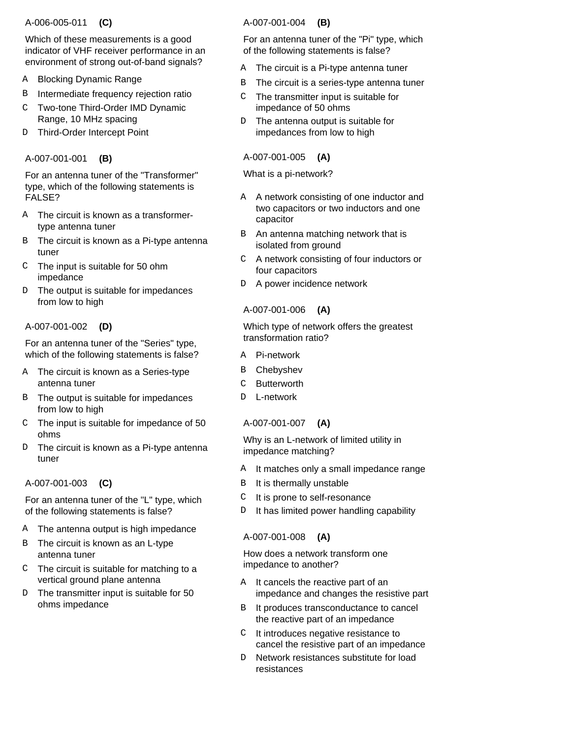#### A-006-005-011  **(C)**

Which of these measurements is a good indicator of VHF receiver performance in an environment of strong out-of-band signals?

- Blocking Dynamic Range A
- Intermediate frequency rejection ratio B
- Two-tone Third-Order IMD Dynamic Range, 10 MHz spacing C
- D Third-Order Intercept Point

# A-007-001-001  **(B)**

For an antenna tuner of the "Transformer" type, which of the following statements is FALSE?

- The circuit is known as a transformer-A type antenna tuner
- The circuit is known as a Pi-type antenna tuner B
- The input is suitable for 50 ohm impedance  $\mathcal{C}$
- The output is suitable for impedances from low to high D.

# A-007-001-002  **(D)**

For an antenna tuner of the "Series" type, which of the following statements is false?

- A The circuit is known as a Series-type antenna tuner
- The output is suitable for impedances B from low to high
- The input is suitable for impedance of 50 ohms  $\mathcal{C}$
- The circuit is known as a Pi-type antenna tuner D

# A-007-001-003  **(C)**

For an antenna tuner of the "L" type, which of the following statements is false?

- A The antenna output is high impedance
- B The circuit is known as an L-type antenna tuner
- $C$  The circuit is suitable for matching to a vertical ground plane antenna
- The transmitter input is suitable for 50 ohms impedance D.

# A-007-001-004  **(B)**

For an antenna tuner of the "Pi" type, which of the following statements is false?

- The circuit is a Pi-type antenna tuner A
- The circuit is a series-type antenna tuner B
- The transmitter input is suitable for impedance of 50 ohms  $\mathsf{C}$
- The antenna output is suitable for impedances from low to high D

### A-007-001-005  **(A)**

What is a pi-network?

- A A network consisting of one inductor and two capacitors or two inductors and one capacitor
- An antenna matching network that is isolated from ground B
- A network consisting of four inductors or four capacitors  $\mathsf{C}$
- A power incidence network D

# A-007-001-006  **(A)**

Which type of network offers the greatest transformation ratio?

- Pi-network A
- **Chebyshev** B
- **Butterworth**  $\mathcal{C}$
- L-network  $\overline{D}$

#### A-007-001-007  **(A)**

Why is an L-network of limited utility in impedance matching?

- It matches only a small impedance range A
- It is thermally unstable B
- It is prone to self-resonance C
- It has limited power handling capability D

# A-007-001-008  **(A)**

How does a network transform one impedance to another?

- A It cancels the reactive part of an impedance and changes the resistive part
- It produces transconductance to cancel the reactive part of an impedance B
- It introduces negative resistance to cancel the resistive part of an impedance  $\mathsf{C}$
- Network resistances substitute for load resistances  $D$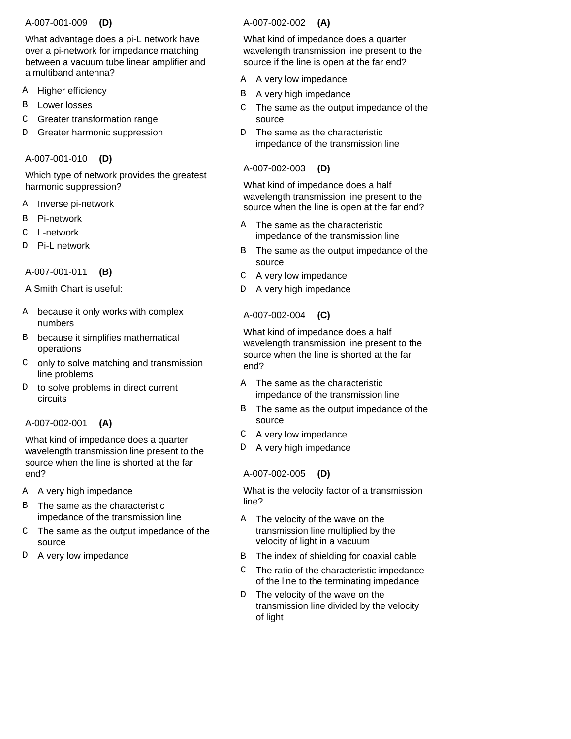#### A-007-001-009  **(D)**

What advantage does a pi-L network have over a pi-network for impedance matching between a vacuum tube linear amplifier and a multiband antenna?

- Higher efficiency A
- Lower losses B
- Greater transformation range C
- Greater harmonic suppression D

# A-007-001-010  **(D)**

Which type of network provides the greatest harmonic suppression?

- Inverse pi-network A
- Pi-network B
- L-network  $\mathcal{C}$
- Pi-L network D

A-007-001-011  **(B)**

A Smith Chart is useful:

- A because it only works with complex numbers
- B because it simplifies mathematical operations
- only to solve matching and transmission line problems  $\Gamma$
- to solve problems in direct current circuits D.

# A-007-002-001  **(A)**

What kind of impedance does a quarter wavelength transmission line present to the source when the line is shorted at the far end?

- A very high impedance A
- The same as the characteristic impedance of the transmission line B
- The same as the output impedance of the source  $\mathcal{C}$
- D A very low impedance

# A-007-002-002  **(A)**

What kind of impedance does a quarter wavelength transmission line present to the source if the line is open at the far end?

- A very low impedance A
- A very high impedance B
- The same as the output impedance of the source  $\mathcal{C}$
- The same as the characteristic impedance of the transmission line  $D$

# A-007-002-003  **(D)**

What kind of impedance does a half wavelength transmission line present to the source when the line is open at the far end?

- The same as the characteristic impedance of the transmission line A
- The same as the output impedance of the source B
- A very low impedance  $\mathsf{C}$
- D A very high impedance

# A-007-002-004  **(C)**

What kind of impedance does a half wavelength transmission line present to the source when the line is shorted at the far end?

- A The same as the characteristic impedance of the transmission line
- The same as the output impedance of the source  $\mathbf{R}$
- A very low impedance  $\mathcal{C}$
- D A very high impedance

# A-007-002-005  **(D)**

What is the velocity factor of a transmission line?

- A The velocity of the wave on the transmission line multiplied by the velocity of light in a vacuum
- The index of shielding for coaxial cable B
- The ratio of the characteristic impedance of the line to the terminating impedance  $\mathcal{C}$
- The velocity of the wave on the transmission line divided by the velocity of light  $D$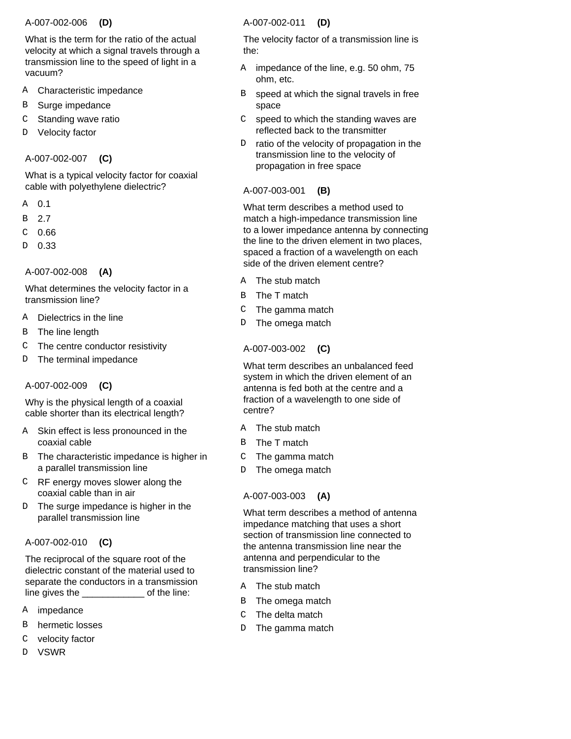### A-007-002-006  **(D)**

What is the term for the ratio of the actual velocity at which a signal travels through a transmission line to the speed of light in a vacuum?

- Characteristic impedance A
- Surge impedance B
- Standing wave ratio C
- Velocity factor D

# A-007-002-007  **(C)**

What is a typical velocity factor for coaxial cable with polyethylene dielectric?

- 0.1 A
- 2.7 B
- 0.66 C
- 0.33 D

# A-007-002-008  **(A)**

What determines the velocity factor in a transmission line?

- Dielectrics in the line A
- The line length B
- The centre conductor resistivity  $\mathcal{C}$
- The terminal impedance D

# A-007-002-009  **(C)**

Why is the physical length of a coaxial cable shorter than its electrical length?

- Skin effect is less pronounced in the coaxial cable A
- B The characteristic impedance is higher in a parallel transmission line
- RF energy moves slower along the coaxial cable than in air  $\Gamma$
- The surge impedance is higher in the parallel transmission line  $D$

# A-007-002-010  **(C)**

The reciprocal of the square root of the dielectric constant of the material used to separate the conductors in a transmission line gives the \_\_\_\_\_\_\_\_\_\_\_\_ of the line:

- impedance A
- hermetic losses B
- velocity factor C
- VSWR D

# A-007-002-011  **(D)**

The velocity factor of a transmission line is the:

- A impedance of the line, e.g. 50 ohm, 75 ohm, etc.
- speed at which the signal travels in free space B
- speed to which the standing waves are reflected back to the transmitter  $\mathsf{C}$
- ratio of the velocity of propagation in the transmission line to the velocity of propagation in free space  $D$

# A-007-003-001  **(B)**

What term describes a method used to match a high-impedance transmission line to a lower impedance antenna by connecting the line to the driven element in two places, spaced a fraction of a wavelength on each side of the driven element centre?

- A The stub match
- B The T match
- The gamma match  $\mathsf{C}^-$
- The omega match D

# A-007-003-002  **(C)**

What term describes an unbalanced feed system in which the driven element of an antenna is fed both at the centre and a fraction of a wavelength to one side of centre?

- A The stub match
- B The T match
- The gamma match  $\mathcal{C}$
- The omega match D

# A-007-003-003  **(A)**

What term describes a method of antenna impedance matching that uses a short section of transmission line connected to the antenna transmission line near the antenna and perpendicular to the transmission line?

- A The stub match
- B The omega match
- The delta match  $\mathcal{C}$
- The gamma match  $D$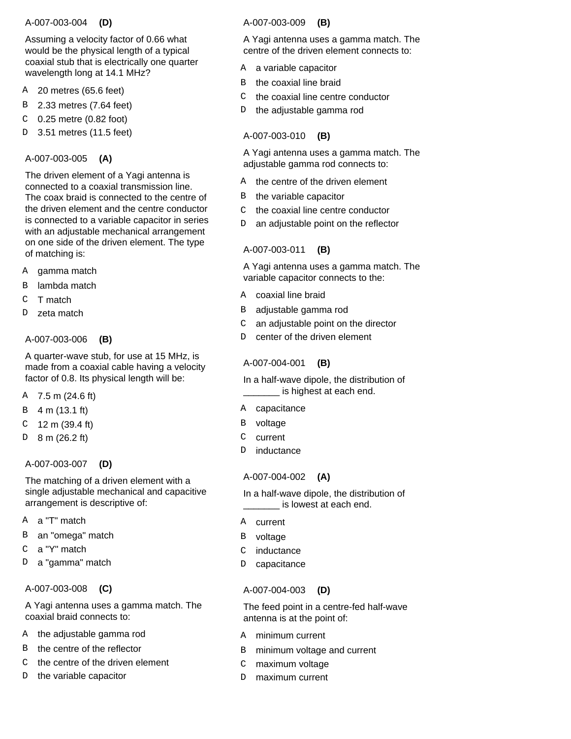### A-007-003-004  **(D)**

Assuming a velocity factor of 0.66 what would be the physical length of a typical coaxial stub that is electrically one quarter wavelength long at 14.1 MHz?

- 20 metres (65.6 feet) A
- 2.33 metres (7.64 feet) B
- 0.25 metre (0.82 foot) C
- 3.51 metres (11.5 feet) D

# A-007-003-005  **(A)**

The driven element of a Yagi antenna is connected to a coaxial transmission line. The coax braid is connected to the centre of the driven element and the centre conductor is connected to a variable capacitor in series with an adjustable mechanical arrangement on one side of the driven element. The type of matching is:

- gamma match A
- lambda match B
- T match C
- zeta match  $\overline{D}$

### A-007-003-006  **(B)**

A quarter-wave stub, for use at 15 MHz, is made from a coaxial cable having a velocity factor of 0.8. Its physical length will be:

- A 7.5 m (24.6 ft)
- 4 m (13.1 ft) B
- 12 m (39.4 ft) C
- 8 m (26.2 ft) D

# A-007-003-007  **(D)**

The matching of a driven element with a single adjustable mechanical and capacitive arrangement is descriptive of:

- a "T" match A
- an "omega" match B
- a "Y" match C
- a "gamma" match D

#### A-007-003-008  **(C)**

A Yagi antenna uses a gamma match. The coaxial braid connects to:

- A the adjustable gamma rod
- B the centre of the reflector
- the centre of the driven element  $\mathcal{C}$
- the variable capacitor D

# A-007-003-009  **(B)**

A Yagi antenna uses a gamma match. The centre of the driven element connects to:

- A a variable capacitor
- the coaxial line braid B
- the coaxial line centre conductor  $\mathsf{C}$
- D the adjustable gamma rod

# A-007-003-010  **(B)**

A Yagi antenna uses a gamma match. The adjustable gamma rod connects to:

- A the centre of the driven element
- B the variable capacitor
- the coaxial line centre conductor  $\mathsf{C}$
- an adjustable point on the reflector D.

# A-007-003-011  **(B)**

A Yagi antenna uses a gamma match. The variable capacitor connects to the:

- A coaxial line braid
- B adjustable gamma rod
- an adjustable point on the director  $\mathsf{C}$
- center of the driven element  $D$

# A-007-004-001  **(B)**

In a half-wave dipole, the distribution of \_\_\_\_\_\_\_ is highest at each end.

- A capacitance
- voltage B
- current  $\mathsf{C}$
- inductance D.

# A-007-004-002  **(A)**

In a half-wave dipole, the distribution of is lowest at each end.

- A current
- voltage B
- inductance  $\mathsf{C}$
- capacitance D

# A-007-004-003  **(D)**

The feed point in a centre-fed half-wave antenna is at the point of:

- A minimum current
- minimum voltage and current B
- maximum voltage  $\mathsf{C}$
- maximum current D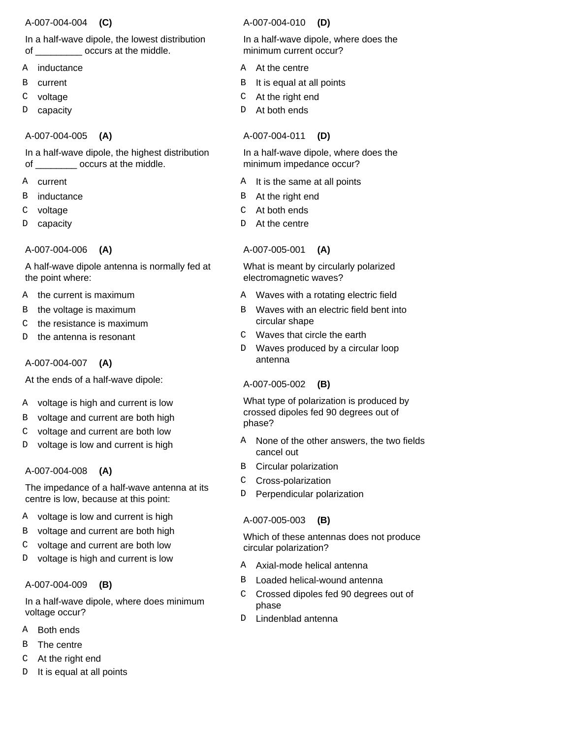### A-007-004-004  **(C)**

# In a half-wave dipole, the lowest distribution of \_\_\_\_\_\_\_\_\_ occurs at the middle.

- inductance A
- current B
- voltage C
- capacity D

# A-007-004-005  **(A)**

In a half-wave dipole, the highest distribution of \_\_\_\_\_\_\_\_\_ occurs at the middle.

- A current
- inductance B
- voltage C
- capacity D

A-007-004-006  **(A)**

A half-wave dipole antenna is normally fed at the point where:

- A the current is maximum
- the voltage is maximum B
- the resistance is maximum C
- the antenna is resonant  $\overline{D}$

# A-007-004-007  **(A)**

At the ends of a half-wave dipole:

- voltage is high and current is low A
- voltage and current are both high B
- voltage and current are both low C
- voltage is low and current is high D

# A-007-004-008  **(A)**

The impedance of a half-wave antenna at its centre is low, because at this point:

- voltage is low and current is high A
- voltage and current are both high B
- voltage and current are both low C
- voltage is high and current is low D

# A-007-004-009  **(B)**

In a half-wave dipole, where does minimum voltage occur?

- A Both ends
- The centre B
- At the right end C
- It is equal at all points D

# A-007-004-010  **(D)**

In a half-wave dipole, where does the minimum current occur?

- A At the centre
- It is equal at all points B
- At the right end C
- At both ends D.

# A-007-004-011  **(D)**

In a half-wave dipole, where does the minimum impedance occur?

- It is the same at all points A
- B At the right end
- At both ends C
- At the centre D.

# A-007-005-001  **(A)**

What is meant by circularly polarized electromagnetic waves?

- Waves with a rotating electric field A
- Waves with an electric field bent into circular shape B
- Waves that circle the earth  $\cap$
- Waves produced by a circular loop antenna  $\mathsf{D}$

# A-007-005-002  **(B)**

What type of polarization is produced by crossed dipoles fed 90 degrees out of phase?

- None of the other answers, the two fields cancel out A
- Circular polarization B
- Cross-polarization C
- Perpendicular polarization D

# A-007-005-003  **(B)**

Which of these antennas does not produce circular polarization?

- A Axial-mode helical antenna
- Loaded helical-wound antenna B
- Crossed dipoles fed 90 degrees out of phase  $\mathsf{C}$
- Lindenblad antenna D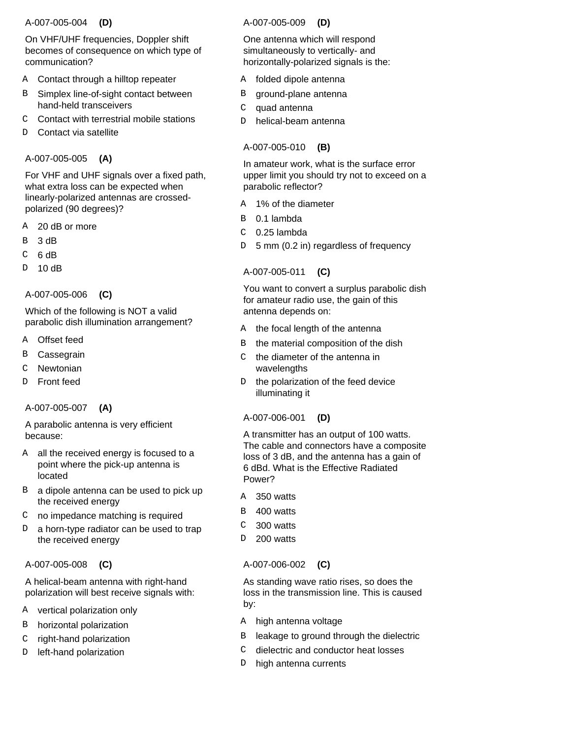### A-007-005-004  **(D)**

On VHF/UHF frequencies, Doppler shift becomes of consequence on which type of communication?

- Contact through a hilltop repeater A
- Simplex line-of-sight contact between hand-held transceivers B
- Contact with terrestrial mobile stations  $\mathcal{C}$
- Contact via satellite D

# A-007-005-005  **(A)**

For VHF and UHF signals over a fixed path, what extra loss can be expected when linearly-polarized antennas are crossedpolarized (90 degrees)?

- 20 dB or more A
- 3 dB B
- 6 dB C
- 10 dB D

A-007-005-006  **(C)**

# Which of the following is NOT a valid parabolic dish illumination arrangement?

- Offset feed A
- **Cassegrain** B
- Newtonian  $\overline{C}$
- Front feed  $\overline{D}$

# A-007-005-007  **(A)**

A parabolic antenna is very efficient because:

- all the received energy is focused to a point where the pick-up antenna is located A
- B a dipole antenna can be used to pick up the received energy
- C no impedance matching is required
- a horn-type radiator can be used to trap the received energy  $\overline{D}$

#### A-007-005-008  **(C)**

A helical-beam antenna with right-hand polarization will best receive signals with:

- A vertical polarization only
- horizontal polarization B
- right-hand polarization C
- left-hand polarization D

### A-007-005-009  **(D)**

One antenna which will respond simultaneously to vertically- and horizontally-polarized signals is the:

- folded dipole antenna A
- ground-plane antenna B
- quad antenna  $\mathsf C$
- helical-beam antenna D

# A-007-005-010  **(B)**

In amateur work, what is the surface error upper limit you should try not to exceed on a parabolic reflector?

- 1% of the diameter A
- B 0.1 lambda
- 0.25 lambda C
- D 5 mm (0.2 in) regardless of frequency

# A-007-005-011  **(C)**

You want to convert a surplus parabolic dish for amateur radio use, the gain of this antenna depends on:

- the focal length of the antenna A
- the material composition of the dish B
- the diameter of the antenna in wavelengths  $\cap$
- the polarization of the feed device illuminating it D

#### A-007-006-001  **(D)**

A transmitter has an output of 100 watts. The cable and connectors have a composite loss of 3 dB, and the antenna has a gain of 6 dBd. What is the Effective Radiated Power?

- 350 watts A
- 400 watts B
- 300 watts  $\mathcal{C}$
- 200 watts D.

# A-007-006-002  **(C)**

As standing wave ratio rises, so does the loss in the transmission line. This is caused by:

- A high antenna voltage
- leakage to ground through the dielectric B
- dielectric and conductor heat losses  $\mathsf{C}$
- high antenna currents D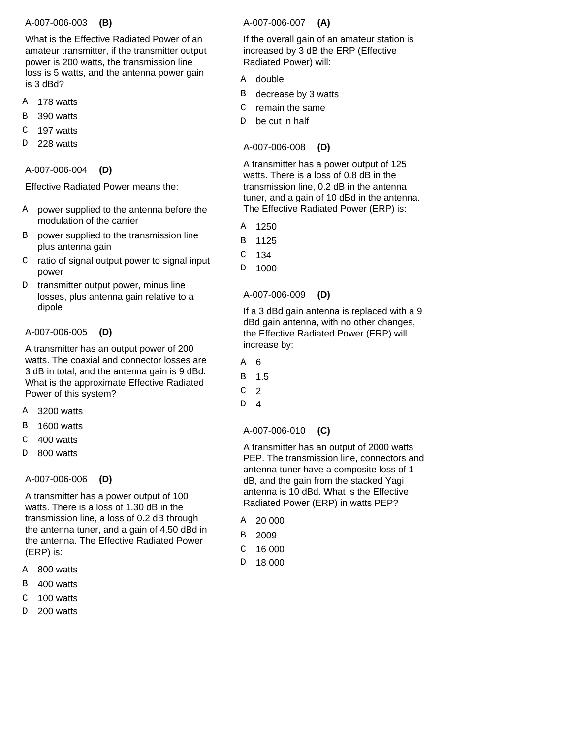### A-007-006-003  **(B)**

What is the Effective Radiated Power of an amateur transmitter, if the transmitter output power is 200 watts, the transmission line loss is 5 watts, and the antenna power gain is 3 dBd?

- 178 watts A
- 390 watts B
- 197 watts C
- 228 watts  $\overline{D}$

### A-007-006-004  **(D)**

Effective Radiated Power means the:

- A power supplied to the antenna before the modulation of the carrier
- B power supplied to the transmission line plus antenna gain
- $C$  ratio of signal output power to signal input power
- transmitter output power, minus line losses, plus antenna gain relative to a dipole D

# A-007-006-005  **(D)**

A transmitter has an output power of 200 watts. The coaxial and connector losses are 3 dB in total, and the antenna gain is 9 dBd. What is the approximate Effective Radiated Power of this system?

- 3200 watts **A**
- 1600 watts B
- 400 watts  $\mathcal{C}$
- 800 watts  $\overline{D}$

# A-007-006-006  **(D)**

A transmitter has a power output of 100 watts. There is a loss of 1.30 dB in the transmission line, a loss of 0.2 dB through the antenna tuner, and a gain of 4.50 dBd in the antenna. The Effective Radiated Power (ERP) is:

- 800 watts A
- 400 watts B
- 100 watts  $\mathcal{C}$
- 200 watts  $\overline{D}$

# A-007-006-007  **(A)**

If the overall gain of an amateur station is increased by 3 dB the ERP (Effective Radiated Power) will:

- double A
- decrease by 3 watts B
- remain the same  $\mathsf C$
- be cut in half D

# A-007-006-008  **(D)**

A transmitter has a power output of 125 watts. There is a loss of 0.8 dB in the transmission line, 0.2 dB in the antenna tuner, and a gain of 10 dBd in the antenna. The Effective Radiated Power (ERP) is:

- 1250 A
- 1125 B
- 134 C
- 1000 D

# A-007-006-009  **(D)**

If a 3 dBd gain antenna is replaced with a 9 dBd gain antenna, with no other changes, the Effective Radiated Power (ERP) will increase by:

- 6 A
- 1.5 B
- 2  $\overline{C}$
- 4 D.

# A-007-006-010  **(C)**

A transmitter has an output of 2000 watts PEP. The transmission line, connectors and antenna tuner have a composite loss of 1 dB, and the gain from the stacked Yagi antenna is 10 dBd. What is the Effective Radiated Power (ERP) in watts PEP?

- 20 000 A
- 2009 B
- 16 000  $\mathcal{C}$
- 18 000 D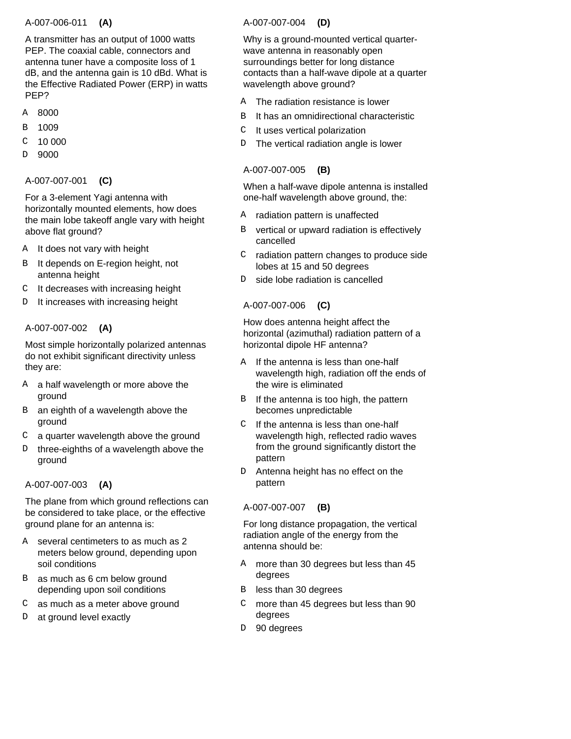# A-007-006-011  **(A)**

A transmitter has an output of 1000 watts PEP. The coaxial cable, connectors and antenna tuner have a composite loss of 1 dB, and the antenna gain is 10 dBd. What is the Effective Radiated Power (ERP) in watts PEP?

- 8000 A
- 1009 B
- 10 000 C
- 9000 D

### A-007-007-001  **(C)**

For a 3-element Yagi antenna with horizontally mounted elements, how does the main lobe takeoff angle vary with height above flat ground?

- A It does not vary with height
- It depends on E-region height, not antenna height B
- It decreases with increasing height C
- It increases with increasing height  $\mathcal{D}$

# A-007-007-002  **(A)**

Most simple horizontally polarized antennas do not exhibit significant directivity unless they are:

- A a half wavelength or more above the ground
- an eighth of a wavelength above the ground B
- a quarter wavelength above the ground C
- three-eighths of a wavelength above the ground D

# A-007-007-003  **(A)**

The plane from which ground reflections can be considered to take place, or the effective ground plane for an antenna is:

- A several centimeters to as much as 2 meters below ground, depending upon soil conditions
- B as much as 6 cm below ground depending upon soil conditions
- as much as a meter above ground  $\mathcal{C}$
- at ground level exactly  $\overline{D}$

# A-007-007-004  **(D)**

Why is a ground-mounted vertical quarterwave antenna in reasonably open surroundings better for long distance contacts than a half-wave dipole at a quarter wavelength above ground?

- The radiation resistance is lower A
- It has an omnidirectional characteristic B
- It uses vertical polarization  $\mathsf{C}$
- The vertical radiation angle is lower D.

# A-007-007-005  **(B)**

When a half-wave dipole antenna is installed one-half wavelength above ground, the:

- radiation pattern is unaffected A
- vertical or upward radiation is effectively cancelled R<sub>b</sub>
- radiation pattern changes to produce side lobes at 15 and 50 degrees C
- side lobe radiation is cancelled D

# A-007-007-006  **(C)**

How does antenna height affect the horizontal (azimuthal) radiation pattern of a horizontal dipole HF antenna?

- If the antenna is less than one-half wavelength high, radiation off the ends of the wire is eliminated A
- If the antenna is too high, the pattern becomes unpredictable B
- If the antenna is less than one-half wavelength high, reflected radio waves from the ground significantly distort the pattern  $\mathcal{C}$
- Antenna height has no effect on the pattern D

# A-007-007-007  **(B)**

For long distance propagation, the vertical radiation angle of the energy from the antenna should be:

- A more than 30 degrees but less than 45 degrees
- less than 30 degrees R<sub>b</sub>
- more than 45 degrees but less than 90 degrees  $\mathcal{C}$
- 90 degrees D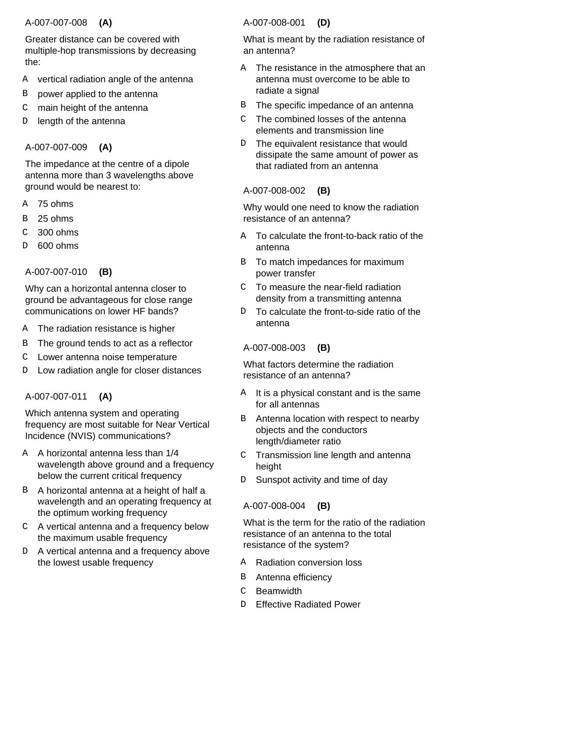### A-007-007-008  **(A)**

Greater distance can be covered with multiple-hop transmissions by decreasing the:

- vertical radiation angle of the antenna A
- power applied to the antenna B
- main height of the antenna C
- length of the antenna D

# A-007-007-009  **(A)**

The impedance at the centre of a dipole antenna more than 3 wavelengths above ground would be nearest to:

- 75 ohms A
- 25 ohms B
- 300 ohms C
- 600 ohms D

# A-007-007-010  **(B)**

Why can a horizontal antenna closer to ground be advantageous for close range communications on lower HF bands?

- The radiation resistance is higher A
- The ground tends to act as a reflector B
- Lower antenna noise temperature  $\mathcal{C}$
- Low radiation angle for closer distances D

# A-007-007-011  **(A)**

Which antenna system and operating frequency are most suitable for Near Vertical Incidence (NVIS) communications?

- A horizontal antenna less than 1/4 A wavelength above ground and a frequency below the current critical frequency
- B A horizontal antenna at a height of half a wavelength and an operating frequency at the optimum working frequency
- A vertical antenna and a frequency below C the maximum usable frequency
- D A vertical antenna and a frequency above the lowest usable frequency

# A-007-008-001  **(D)**

What is meant by the radiation resistance of an antenna?

- A The resistance in the atmosphere that an antenna must overcome to be able to radiate a signal
- The specific impedance of an antenna B
- The combined losses of the antenna elements and transmission line C
- The equivalent resistance that would dissipate the same amount of power as that radiated from an antenna  $D$

# A-007-008-002  **(B)**

Why would one need to know the radiation resistance of an antenna?

- A To calculate the front-to-back ratio of the antenna
- B To match impedances for maximum power transfer
- To measure the near-field radiation density from a transmitting antenna  $\mathsf{C}$
- To calculate the front-to-side ratio of the antenna D<sub>D</sub>

# A-007-008-003  **(B)**

What factors determine the radiation resistance of an antenna?

- It is a physical constant and is the same for all antennas A
- Antenna location with respect to nearby objects and the conductors length/diameter ratio B
- Transmission line length and antenna height  $\mathcal{C}$
- Sunspot activity and time of day D

# A-007-008-004  **(B)**

What is the term for the ratio of the radiation resistance of an antenna to the total resistance of the system?

- Radiation conversion loss A
- Antenna efficiency B
- **Beamwidth**  $\mathcal{C}$
- Effective Radiated Power  $D$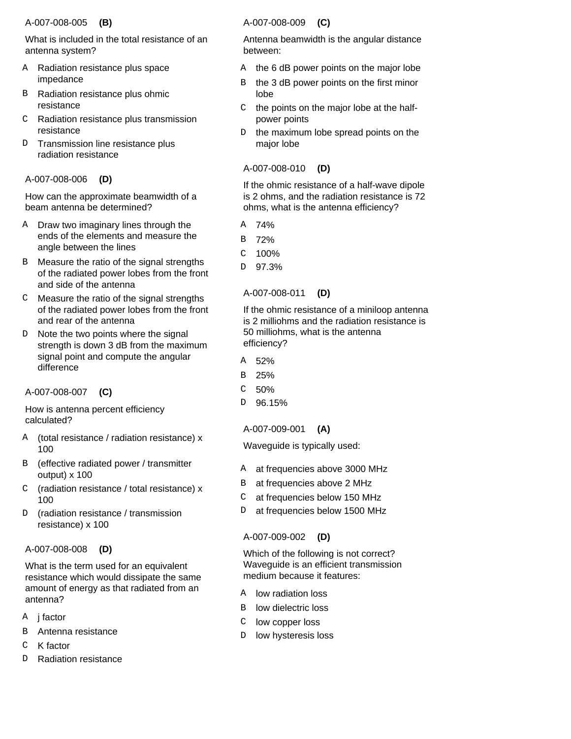# A-007-008-005  **(B)**

What is included in the total resistance of an antenna system?

- A Radiation resistance plus space impedance
- Radiation resistance plus ohmic resistance B
- Radiation resistance plus transmission resistance  $\mathcal{C}$
- Transmission line resistance plus radiation resistance D.

# A-007-008-006  **(D)**

How can the approximate beamwidth of a beam antenna be determined?

- A Draw two imaginary lines through the ends of the elements and measure the angle between the lines
- B Measure the ratio of the signal strengths of the radiated power lobes from the front and side of the antenna
- Measure the ratio of the signal strengths C of the radiated power lobes from the front and rear of the antenna
- D Note the two points where the signal strength is down 3 dB from the maximum signal point and compute the angular difference

# A-007-008-007  **(C)**

How is antenna percent efficiency calculated?

- (total resistance / radiation resistance) x 100 A
- (effective radiated power / transmitter output) x 100 B
- (radiation resistance / total resistance) x 100  $\cap$
- (radiation resistance / transmission resistance) x 100 D

# A-007-008-008  **(D)**

What is the term used for an equivalent resistance which would dissipate the same amount of energy as that radiated from an antenna?

- A **j factor**
- Antenna resistance B
- K factor  $\overline{C}$
- Radiation resistance D

# A-007-008-009  **(C)**

Antenna beamwidth is the angular distance between:

- A the 6 dB power points on the major lobe
- the 3 dB power points on the first minor lobe B
- the points on the major lobe at the halfpower points  $\mathsf{C}$
- the maximum lobe spread points on the major lobe  $D$

# A-007-008-010  **(D)**

If the ohmic resistance of a half-wave dipole is 2 ohms, and the radiation resistance is 72 ohms, what is the antenna efficiency?

- 74% A
- 72% B
- 100% C
- 97.3% D

# A-007-008-011  **(D)**

If the ohmic resistance of a miniloop antenna is 2 milliohms and the radiation resistance is 50 milliohms, what is the antenna efficiency?

- 52% A
- 25% B
- 50%  $\mathcal{C}$
- 96.15% D

# A-007-009-001  **(A)**

Waveguide is typically used:

- at frequencies above 3000 MHz A
- at frequencies above 2 MHz B
- at frequencies below 150 MHz  $\mathsf{C}$
- at frequencies below 1500 MHz D

# A-007-009-002  **(D)**

Which of the following is not correct? Waveguide is an efficient transmission medium because it features:

- A low radiation loss
- low dielectric loss B
- low copper loss  $\mathbf C$
- low hysteresis loss D